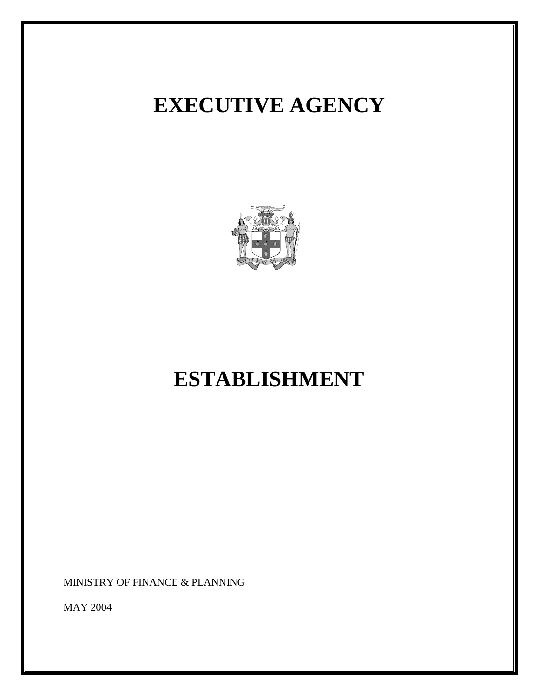# **EXECUTIVE AGENCY**



# **ESTABLISHMENT**

MINISTRY OF FINANCE & PLANNING

MAY 2004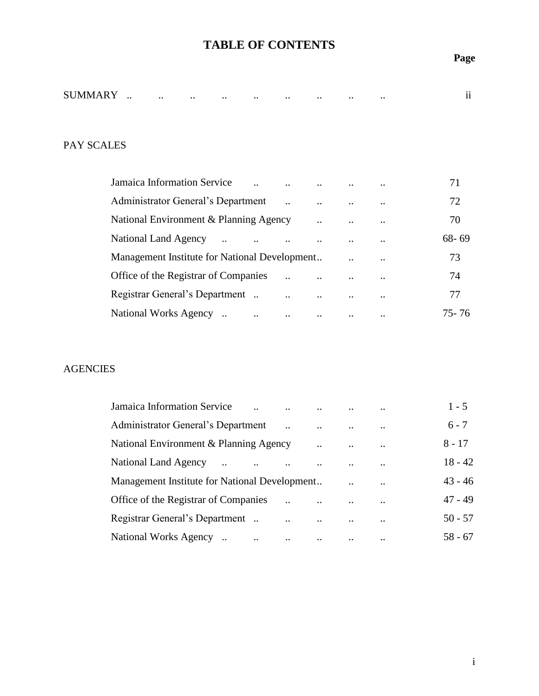## **TABLE OF CONTENTS**

## **Page**

|         |               |              |              |                 |                 |                 |                 |                 |           | . . |
|---------|---------------|--------------|--------------|-----------------|-----------------|-----------------|-----------------|-----------------|-----------|-----|
| SUMMARY | $\cdot \cdot$ | $\cdot\cdot$ | $\cdot\cdot$ | $\cdot$ $\cdot$ | $\cdot$ $\cdot$ | $\cdot$ $\cdot$ | $\cdot$ $\cdot$ | $\cdot$ $\cdot$ | $\cdot$ . | 11  |

## PAY SCALES

| Jamaica Information Service                    |                      |                      |                      |               | 71        |
|------------------------------------------------|----------------------|----------------------|----------------------|---------------|-----------|
| Administrator General's Department             |                      |                      | $\ddot{\phantom{a}}$ | $\ddotsc$     | 72        |
| National Environment & Planning Agency         |                      | $\ddot{\phantom{a}}$ | $\cdot$ .            | $\ddotsc$     | 70        |
| National Land Agency<br>$\ddotsc$<br>$\cdot$ . |                      |                      |                      | $\cdot \cdot$ | $68 - 69$ |
| Management Institute for National Development  |                      |                      |                      |               | 73        |
| Office of the Registrar of Companies           |                      |                      |                      | $\cdot \cdot$ | 74        |
| Registrar General's Department                 | $\ddot{\phantom{0}}$ | $\ddot{\phantom{a}}$ |                      | $\cdot \cdot$ | 77        |
| National Works Agency<br>$\ddotsc$             | $\ddot{\phantom{a}}$ |                      |                      | $\ddotsc$     | 75 - 76   |

## AGENCIES

| <b>Jamaica Information Service</b>            |           |          |                      | $\ddotsc$ | $1 - 5$   |
|-----------------------------------------------|-----------|----------|----------------------|-----------|-----------|
| <b>Administrator General's Department</b>     |           |          | $\ddot{\phantom{a}}$ | $\ddotsc$ | $6 - 7$   |
| National Environment & Planning Agency        |           |          |                      | $\ddotsc$ | 8 - 17    |
| National Land Agency                          |           |          |                      | $\ddotsc$ | $18 - 42$ |
| Management Institute for National Development |           |          | $\ddot{\phantom{a}}$ | $\ddotsc$ | $43 - 46$ |
| Office of the Registrar of Companies          |           |          |                      | $\ddotsc$ | $47 - 49$ |
| Registrar General's Department.               | $\ddotsc$ |          |                      | $\ddotsc$ | $50 - 57$ |
| National Works Agency<br>$\ddotsc$            | $\ddotsc$ | $\ddots$ |                      | $\ddotsc$ | $58 - 67$ |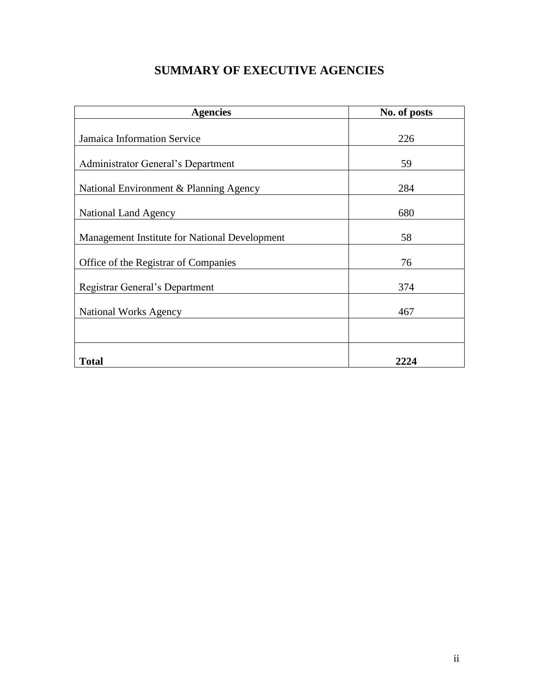## **SUMMARY OF EXECUTIVE AGENCIES**

| <b>Agencies</b>                               | No. of posts |
|-----------------------------------------------|--------------|
|                                               |              |
| Jamaica Information Service                   | 226          |
|                                               |              |
| Administrator General's Department            | 59           |
| National Environment & Planning Agency        | 284          |
| <b>National Land Agency</b>                   | 680          |
| Management Institute for National Development | 58           |
| Office of the Registrar of Companies          | 76           |
| Registrar General's Department                | 374          |
| <b>National Works Agency</b>                  | 467          |
|                                               |              |
| <b>Total</b>                                  | 2224         |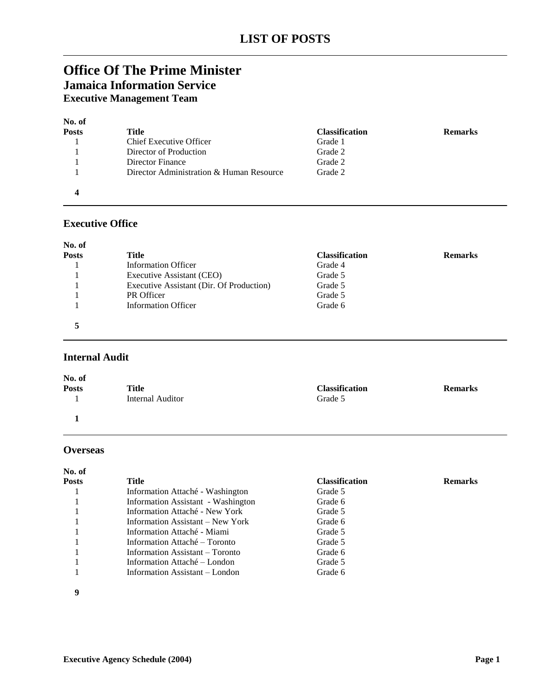## **Office Of The Prime Minister Jamaica Information Service**

**Executive Management Team**

| No. of<br><b>Posts</b> | Title                                    | <b>Classification</b> | <b>Remarks</b> |
|------------------------|------------------------------------------|-----------------------|----------------|
|                        | Chief Executive Officer                  | Grade 1               |                |
|                        | Director of Production                   | Grade 2               |                |
|                        | Director Finance                         | Grade 2               |                |
|                        | Director Administration & Human Resource | Grade 2               |                |
|                        |                                          |                       |                |

### **Executive Office**

| No. of       |                                          |                       |                |
|--------------|------------------------------------------|-----------------------|----------------|
| <b>Posts</b> | Title                                    | <b>Classification</b> | <b>Remarks</b> |
|              | <b>Information Officer</b>               | Grade 4               |                |
|              | Executive Assistant (CEO)                | Grade 5               |                |
|              | Executive Assistant (Dir. Of Production) | Grade 5               |                |
|              | PR Officer                               | Grade 5               |                |
|              | <b>Information Officer</b>               | Grade 6               |                |
|              |                                          |                       |                |

### **Internal Audit**

| No. of       |                  |                       |                |
|--------------|------------------|-----------------------|----------------|
| <b>Posts</b> | Title            | <b>Classification</b> | <b>Remarks</b> |
|              | Internal Auditor | Grade 5               |                |
|              |                  |                       |                |

### **Overseas**

| No. of       |                                    |                       |                |
|--------------|------------------------------------|-----------------------|----------------|
| <b>Posts</b> | Title                              | <b>Classification</b> | <b>Remarks</b> |
|              | Information Attaché - Washington   | Grade 5               |                |
|              | Information Assistant - Washington | Grade 6               |                |
|              | Information Attaché - New York     | Grade 5               |                |
|              | Information Assistant – New York   | Grade 6               |                |
|              | Information Attaché - Miami        | Grade 5               |                |
|              | Information Attaché – Toronto      | Grade 5               |                |
|              | Information Assistant – Toronto    | Grade 6               |                |
|              | Information Attaché – London       | Grade 5               |                |
|              | Information Assistant – London     | Grade 6               |                |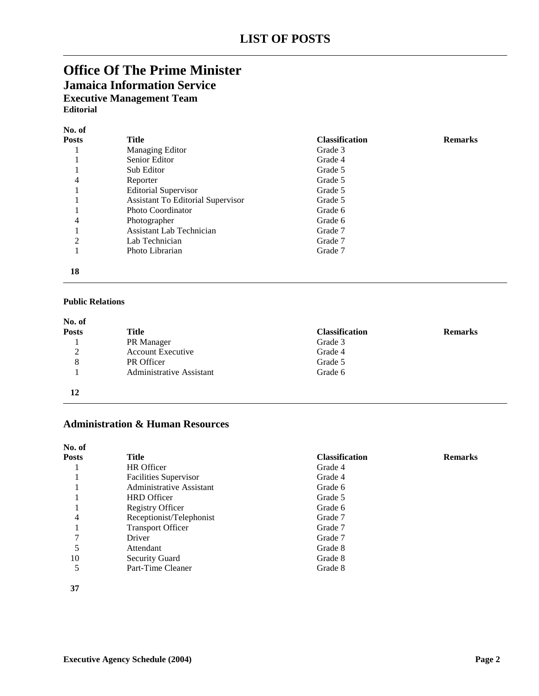## **Office Of The Prime Minister**

**Jamaica Information Service Executive Management Team**

**Editorial**

| No. of         |                                          |                       |                |
|----------------|------------------------------------------|-----------------------|----------------|
| <b>Posts</b>   | Title                                    | <b>Classification</b> | <b>Remarks</b> |
|                | Managing Editor                          | Grade 3               |                |
|                | Senior Editor                            | Grade 4               |                |
|                | Sub Editor                               | Grade 5               |                |
| 4              | Reporter                                 | Grade 5               |                |
|                | <b>Editorial Supervisor</b>              | Grade 5               |                |
|                | <b>Assistant To Editorial Supervisor</b> | Grade 5               |                |
|                | Photo Coordinator                        | Grade 6               |                |
| 4              | Photographer                             | Grade 6               |                |
|                | Assistant Lab Technician                 | Grade 7               |                |
| $\overline{2}$ | Lab Technician                           | Grade 7               |                |
|                | Photo Librarian                          | Grade 7               |                |
|                |                                          |                       |                |

#### **Public Relations**

| No. of       |                          |                       |                |
|--------------|--------------------------|-----------------------|----------------|
| <b>Posts</b> | Title                    | <b>Classification</b> | <b>Remarks</b> |
|              | PR Manager               | Grade 3               |                |
| ∍            | <b>Account Executive</b> | Grade 4               |                |
| 8            | PR Officer               | Grade 5               |                |
|              | Administrative Assistant | Grade 6               |                |
| 12           |                          |                       |                |

### **Administration & Human Resources**

| No. of |                                 |                       |                |
|--------|---------------------------------|-----------------------|----------------|
| Posts  | Title                           | <b>Classification</b> | <b>Remarks</b> |
|        | HR Officer                      | Grade 4               |                |
|        | Facilities Supervisor           | Grade 4               |                |
|        | <b>Administrative Assistant</b> | Grade 6               |                |
|        | <b>HRD</b> Officer              | Grade 5               |                |
|        | <b>Registry Officer</b>         | Grade 6               |                |
| 4      | Receptionist/Telephonist        | Grade 7               |                |
|        | <b>Transport Officer</b>        | Grade 7               |                |
|        | Driver                          | Grade 7               |                |
|        | Attendant                       | Grade 8               |                |
| 10     | <b>Security Guard</b>           | Grade 8               |                |
|        | Part-Time Cleaner               | Grade 8               |                |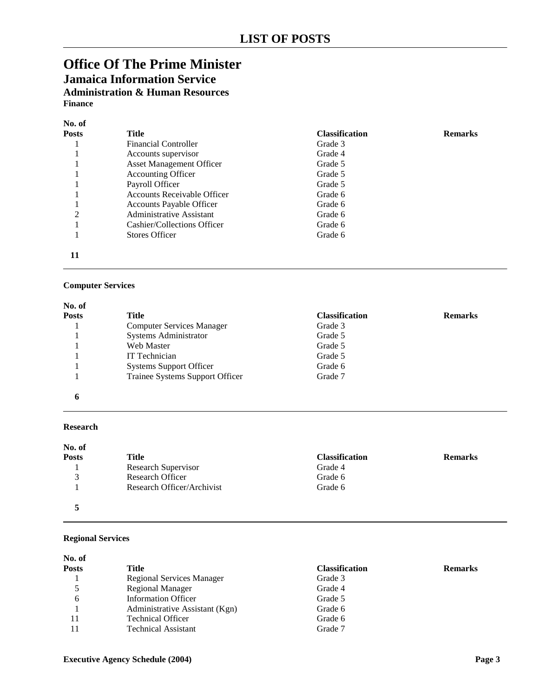## **Office Of The Prime Minister Jamaica Information Service Administration & Human Resources Finance**

#### **No. of Posts Title Classification Remarks** 1 Financial Controller Grade 3 1 Accounts supervisor Grade 4 1 Asset Management Officer Grade 5 1 1 Accounting Officer 1 Grade 5<br>1 Payroll Officer 1 Grade 5 1 Payroll Officer Grade 5<br>1 Accounts Receivable Officer Grade 6 1 Accounts Receivable Officer 1 1 Accounts Payable Officer 6 Grade 6<br>
2 Administrative Assistant 6 Grade 6 Administrative Assistant Grade 6<br>
Cashier/Collections Officer Grade 6 1 Cashier/Collections Officer 1 Stores Officer Grade 6 **11**

#### **Computer Services**

| No. of       |                                  |                       |                |
|--------------|----------------------------------|-----------------------|----------------|
| <b>Posts</b> | Title                            | <b>Classification</b> | <b>Remarks</b> |
|              | <b>Computer Services Manager</b> | Grade 3               |                |
|              | Systems Administrator            | Grade 5               |                |
|              | Web Master                       | Grade 5               |                |
|              | IT Technician                    | Grade 5               |                |
|              | <b>Systems Support Officer</b>   | Grade 6               |                |
|              | Trainee Systems Support Officer  | Grade 7               |                |
| n            |                                  |                       |                |

#### **Research**

| No. of        |                            |                       |                |
|---------------|----------------------------|-----------------------|----------------|
| <b>Posts</b>  | Title                      | <b>Classification</b> | <b>Remarks</b> |
|               | Research Supervisor        | Grade 4               |                |
| $\mathcal{R}$ | Research Officer           | Grade 6               |                |
|               | Research Officer/Archivist | Grade 6               |                |
|               |                            |                       |                |

#### **Regional Services**

| Title                          | <b>Classification</b> | <b>Remarks</b> |
|--------------------------------|-----------------------|----------------|
| Regional Services Manager      | Grade 3               |                |
| Regional Manager               | Grade 4               |                |
| <b>Information Officer</b>     | Grade 5               |                |
| Administrative Assistant (Kgn) | Grade 6               |                |
| <b>Technical Officer</b>       | Grade 6               |                |
| <b>Technical Assistant</b>     | Grade 7               |                |
|                                |                       |                |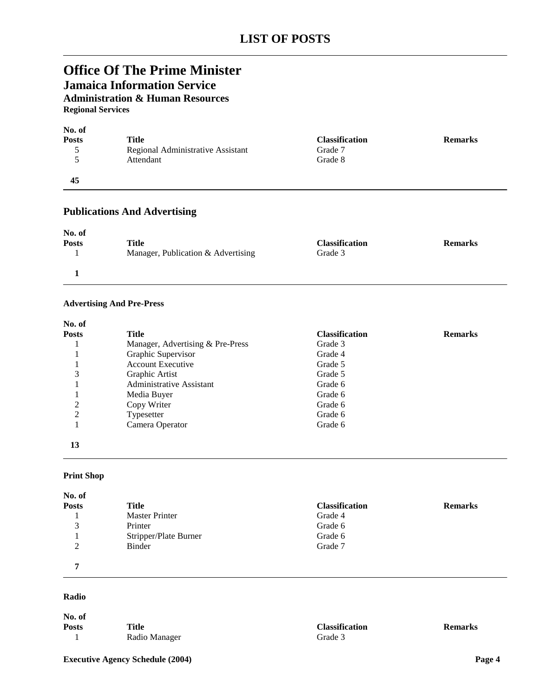## **Office Of The Prime Minister**

**Jamaica Information Service**

**Administration & Human Resources**

**Regional Services**

| No. of       |                                   |                       |                |
|--------------|-----------------------------------|-----------------------|----------------|
| <b>Posts</b> | Title                             | <b>Classification</b> | <b>Remarks</b> |
|              | Regional Administrative Assistant | Grade 7               |                |
|              | Attendant                         | Grade 8               |                |
| 45           |                                   |                       |                |

### **Publications And Advertising**

| No. of       |                                    |                       |                |
|--------------|------------------------------------|-----------------------|----------------|
| <b>Posts</b> | <b>Title</b>                       | <b>Classification</b> | <b>Remarks</b> |
|              | Manager, Publication & Advertising | Grade 3               |                |
|              |                                    |                       |                |

#### **Advertising And Pre-Press**

| <b>Posts</b>   | Title                            | <b>Classification</b> | <b>Remarks</b> |
|----------------|----------------------------------|-----------------------|----------------|
|                | Manager, Advertising & Pre-Press | Grade 3               |                |
|                | Graphic Supervisor               | Grade 4               |                |
|                | <b>Account Executive</b>         | Grade 5               |                |
| 3              | Graphic Artist                   | Grade 5               |                |
|                | <b>Administrative Assistant</b>  | Grade 6               |                |
|                | Media Buyer                      | Grade 6               |                |
| 2              | Copy Writer                      | Grade 6               |                |
| $\overline{2}$ | Typesetter                       | Grade 6               |                |
|                | Camera Operator                  | Grade 6               |                |

**13**

#### **Print Shop**

| No. of             |                       |                       |                |
|--------------------|-----------------------|-----------------------|----------------|
| <b>Posts</b>       | Title                 | <b>Classification</b> | <b>Remarks</b> |
|                    | <b>Master Printer</b> | Grade 4               |                |
| $\mathcal{R}$<br>J | Printer               | Grade 6               |                |
|                    | Stripper/Plate Burner | Grade 6               |                |
| $\gamma$           | Binder                | Grade 7               |                |
| −                  |                       |                       |                |

#### **Radio**

**No. of Posts Title Classification Remarks Classification Remarks Classification Remarks** 1 Radio Manager

**Executive Agency Schedule (2004) Page 4**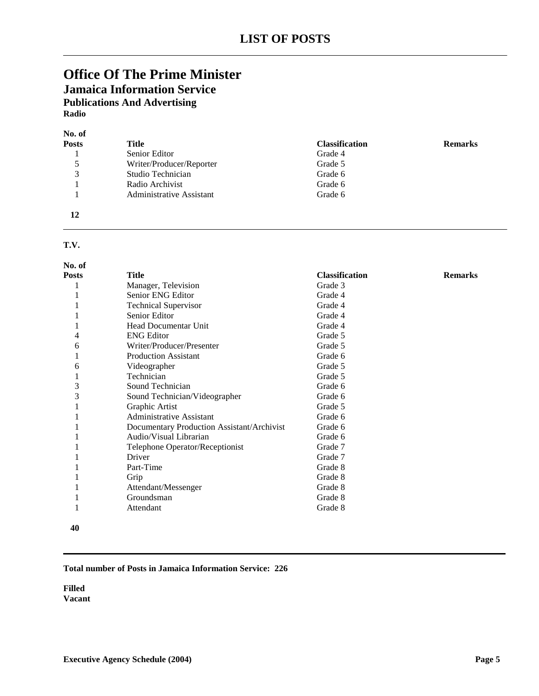### **Office Of The Prime Minister Jamaica Information Service Publications And Advertising Radio**

| No. of       |                          |                       |                |
|--------------|--------------------------|-----------------------|----------------|
| <b>Posts</b> | Title                    | <b>Classification</b> | <b>Remarks</b> |
|              | Senior Editor            | Grade 4               |                |
| 5            | Writer/Producer/Reporter | Grade 5               |                |
| 3            | Studio Technician        | Grade 6               |                |
|              | Radio Archivist          | Grade 6               |                |
|              | Administrative Assistant | Grade 6               |                |
| 12           |                          |                       |                |

### **T.V.**

| No. of       |                                            |                       |                |
|--------------|--------------------------------------------|-----------------------|----------------|
| <b>Posts</b> | <b>Title</b>                               | <b>Classification</b> | <b>Remarks</b> |
|              | Manager, Television                        | Grade 3               |                |
|              | Senior ENG Editor                          | Grade 4               |                |
|              | <b>Technical Supervisor</b>                | Grade 4               |                |
|              | Senior Editor                              | Grade 4               |                |
|              | Head Documentar Unit                       | Grade 4               |                |
|              | <b>ENG Editor</b>                          | Grade 5               |                |
| 6            | Writer/Producer/Presenter                  | Grade 5               |                |
|              | <b>Production Assistant</b>                | Grade 6               |                |
| 6            | Videographer                               | Grade 5               |                |
|              | Technician                                 | Grade 5               |                |
| 3            | Sound Technician                           | Grade 6               |                |
| 3            | Sound Technician/Videographer              | Grade 6               |                |
|              | Graphic Artist                             | Grade 5               |                |
|              | <b>Administrative Assistant</b>            | Grade 6               |                |
|              | Documentary Production Assistant/Archivist | Grade 6               |                |
|              | Audio/Visual Librarian                     | Grade 6               |                |
|              | Telephone Operator/Receptionist            | Grade 7               |                |
|              | Driver                                     | Grade 7               |                |
|              | Part-Time                                  | Grade 8               |                |
|              | Grip                                       | Grade 8               |                |
|              | Attendant/Messenger                        | Grade 8               |                |
|              | Groundsman                                 | Grade 8               |                |
|              | Attendant                                  | Grade 8               |                |
|              |                                            |                       |                |

#### 

#### **Total number of Posts in Jamaica Information Service: 226**

**Filled Vacant**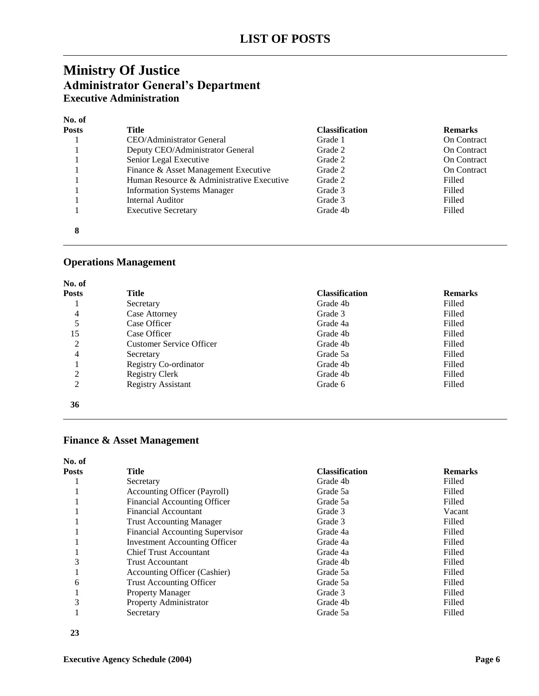## **Ministry Of Justice Administrator General's Department Executive Administration**

#### **No. of**

| <b>Posts</b> | Title                                     | <b>Classification</b> | <b>Remarks</b>     |
|--------------|-------------------------------------------|-----------------------|--------------------|
|              | CEO/Administrator General                 | Grade 1               | <b>On Contract</b> |
|              | Deputy CEO/Administrator General          | Grade 2               | <b>On Contract</b> |
|              | Senior Legal Executive                    | Grade 2               | <b>On Contract</b> |
|              | Finance & Asset Management Executive      | Grade 2               | <b>On Contract</b> |
|              | Human Resource & Administrative Executive | Grade 2               | Filled             |
|              | <b>Information Systems Manager</b>        | Grade 3               | Filled             |
|              | Internal Auditor                          | Grade 3               | Filled             |
|              | <b>Executive Secretary</b>                | Grade 4b              | Filled             |
| 8            |                                           |                       |                    |

### **Operations Management**

| No. of       |                                 |                       |                |
|--------------|---------------------------------|-----------------------|----------------|
| <b>Posts</b> | Title                           | <b>Classification</b> | <b>Remarks</b> |
|              | Secretary                       | Grade 4b              | Filled         |
| 4            | Case Attorney                   | Grade 3               | Filled         |
| 5            | Case Officer                    | Grade 4a              | Filled         |
| 15           | Case Officer                    | Grade 4b              | Filled         |
| 2            | <b>Customer Service Officer</b> | Grade 4b              | Filled         |
| 4            | Secretary                       | Grade 5a              | Filled         |
|              | Registry Co-ordinator           | Grade 4b              | Filled         |
| 2            | <b>Registry Clerk</b>           | Grade 4b              | Filled         |
| 2            | <b>Registry Assistant</b>       | Grade 6               | Filled         |
| 36           |                                 |                       |                |

### **Finance & Asset Management**

| No. of       |                                        |                       |                |
|--------------|----------------------------------------|-----------------------|----------------|
| <b>Posts</b> | Title                                  | <b>Classification</b> | <b>Remarks</b> |
|              | Secretary                              | Grade 4b              | Filled         |
|              | Accounting Officer (Payroll)           | Grade 5a              | Filled         |
|              | <b>Financial Accounting Officer</b>    | Grade 5a              | Filled         |
|              | Financial Accountant                   | Grade 3               | Vacant         |
|              | <b>Trust Accounting Manager</b>        | Grade 3               | Filled         |
|              | <b>Financial Accounting Supervisor</b> | Grade 4a              | Filled         |
|              | <b>Investment Accounting Officer</b>   | Grade 4a              | Filled         |
|              | <b>Chief Trust Accountant</b>          | Grade 4a              | Filled         |
| 3            | Trust Accountant                       | Grade 4b              | Filled         |
|              | Accounting Officer (Cashier)           | Grade 5a              | Filled         |
| 6            | <b>Trust Accounting Officer</b>        | Grade 5a              | Filled         |
|              | <b>Property Manager</b>                | Grade 3               | Filled         |
| 3            | Property Administrator                 | Grade 4b              | Filled         |
|              | Secretary                              | Grade 5a              | Filled         |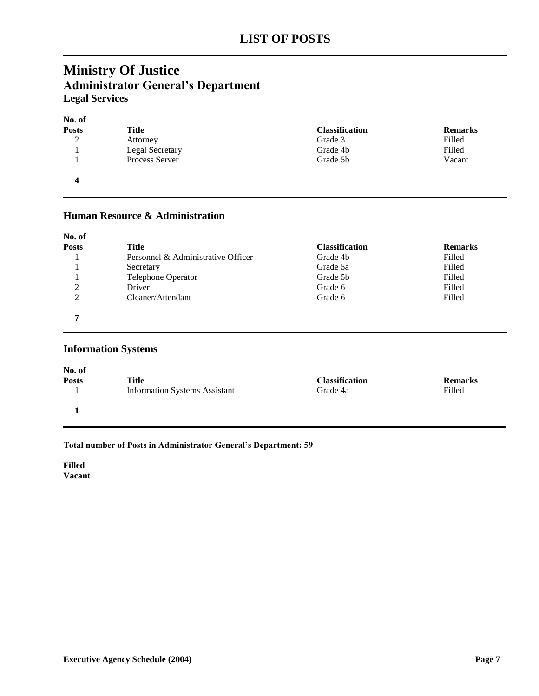## **Ministry Of Justice Administrator General's Department Legal Services**

### **No. of Posts Title Classification Remarks** 2 Attorney **Attorney Attorney Attorney Attorney Attorney** Grade 3 **Filled** 1 Legal Secretary Grade 4b Filled<br>1 Process Server Grade 5b Vacan 1 Process Server Grade 5b Vacant **4**

### **Human Resource & Administration**

| No. of         |                                    |                       |                |
|----------------|------------------------------------|-----------------------|----------------|
| <b>Posts</b>   | Title                              | <b>Classification</b> | <b>Remarks</b> |
|                | Personnel & Administrative Officer | Grade 4b              | Filled         |
|                | Secretary                          | Grade 5a              | Filled         |
|                | <b>Telephone Operator</b>          | Grade 5b              | Filled         |
| $\overline{2}$ | Driver                             | Grade 6               | Filled         |
| $\overline{2}$ | Cleaner/Attendant                  | Grade 6               | Filled         |
| 5              |                                    |                       |                |

### **Information Systems**

| No. of       | Title                                | <b>Classification</b> | <b>Remarks</b> |
|--------------|--------------------------------------|-----------------------|----------------|
| <b>Posts</b> | <b>Information Systems Assistant</b> | Grade 4a              | Filled         |
|              |                                      |                       |                |

#### **Total number of Posts in Administrator General's Department: 59**

**Filled Vacant**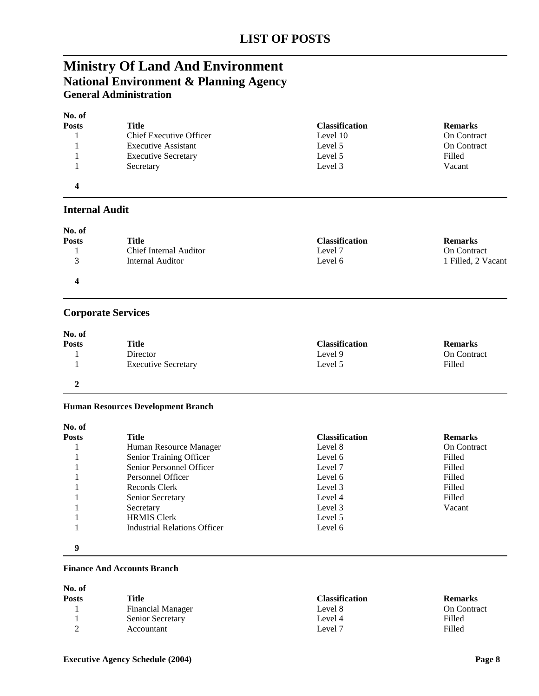## **Ministry Of Land And Environment National Environment & Planning Agency General Administration**

| No. of       |                                |                       |                    |
|--------------|--------------------------------|-----------------------|--------------------|
| <b>Posts</b> | Title                          | <b>Classification</b> | <b>Remarks</b>     |
|              | <b>Chief Executive Officer</b> | Level 10              | <b>On Contract</b> |
|              | <b>Executive Assistant</b>     | Level 5               | <b>On Contract</b> |
|              | <b>Executive Secretary</b>     | Level 5               | Filled             |
|              | Secretary                      | Level 3               | Vacant             |
| 4            |                                |                       |                    |

### **Internal Audit**

| No. of       |                               |                       |                    |
|--------------|-------------------------------|-----------------------|--------------------|
| <b>Posts</b> | Title                         | <b>Classification</b> | <b>Remarks</b>     |
|              | <b>Chief Internal Auditor</b> | Level 7               | <b>On Contract</b> |
|              | Internal Auditor              | Level 6               | 1 Filled, 2 Vacant |
|              |                               |                       |                    |

### **Corporate Services**

| No. of       |                            |                       |                |
|--------------|----------------------------|-----------------------|----------------|
| <b>Posts</b> | Title                      | <b>Classification</b> | <b>Remarks</b> |
|              | Director                   | Level 9               | On Contract    |
|              | <b>Executive Secretary</b> | Level 5               | Filled         |
|              |                            |                       |                |

#### **Human Resources Development Branch**

| No. of       |                                     |                       |                    |
|--------------|-------------------------------------|-----------------------|--------------------|
| <b>Posts</b> | <b>Title</b>                        | <b>Classification</b> | <b>Remarks</b>     |
|              | Human Resource Manager              | Level 8               | <b>On Contract</b> |
|              | Senior Training Officer             | Level 6               | Filled             |
|              | Senior Personnel Officer            | Level 7               | Filled             |
|              | Personnel Officer                   | Level 6               | Filled             |
|              | Records Clerk                       | Level 3               | Filled             |
|              | Senior Secretary                    | Level 4               | Filled             |
|              | Secretary                           | Level 3               | Vacant             |
|              | <b>HRMIS Clerk</b>                  | Level 5               |                    |
|              | <b>Industrial Relations Officer</b> | Level 6               |                    |
| 9            |                                     |                       |                    |

#### **Finance And Accounts Branch**

| Title                    | <b>Classification</b> | <b>Remarks</b>     |
|--------------------------|-----------------------|--------------------|
| <b>Financial Manager</b> | Level 8               | <b>On Contract</b> |
| Senior Secretary         | Level 4               | Filled             |
| Accountant               | Level 7               | Filled             |
|                          |                       |                    |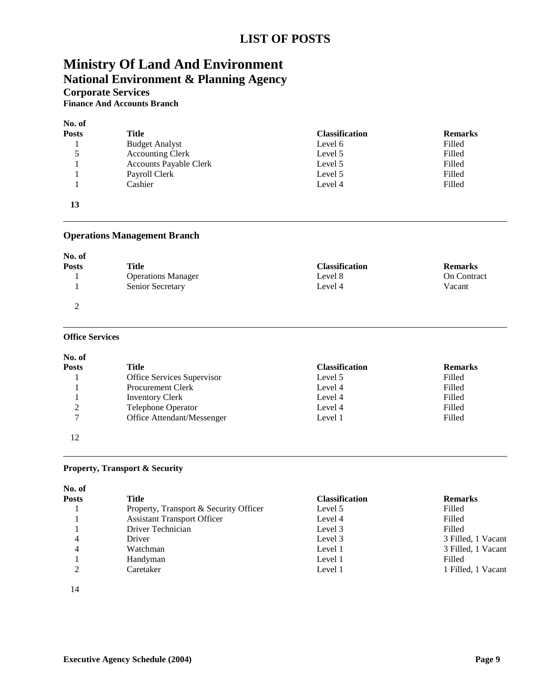## **LIST OF POSTS**

## **Ministry Of Land And Environment National Environment & Planning Agency**

**Corporate Services**

**Finance And Accounts Branch**

| No. of |                               |                       |                |
|--------|-------------------------------|-----------------------|----------------|
| Posts  | Title                         | <b>Classification</b> | <b>Remarks</b> |
|        | <b>Budget Analyst</b>         | Level 6               | Filled         |
| 5      | <b>Accounting Clerk</b>       | Level 5               | Filled         |
|        | <b>Accounts Payable Clerk</b> | Level 5               | Filled         |
|        | Payroll Clerk                 | Level 5               | Filled         |
|        | Cashier                       | Level 4               | Filled         |
| 13     |                               |                       |                |

#### **Operations Management Branch**

| No. of       |                           |                       |                    |
|--------------|---------------------------|-----------------------|--------------------|
| <b>Posts</b> | Title                     | <b>Classification</b> | <b>Remarks</b>     |
|              | <b>Operations Manager</b> | Level 8               | <b>On Contract</b> |
|              | Senior Secretary          | Level 4               | Vacant             |
| ∼            |                           |                       |                    |

#### **Office Services**

| No. of       |                            |                       |                |
|--------------|----------------------------|-----------------------|----------------|
| <b>Posts</b> | Title                      | <b>Classification</b> | <b>Remarks</b> |
|              | Office Services Supervisor | Level 5               | Filled         |
|              | <b>Procurement Clerk</b>   | Level 4               | Filled         |
|              | <b>Inventory Clerk</b>     | Level 4               | Filled         |
| 2            | Telephone Operator         | Level 4               | Filled         |
| 7            | Office Attendant/Messenger | Level 1               | Filled         |
| 12           |                            |                       |                |

#### **Property, Transport & Security**

| No. of       |                                        |                       |                    |
|--------------|----------------------------------------|-----------------------|--------------------|
| <b>Posts</b> | Title                                  | <b>Classification</b> | <b>Remarks</b>     |
|              | Property, Transport & Security Officer | Level 5               | Filled             |
|              | <b>Assistant Transport Officer</b>     | Level 4               | Filled             |
|              | Driver Technician                      | Level 3               | Filled             |
| 4            | Driver                                 | Level 3               | 3 Filled, 1 Vacant |
| 4            | Watchman                               | Level 1               | 3 Filled, 1 Vacant |
|              | Handyman                               | Level 1               | Filled             |
| ◠            | Caretaker                              | Level 1               | 1 Filled, 1 Vacant |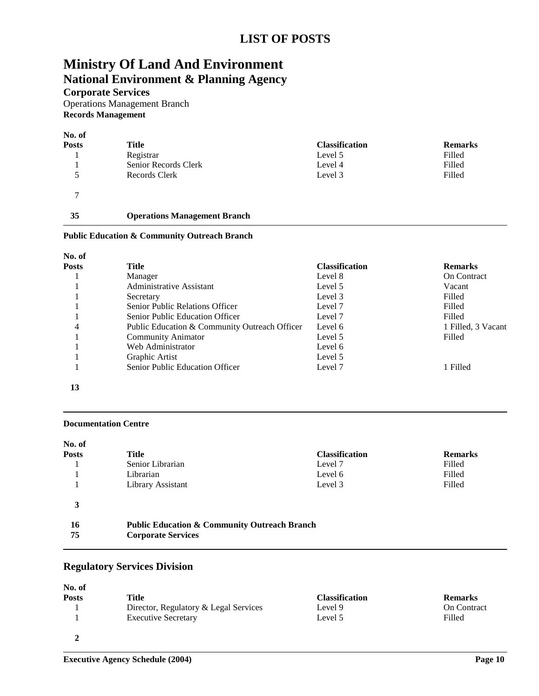## **Ministry Of Land And Environment National Environment & Planning Agency**

**Corporate Services**

Operations Management Branch **Records Management**

| No. of        |                                     |                       |                |
|---------------|-------------------------------------|-----------------------|----------------|
| <b>Posts</b>  | Title                               | <b>Classification</b> | <b>Remarks</b> |
|               | Registrar                           | Level 5               | Filled         |
|               | Senior Records Clerk                | Level 4               | Filled         |
| 5             | Records Clerk                       | Level 3               | Filled         |
| $\mathcal{I}$ |                                     |                       |                |
| 35            | <b>Operations Management Branch</b> |                       |                |

#### **Public Education & Community Outreach Branch**

| No. of       |                                               |                       |                    |
|--------------|-----------------------------------------------|-----------------------|--------------------|
| <b>Posts</b> | Title                                         | <b>Classification</b> | <b>Remarks</b>     |
|              | Manager                                       | Level 8               | <b>On Contract</b> |
|              | Administrative Assistant                      | Level 5               | Vacant             |
|              | Secretary                                     | Level 3               | Filled             |
|              | Senior Public Relations Officer               | Level 7               | Filled             |
|              | <b>Senior Public Education Officer</b>        | Level 7               | Filled             |
| 4            | Public Education & Community Outreach Officer | Level 6               | 1 Filled, 3 Vacant |
|              | <b>Community Animator</b>                     | Level 5               | Filled             |
|              | Web Administrator                             | Level 6               |                    |
|              | Graphic Artist                                | Level 5               |                    |
|              | <b>Senior Public Education Officer</b>        | Level 7               | 1 Filled           |

**13**

#### **Documentation Centre**

| No. of       |                                                         |                       |                |
|--------------|---------------------------------------------------------|-----------------------|----------------|
| <b>Posts</b> | Title                                                   | <b>Classification</b> | <b>Remarks</b> |
|              | Senior Librarian                                        | Level 7               | Filled         |
|              | Librarian                                               | Level 6               | Filled         |
|              | Library Assistant                                       | Level 3               | Filled         |
| 3            |                                                         |                       |                |
| 16           | <b>Public Education &amp; Community Outreach Branch</b> |                       |                |
| 75           | <b>Corporate Services</b>                               |                       |                |

### **Regulatory Services Division**

| No. of<br><b>Posts</b> | Title                                 | <b>Classification</b> | <b>Remarks</b>     |
|------------------------|---------------------------------------|-----------------------|--------------------|
|                        | Director, Regulatory & Legal Services | Level 9               | <b>On Contract</b> |
|                        | <b>Executive Secretary</b>            | Level 5               | Filled             |
|                        |                                       |                       |                    |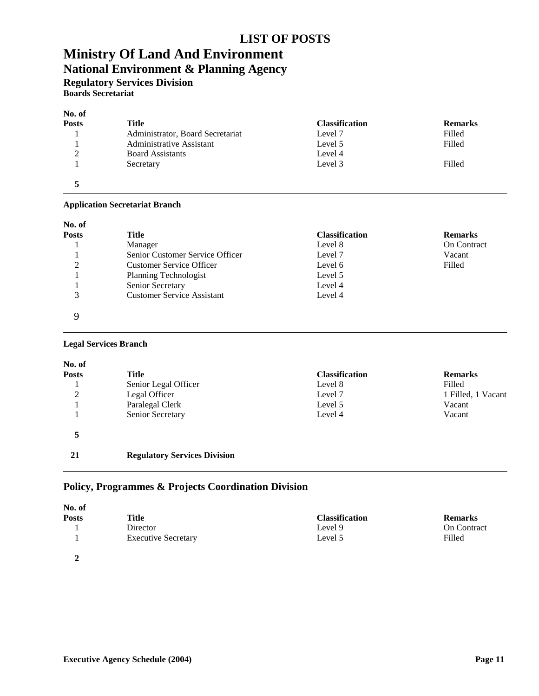## **LIST OF POSTS**

## **Ministry Of Land And Environment National Environment & Planning Agency**

**Regulatory Services Division Boards Secretariat**

## **No. of**

| 180. OI       |                                  |                       |                |
|---------------|----------------------------------|-----------------------|----------------|
| <b>Posts</b>  | <b>Title</b>                     | <b>Classification</b> | <b>Remarks</b> |
|               | Administrator, Board Secretariat | Level 7               | Filled         |
|               | Administrative Assistant         | Level 5               | Filled         |
| $\mathcal{D}$ | <b>Board Assistants</b>          | Level 4               |                |
|               | Secretary                        | Level 3               | Filled         |
|               |                                  |                       |                |

#### **Application Secretariat Branch**

| No. of       |                                   |                       |                    |
|--------------|-----------------------------------|-----------------------|--------------------|
| <b>Posts</b> | Title                             | <b>Classification</b> | <b>Remarks</b>     |
|              | Manager                           | Level 8               | <b>On Contract</b> |
|              | Senior Customer Service Officer   | Level 7               | Vacant             |
| ∍            | <b>Customer Service Officer</b>   | Level 6               | Filled             |
|              | <b>Planning Technologist</b>      | Level 5               |                    |
|              | Senior Secretary                  | Level 4               |                    |
| 3            | <b>Customer Service Assistant</b> | Level 4               |                    |
| Q            |                                   |                       |                    |

#### **Legal Services Branch**

| No. of       |                                     |                       |                    |
|--------------|-------------------------------------|-----------------------|--------------------|
| <b>Posts</b> | Title                               | <b>Classification</b> | <b>Remarks</b>     |
|              | Senior Legal Officer                | Level 8               | Filled             |
| 2            | Legal Officer                       | Level 7               | 1 Filled, 1 Vacant |
|              | Paralegal Clerk                     | Level 5               | Vacant             |
|              | Senior Secretary                    | Level 4               | Vacant             |
| 5            |                                     |                       |                    |
| 21           | <b>Regulatory Services Division</b> |                       |                    |

## **Policy, Programmes & Projects Coordination Division**

| No. of       |                            |                       |                |
|--------------|----------------------------|-----------------------|----------------|
| <b>Posts</b> | Title                      | <b>Classification</b> | <b>Remarks</b> |
|              | Director                   | Level 9               | On Contract    |
|              | <b>Executive Secretary</b> | Level 5               | Filled         |
| $\gamma$     |                            |                       |                |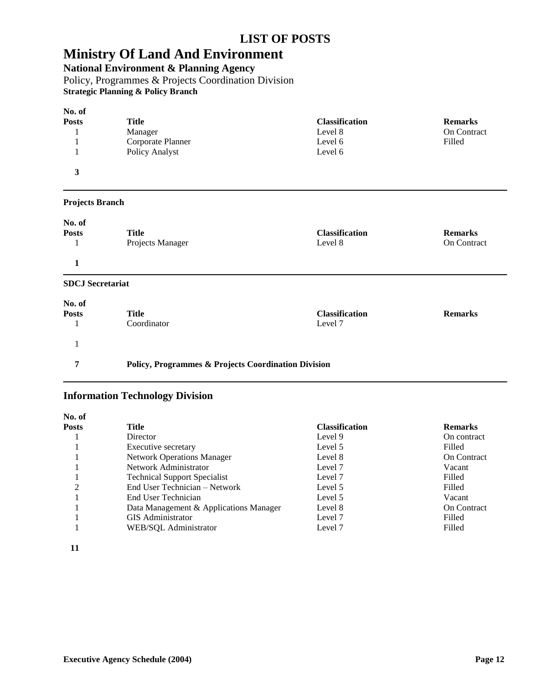**National Environment & Planning Agency**

Policy, Programmes & Projects Coordination Division **Strategic Planning & Policy Branch**

| No. of       |                   |                       |                |
|--------------|-------------------|-----------------------|----------------|
| <b>Posts</b> | Title             | <b>Classification</b> | <b>Remarks</b> |
|              | Manager           | Level 8               | On Contract    |
|              | Corporate Planner | Level 6               | Filled         |
|              | Policy Analyst    | Level 6               |                |
| 3            |                   |                       |                |
|              |                   |                       |                |

### **Projects Branch**

| No. of<br><b>Posts</b>  | <b>Title</b><br>Projects Manager | <b>Classification</b><br>Level 8 | <b>Remarks</b><br><b>On Contract</b> |
|-------------------------|----------------------------------|----------------------------------|--------------------------------------|
|                         |                                  |                                  |                                      |
| <b>SDCJ</b> Secretariat |                                  |                                  |                                      |
| No. of                  |                                  |                                  |                                      |
| <b>Posts</b>            | <b>Title</b>                     | <b>Classification</b>            | <b>Remarks</b>                       |
|                         | Coordinator                      | Level 7                          |                                      |

### **7 Policy, Programmes & Projects Coordination Division**

### **Information Technology Division**

| No. of |                                        |                       |                    |
|--------|----------------------------------------|-----------------------|--------------------|
| Posts  | Title                                  | <b>Classification</b> | <b>Remarks</b>     |
|        | Director                               | Level 9               | On contract        |
|        | Executive secretary                    | Level 5               | Filled             |
|        | <b>Network Operations Manager</b>      | Level 8               | <b>On Contract</b> |
|        | Network Administrator                  | Level 7               | Vacant             |
|        | <b>Technical Support Specialist</b>    | Level 7               | Filled             |
| ◠      | End User Technician – Network          | Level 5               | Filled             |
|        | End User Technician                    | Level 5               | Vacant             |
|        | Data Management & Applications Manager | Level 8               | <b>On Contract</b> |
|        | <b>GIS</b> Administrator               | Level 7               | Filled             |
|        | WEB/SOL Administrator                  | Level 7               | Filled             |
|        |                                        |                       |                    |

**11**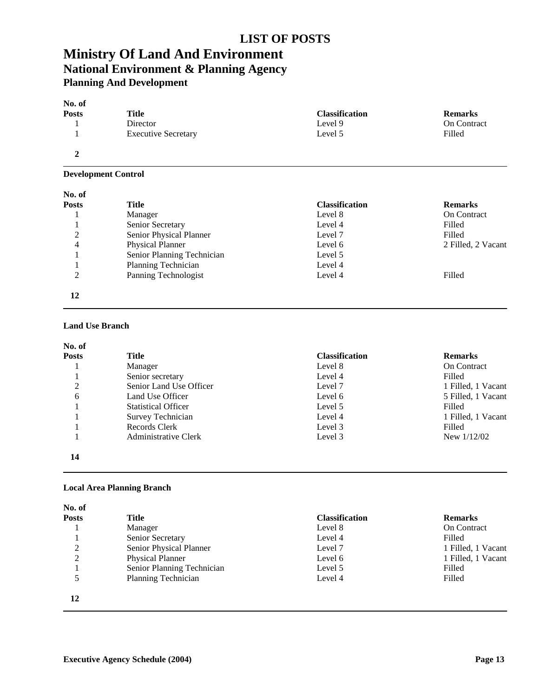### **LIST OF POSTS**

## **Ministry Of Land And Environment National Environment & Planning Agency Planning And Development**

| No. of       |                            |                       |                |
|--------------|----------------------------|-----------------------|----------------|
| <b>Posts</b> | <b>Title</b>               | <b>Classification</b> | <b>Remarks</b> |
|              | Director                   | Level 9               | On Contract    |
|              | <b>Executive Secretary</b> | Level 5               | Filled         |
| 2            |                            |                       |                |

#### **Development Control**

| No. of       |                            |                       |                    |
|--------------|----------------------------|-----------------------|--------------------|
| <b>Posts</b> | Title                      | <b>Classification</b> | <b>Remarks</b>     |
|              | Manager                    | Level 8               | <b>On Contract</b> |
|              | Senior Secretary           | Level 4               | Filled             |
| 2            | Senior Physical Planner    | Level 7               | Filled             |
| 4            | <b>Physical Planner</b>    | Level 6               | 2 Filled, 2 Vacant |
|              | Senior Planning Technician | Level 5               |                    |
|              | Planning Technician        | Level 4               |                    |
| 2            | Panning Technologist       | Level 4               | Filled             |
| 12           |                            |                       |                    |

#### **Land Use Branch**

| No. of       |                            |                       |                    |
|--------------|----------------------------|-----------------------|--------------------|
| <b>Posts</b> | <b>Title</b>               | <b>Classification</b> | <b>Remarks</b>     |
|              | Manager                    | Level 8               | <b>On Contract</b> |
|              | Senior secretary           | Level 4               | Filled             |
| 2            | Senior Land Use Officer    | Level 7               | 1 Filled, 1 Vacant |
| 6            | Land Use Officer           | Level 6               | 5 Filled, 1 Vacant |
|              | <b>Statistical Officer</b> | Level 5               | Filled             |
|              | Survey Technician          | Level 4               | 1 Filled, 1 Vacant |
|              | Records Clerk              | Level 3               | Filled             |
|              | Administrative Clerk       | Level 3               | New $1/12/02$      |
| 14           |                            |                       |                    |

#### **Local Area Planning Branch**

| No. of       |                            |                       |                    |
|--------------|----------------------------|-----------------------|--------------------|
| <b>Posts</b> | Title                      | <b>Classification</b> | <b>Remarks</b>     |
|              | Manager                    | Level 8               | On Contract        |
|              | Senior Secretary           | Level 4               | Filled             |
| 2            | Senior Physical Planner    | Level 7               | 1 Filled, 1 Vacant |
| 2            | <b>Physical Planner</b>    | Level 6               | 1 Filled, 1 Vacant |
|              | Senior Planning Technician | Level 5               | Filled             |
|              | Planning Technician        | Level 4               | Filled             |
| 12           |                            |                       |                    |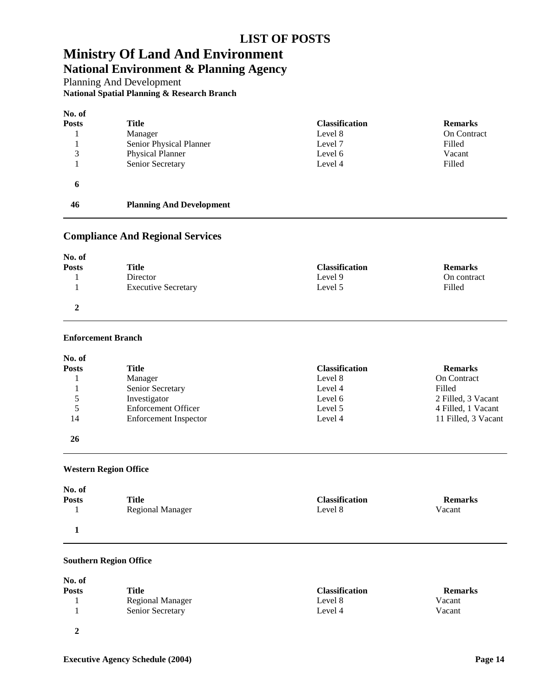## **Ministry Of Land And Environment National Environment & Planning Agency**

Planning And Development **National Spatial Planning & Research Branch**

| No. of |                                 |                       |                    |
|--------|---------------------------------|-----------------------|--------------------|
| Posts  | Title                           | <b>Classification</b> | <b>Remarks</b>     |
|        | Manager                         | Level 8               | <b>On Contract</b> |
|        | Senior Physical Planner         | Level 7               | Filled             |
| 3      | <b>Physical Planner</b>         | Level 6               | Vacant             |
|        | Senior Secretary                | Level 4               | Filled             |
| 6      |                                 |                       |                    |
| 46     | <b>Planning And Development</b> |                       |                    |

### **Compliance And Regional Services**

| No. of       |                            |                       |                |
|--------------|----------------------------|-----------------------|----------------|
| <b>Posts</b> | Title                      | <b>Classification</b> | <b>Remarks</b> |
|              | Director                   | Level 9               | On contract    |
|              | <b>Executive Secretary</b> | Level 5               | Filled         |
|              |                            |                       |                |

### **Enforcement Branch**

| No. of       |                            |                       |                     |
|--------------|----------------------------|-----------------------|---------------------|
| <b>Posts</b> | Title                      | <b>Classification</b> | <b>Remarks</b>      |
|              | Manager                    | Level 8               | On Contract         |
|              | Senior Secretary           | Level 4               | Filled              |
| 5            | Investigator               | Level 6               | 2 Filled, 3 Vacant  |
| 5            | <b>Enforcement Officer</b> | Level 5               | 4 Filled, 1 Vacant  |
| 14           | Enforcement Inspector      | Level 4               | 11 Filled, 3 Vacant |
| 26           |                            |                       |                     |

#### **Western Region Office**

| No. of<br><b>Posts</b> | Title                   | <b>Classification</b> | <b>Remarks</b> |
|------------------------|-------------------------|-----------------------|----------------|
|                        | <b>Regional Manager</b> | Level 8               | Vacant         |
|                        |                         |                       |                |

#### **Southern Region Office**

| No. of<br><b>Posts</b> | Title                   | <b>Classification</b> | <b>Remarks</b> |
|------------------------|-------------------------|-----------------------|----------------|
|                        | <b>Regional Manager</b> | Level 8               | Vacant         |
|                        | <b>Senior Secretary</b> | Level 4               | Vacant         |
|                        |                         |                       |                |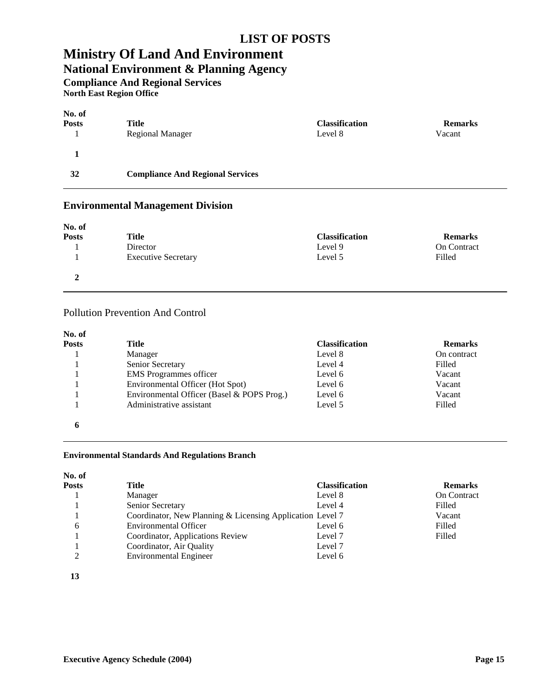## **LIST OF POSTS**

## **Ministry Of Land And Environment**

## **National Environment & Planning Agency**

**Compliance And Regional Services**

**North East Region Office**

| No. of<br><b>Posts</b> | Title                                   | <b>Classification</b> | <b>Remarks</b> |
|------------------------|-----------------------------------------|-----------------------|----------------|
|                        | <b>Regional Manager</b>                 | Level 8               | Vacant         |
|                        |                                         |                       |                |
| 32                     | <b>Compliance And Regional Services</b> |                       |                |

### **Environmental Management Division**

| No. of       |                            |                       |                    |
|--------------|----------------------------|-----------------------|--------------------|
| <b>Posts</b> | Title                      | <b>Classification</b> | <b>Remarks</b>     |
|              | Director                   | Level 9               | <b>On Contract</b> |
|              | <b>Executive Secretary</b> | Level 5               | Filled             |
|              |                            |                       |                    |

### Pollution Prevention And Control

| No. of       |                                            |                       |                |
|--------------|--------------------------------------------|-----------------------|----------------|
| <b>Posts</b> | Title                                      | <b>Classification</b> | <b>Remarks</b> |
|              | Manager                                    | Level 8               | On contract    |
|              | Senior Secretary                           | Level 4               | Filled         |
|              | <b>EMS</b> Programmes officer              | Level 6               | Vacant         |
|              | Environmental Officer (Hot Spot)           | Level 6               | Vacant         |
|              | Environmental Officer (Basel & POPS Prog.) | Level 6               | Vacant         |
|              | Administrative assistant                   | Level 5               | Filled         |
| 6            |                                            |                       |                |

#### **Environmental Standards And Regulations Branch**

| No. of       |                                                           |                       |                    |
|--------------|-----------------------------------------------------------|-----------------------|--------------------|
| <b>Posts</b> | Title                                                     | <b>Classification</b> | <b>Remarks</b>     |
|              | Manager                                                   | Level 8               | <b>On Contract</b> |
|              | Senior Secretary                                          | Level 4               | Filled             |
|              | Coordinator, New Planning & Licensing Application Level 7 |                       | Vacant             |
| 6            | <b>Environmental Officer</b>                              | Level 6               | Filled             |
|              | Coordinator, Applications Review                          | Level 7               | Filled             |
|              | Coordinator, Air Quality                                  | Level 7               |                    |
| ◠            | <b>Environmental Engineer</b>                             | Level 6               |                    |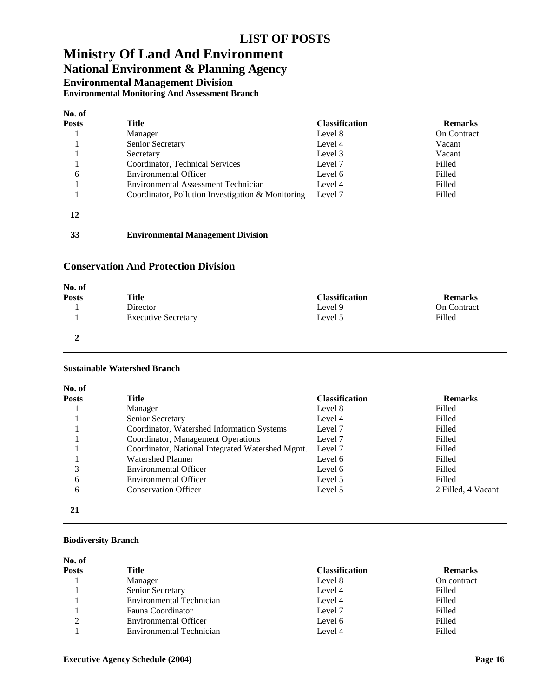## **National Environment & Planning Agency**

**Environmental Management Division**

**Environmental Monitoring And Assessment Branch**

| No. of |                                                   |                       |                    |
|--------|---------------------------------------------------|-----------------------|--------------------|
| Posts  | Title                                             | <b>Classification</b> | <b>Remarks</b>     |
|        | Manager                                           | Level 8               | <b>On Contract</b> |
|        | Senior Secretary                                  | Level 4               | Vacant             |
|        | Secretary                                         | Level 3               | Vacant             |
|        | Coordinator, Technical Services                   | Level 7               | Filled             |
| 6      | Environmental Officer                             | Level 6               | Filled             |
|        | Environmental Assessment Technician               | Level 4               | Filled             |
|        | Coordinator, Pollution Investigation & Monitoring | Level 7               | Filled             |
| 12     |                                                   |                       |                    |

# **Environmental Management Division**

### **Conservation And Protection Division**

| No. of       |                            |                       |                    |
|--------------|----------------------------|-----------------------|--------------------|
| <b>Posts</b> | Title                      | <b>Classification</b> | <b>Remarks</b>     |
|              | Director                   | Level 9               | <b>On Contract</b> |
|              | <b>Executive Secretary</b> | Level 5               | Filled             |
| ↑            |                            |                       |                    |

#### **Sustainable Watershed Branch**

| No. of       |                                                  |                       |                    |
|--------------|--------------------------------------------------|-----------------------|--------------------|
| <b>Posts</b> | Title                                            | <b>Classification</b> | <b>Remarks</b>     |
|              | Manager                                          | Level 8               | Filled             |
|              | Senior Secretary                                 | Level 4               | Filled             |
|              | Coordinator, Watershed Information Systems       | Level 7               | Filled             |
|              | Coordinator, Management Operations               | Level 7               | Filled             |
|              | Coordinator, National Integrated Watershed Mgmt. | Level 7               | Filled             |
|              | <b>Watershed Planner</b>                         | Level 6               | Filled             |
| 3            | <b>Environmental Officer</b>                     | Level 6               | Filled             |
| 6            | Environmental Officer                            | Level 5               | Filled             |
| 6            | <b>Conservation Officer</b>                      | Level 5               | 2 Filled, 4 Vacant |
| 21           |                                                  |                       |                    |

#### **Biodiversity Branch**

| No. of       |                                 |                       |                |
|--------------|---------------------------------|-----------------------|----------------|
| <b>Posts</b> | Title                           | <b>Classification</b> | <b>Remarks</b> |
|              | Manager                         | Level 8               | On contract    |
|              | <b>Senior Secretary</b>         | Level 4               | Filled         |
|              | <b>Environmental Technician</b> | Level 4               | Filled         |
|              | Fauna Coordinator               | Level 7               | Filled         |
| ◠            | <b>Environmental Officer</b>    | Level 6               | Filled         |
|              | Environmental Technician        | Level 4               | Filled         |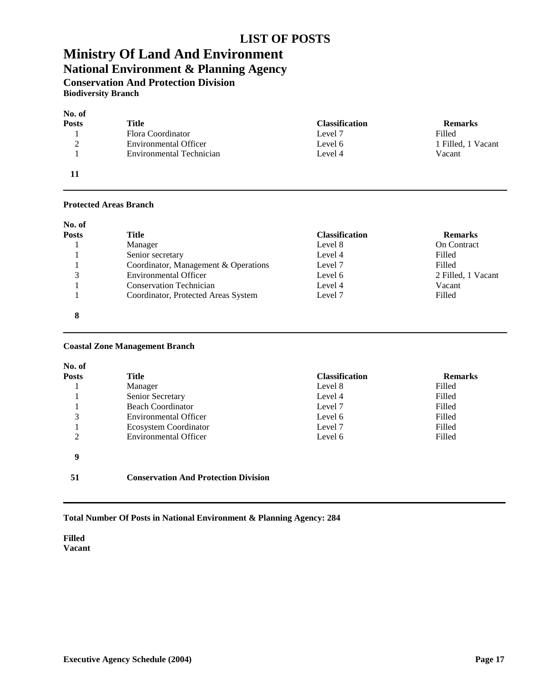### **LIST OF POSTS**

## **Ministry Of Land And Environment National Environment & Planning Agency**

**Conservation And Protection Division**

**Biodiversity Branch**

| No. of             |                              |                       |                    |
|--------------------|------------------------------|-----------------------|--------------------|
| <b>Posts</b>       | Title                        | <b>Classification</b> | <b>Remarks</b>     |
|                    | Flora Coordinator            | Level 7               | Filled             |
| $\mathcal{L}$<br>∠ | <b>Environmental Officer</b> | Level 6               | 1 Filled, 1 Vacant |
|                    | Environmental Technician     | Level 4               | Vacant             |
|                    |                              |                       |                    |

#### **Protected Areas Branch**

| No. of       |                                      |                       |                    |
|--------------|--------------------------------------|-----------------------|--------------------|
| <b>Posts</b> | Title                                | <b>Classification</b> | <b>Remarks</b>     |
|              | Manager                              | Level 8               | <b>On Contract</b> |
|              | Senior secretary                     | Level 4               | Filled             |
|              | Coordinator, Management & Operations | Level 7               | Filled             |
| 3            | <b>Environmental Officer</b>         | Level 6               | 2 Filled, 1 Vacant |
|              | <b>Conservation Technician</b>       | Level 4               | Vacant             |
|              | Coordinator, Protected Areas System  | Level 7               | Filled             |
| 8            |                                      |                       |                    |

#### **Coastal Zone Management Branch**

| No. of |                                             |                       |                |
|--------|---------------------------------------------|-----------------------|----------------|
| Posts  | Title                                       | <b>Classification</b> | <b>Remarks</b> |
|        | Manager                                     | Level 8               | Filled         |
|        | Senior Secretary                            | Level 4               | Filled         |
|        | <b>Beach Coordinator</b>                    | Level 7               | Filled         |
| 3      | <b>Environmental Officer</b>                | Level 6               | Filled         |
|        | Ecosystem Coordinator                       | Level 7               | Filled         |
| 2      | <b>Environmental Officer</b>                | Level 6               | Filled         |
| 9      |                                             |                       |                |
| 51     | <b>Conservation And Protection Division</b> |                       |                |

#### **Total Number Of Posts in National Environment & Planning Agency: 284**

**Filled Vacant**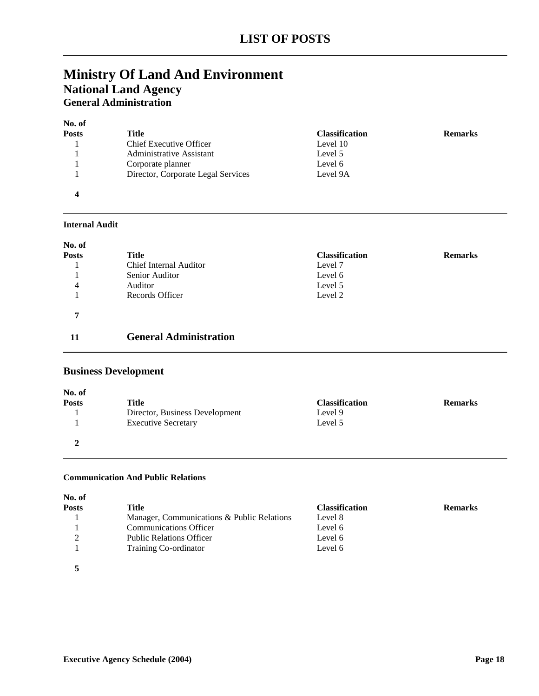## **Ministry Of Land And Environment National Land Agency General Administration**

| No. of       |                                    |                       |                |
|--------------|------------------------------------|-----------------------|----------------|
| <b>Posts</b> | Title                              | <b>Classification</b> | <b>Remarks</b> |
|              | <b>Chief Executive Officer</b>     | Level 10              |                |
|              | Administrative Assistant           | Level 5               |                |
|              | Corporate planner                  | Level 6               |                |
|              | Director, Corporate Legal Services | Level 9A              |                |
| 4            |                                    |                       |                |

#### **Internal Audit**

| No. of       |                               |                       |                |
|--------------|-------------------------------|-----------------------|----------------|
| <b>Posts</b> | Title                         | <b>Classification</b> | <b>Remarks</b> |
|              | <b>Chief Internal Auditor</b> | Level 7               |                |
|              | Senior Auditor                | Level 6               |                |
| 4            | Auditor                       | Level 5               |                |
|              | Records Officer               | Level 2               |                |
| 7            |                               |                       |                |
| 11           | <b>General Administration</b> |                       |                |

### **Business Development**

| No. of       |                                |                       |                |
|--------------|--------------------------------|-----------------------|----------------|
| <b>Posts</b> | Title                          | <b>Classification</b> | <b>Remarks</b> |
|              | Director, Business Development | Level 9               |                |
|              | <b>Executive Secretary</b>     | Level 5               |                |
|              |                                |                       |                |

#### **Communication And Public Relations**

| Posts | Title                                      | <b>Classification</b> | <b>Remarks</b> |
|-------|--------------------------------------------|-----------------------|----------------|
|       | Manager, Communications & Public Relations | Level 8               |                |
|       | <b>Communications Officer</b>              | Level 6               |                |
| ◠     | <b>Public Relations Officer</b>            | Level 6               |                |
|       | Training Co-ordinator                      | Level 6               |                |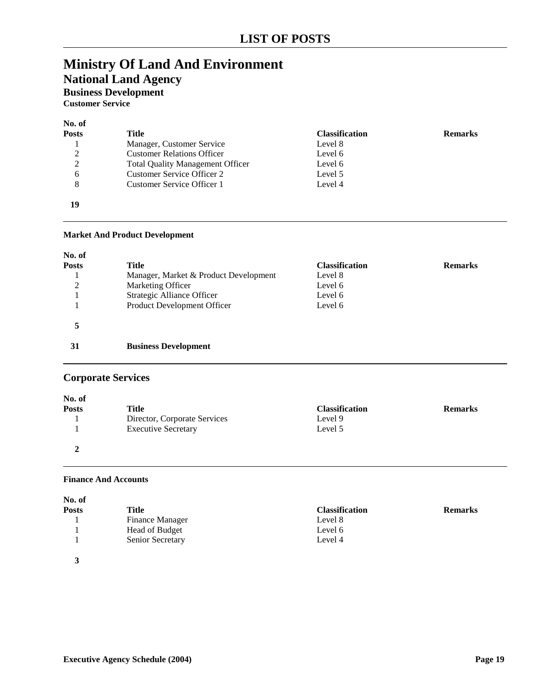## **National Land Agency**

**Business Development**

**Customer Service**

### **No. of Posts Title Classification Remarks** 1 Manager, Customer Service Level 8 2 Customer Relations Officer Level 6<br>2 Total Quality Management Officer Level 6 2 Total Quality Management Officer Level 6 6 Customer Service Officer 2 Level 5<br>8 Customer Service Officer 1 Level 4 Customer Service Officer 1 **19**

#### **Market And Product Development**

| No. of       |                                       |                       |                |
|--------------|---------------------------------------|-----------------------|----------------|
| <b>Posts</b> | Title                                 | <b>Classification</b> | <b>Remarks</b> |
|              | Manager, Market & Product Development | Level 8               |                |
| 2            | Marketing Officer                     | Level 6               |                |
|              | Strategic Alliance Officer            | Level 6               |                |
|              | Product Development Officer           | Level 6               |                |
|              |                                       |                       |                |
| 31           | <b>Business Development</b>           |                       |                |

### **Corporate Services**

| No. of       |                              |                       |                |
|--------------|------------------------------|-----------------------|----------------|
| <b>Posts</b> | Title                        | <b>Classification</b> | <b>Remarks</b> |
|              | Director, Corporate Services | Level 9               |                |
|              | <b>Executive Secretary</b>   | Level 5               |                |
|              |                              |                       |                |

#### **Finance And Accounts**

| <b>Posts</b> | <b>Title</b>           | <b>Classification</b> | <b>Remarks</b> |
|--------------|------------------------|-----------------------|----------------|
|              | <b>Finance Manager</b> | Level 8               |                |
|              | Head of Budget         | Level 6               |                |
|              | Senior Secretary       | Level 4               |                |
| $\mathbf{r}$ |                        |                       |                |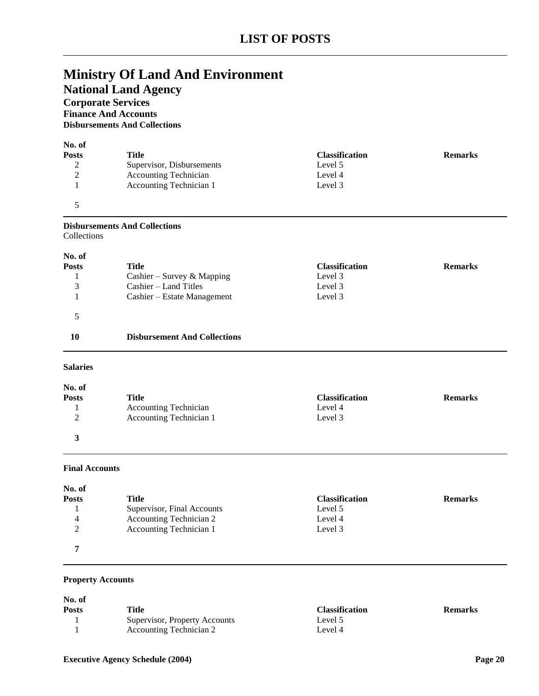**National Land Agency**

## **Corporate Services**

**Finance And Accounts Disbursements And Collections**

| No. of<br><b>Posts</b> | Title                        | <b>Classification</b> | <b>Remarks</b> |
|------------------------|------------------------------|-----------------------|----------------|
|                        | Supervisor, Disbursements    | Level 5               |                |
| 2                      | <b>Accounting Technician</b> | Level 4               |                |
|                        | Accounting Technician 1      | Level 3               |                |
|                        |                              |                       |                |

#### **Disbursements And Collections** Collections

**No. of**

| 130. OF      |                                     |                       |                |
|--------------|-------------------------------------|-----------------------|----------------|
| <b>Posts</b> | Title                               | <b>Classification</b> | <b>Remarks</b> |
|              | Cashier – Survey & Mapping          | Level 3               |                |
| 3            | $Cashier - Land Titles$             | Level 3               |                |
|              | Cashier – Estate Management         | Level 3               |                |
|              |                                     |                       |                |
| 10           | <b>Disbursement And Collections</b> |                       |                |
|              |                                     |                       |                |

#### **Salaries**

| No. of       |                              |                       |                |
|--------------|------------------------------|-----------------------|----------------|
| <b>Posts</b> | Title                        | <b>Classification</b> | <b>Remarks</b> |
|              | <b>Accounting Technician</b> | Level 4               |                |
| ↑<br>∠       | Accounting Technician 1      | Level 3               |                |
|              |                              |                       |                |

#### **Final Accounts**

| No. of       |                            |                       |                |
|--------------|----------------------------|-----------------------|----------------|
| <b>Posts</b> | Title                      | <b>Classification</b> | <b>Remarks</b> |
|              | Supervisor, Final Accounts | Level 5               |                |
| 4            | Accounting Technician 2    | Level 4               |                |
| ∍            | Accounting Technician 1    | Level 3               |                |
| ៗ            |                            |                       |                |

#### **Property Accounts**

| No. of<br><b>Posts</b> | Title                                                    | <b>Classification</b> | <b>Remarks</b> |
|------------------------|----------------------------------------------------------|-----------------------|----------------|
|                        | Supervisor, Property Accounts<br>Accounting Technician 2 | Level 5<br>Level 4    |                |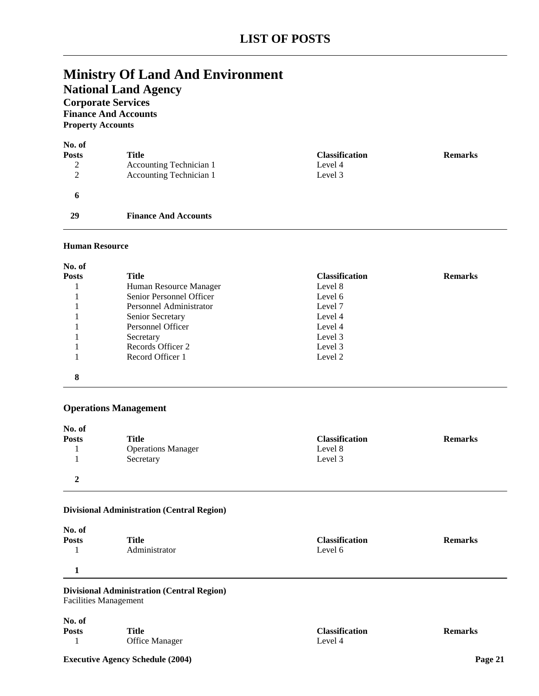## **Ministry Of Land And Environment National Land Agency Corporate Services**

**Finance And Accounts**

**Property Accounts**

| No. of<br><b>Posts</b><br>2<br>2 | <b>Title</b><br>Accounting Technician 1<br>Accounting Technician 1 | <b>Classification</b><br>Level 4<br>Level 3 | <b>Remarks</b> |
|----------------------------------|--------------------------------------------------------------------|---------------------------------------------|----------------|
| 6                                |                                                                    |                                             |                |
| 29                               | <b>Finance And Accounts</b>                                        |                                             |                |

#### **Human Resource**

| No. of       |                          |                       |                |
|--------------|--------------------------|-----------------------|----------------|
| <b>Posts</b> | Title                    | <b>Classification</b> | <b>Remarks</b> |
|              | Human Resource Manager   | Level 8               |                |
|              | Senior Personnel Officer | Level 6               |                |
|              | Personnel Administrator  | Level 7               |                |
|              | Senior Secretary         | Level 4               |                |
|              | Personnel Officer        | Level 4               |                |
|              | Secretary                | Level 3               |                |
|              | Records Officer 2        | Level 3               |                |
|              | Record Officer 1         | Level 2               |                |
| 8            |                          |                       |                |

#### **Operations Management**

| No. of       |                           |                       |                |
|--------------|---------------------------|-----------------------|----------------|
| <b>Posts</b> | <b>Title</b>              | <b>Classification</b> | <b>Remarks</b> |
|              | <b>Operations Manager</b> | Level 8               |                |
|              | Secretary                 | Level 3               |                |
| $\mathbf{2}$ |                           |                       |                |

### **Divisional Administration (Central Region)**

| No. of       |               |                       |                |
|--------------|---------------|-----------------------|----------------|
| <b>Posts</b> | <b>Title</b>  | <b>Classification</b> | <b>Remarks</b> |
|              | Administrator | Level 6               |                |
|              |               |                       |                |

**Divisional Administration (Central Region)** Facilities Management

| No. of       |                       |          |
|--------------|-----------------------|----------|
| <b>Posts</b> | Title                 | Classifi |
|              | <b>Office Manager</b> | Level 4  |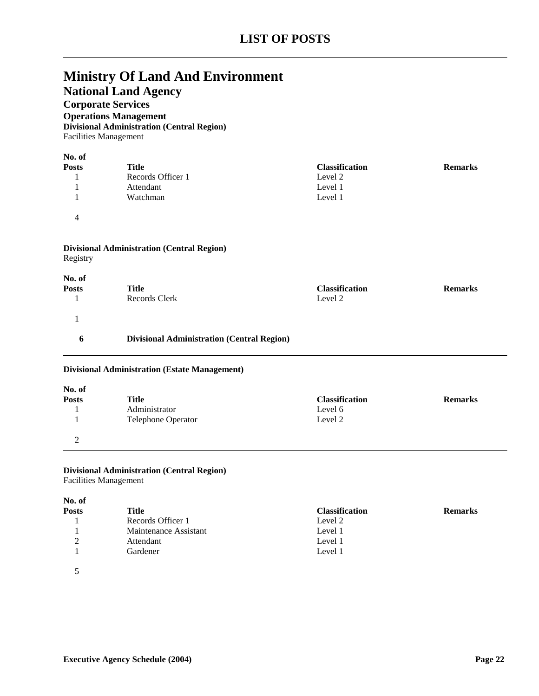**National Land Agency**

**Corporate Services**

**Operations Management Divisional Administration (Central Region)**

Facilities Management

| No. of       |                   |                       |                |
|--------------|-------------------|-----------------------|----------------|
| <b>Posts</b> | <b>Title</b>      | <b>Classification</b> | <b>Remarks</b> |
|              | Records Officer 1 | Level 2               |                |
|              | Attendant         | Level 1               |                |
|              | Watchman          | Level 1               |                |
| 4            |                   |                       |                |

#### **Divisional Administration (Central Region)** Registry

| No. of<br><b>Posts</b> | <b>Title</b><br>Records Clerk                     | <b>Classification</b><br>Level 2 | <b>Remarks</b> |
|------------------------|---------------------------------------------------|----------------------------------|----------------|
|                        |                                                   |                                  |                |
| 6                      | <b>Divisional Administration (Central Region)</b> |                                  |                |

#### **Divisional Administration (Estate Management)**

| No. of       |                           |                       |                |
|--------------|---------------------------|-----------------------|----------------|
| <b>Posts</b> | <b>Title</b>              | <b>Classification</b> | <b>Remarks</b> |
|              | Administrator             | Level 6               |                |
|              | <b>Telephone Operator</b> | Level 2               |                |
| ↑<br>∸       |                           |                       |                |

#### **Divisional Administration (Central Region)** Facilities Management

### **No. of Posts Title Classification Remarks** 1 Records Officer 1 Level 2<br>1 Maintenance Assistant Level 1 1 Maintenance Assistant 2 Attendant Level 1 1 Gardener Level 1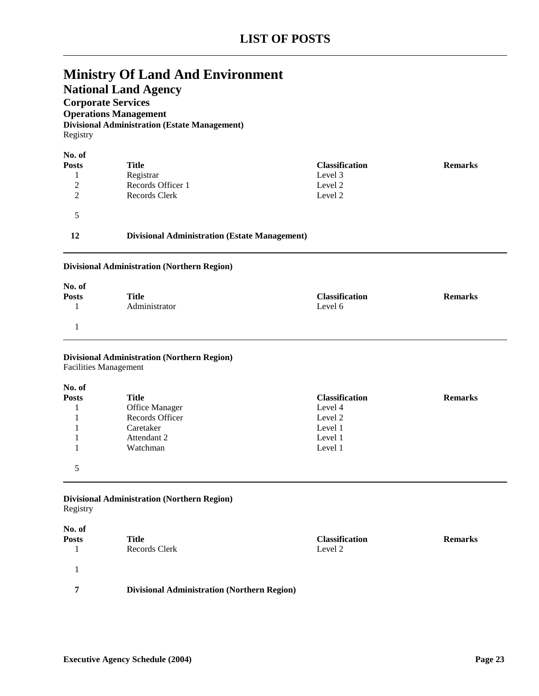**National Land Agency**

### **Corporate Services**

**Operations Management Divisional Administration (Estate Management)** Registry

| No. of         |                                                      |                       |                |
|----------------|------------------------------------------------------|-----------------------|----------------|
| <b>Posts</b>   | Title                                                | <b>Classification</b> | <b>Remarks</b> |
|                | Registrar                                            | Level 3               |                |
| $\overline{2}$ | Records Officer 1                                    | Level 2               |                |
| $\mathcal{D}$  | Records Clerk                                        | Level 2               |                |
|                |                                                      |                       |                |
| 12             | <b>Divisional Administration (Estate Management)</b> |                       |                |

#### **Divisional Administration (Northern Region)**

| No. of       |               |                       |                |
|--------------|---------------|-----------------------|----------------|
| <b>Posts</b> | Title         | <b>Classification</b> | <b>Remarks</b> |
|              | Administrator | Level 6               |                |
|              |               |                       |                |

#### **Divisional Administration (Northern Region)** Facilities Management

### **No. of Posts Posts Classification Remarks Classification Remarks Classification Remarks** 1 Office Manager Level 4<br>1 Records Officer Level 2 1 Records Officer 1 Caretaker Level 1 1 **Attendant 2** Level 1 1 Watchman Level 1 5

## **Divisional Administration (Northern Region)**

Registry

| No. of<br>Posts | Title<br>Records Clerk                             | <b>Classification</b><br>Level 2 | <b>Remarks</b> |
|-----------------|----------------------------------------------------|----------------------------------|----------------|
|                 |                                                    |                                  |                |
| 7               | <b>Divisional Administration (Northern Region)</b> |                                  |                |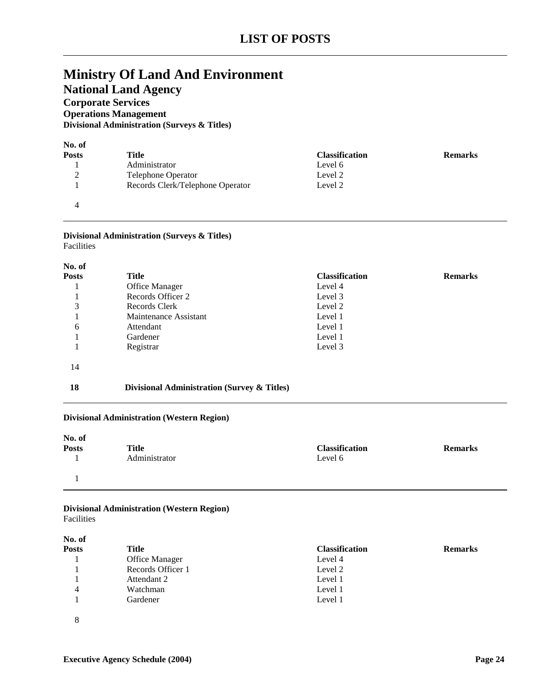## **National Land Agency**

**Corporate Services**

**Operations Management**

**Divisional Administration (Surveys & Titles)**

| No. of       |                                  |                       |                |
|--------------|----------------------------------|-----------------------|----------------|
| <b>Posts</b> | Title                            | <b>Classification</b> | <b>Remarks</b> |
|              | Administrator                    | Level 6               |                |
| ∍<br>∠       | <b>Telephone Operator</b>        | Level 2               |                |
|              | Records Clerk/Telephone Operator | Level 2               |                |
|              |                                  |                       |                |

#### **Divisional Administration (Surveys & Titles)** Facilities

| No. of       |                                             |                       |                |
|--------------|---------------------------------------------|-----------------------|----------------|
| <b>Posts</b> | Title                                       | <b>Classification</b> | <b>Remarks</b> |
|              | <b>Office Manager</b>                       | Level 4               |                |
|              | Records Officer 2                           | Level 3               |                |
| 3            | Records Clerk                               | Level 2               |                |
|              | Maintenance Assistant                       | Level 1               |                |
| 6            | Attendant                                   | Level 1               |                |
|              | Gardener                                    | Level 1               |                |
|              | Registrar                                   | Level 3               |                |
| 14           |                                             |                       |                |
| 18           | Divisional Administration (Survey & Titles) |                       |                |

#### **Divisional Administration (Western Region)**

| No. of       |               |                       |                |
|--------------|---------------|-----------------------|----------------|
| <b>Posts</b> | <b>Title</b>  | <b>Classification</b> | <b>Remarks</b> |
|              | Administrator | Level 6               |                |
|              |               |                       |                |

#### **Divisional Administration (Western Region)** Facilities

| No. of       |                   |                       |                |
|--------------|-------------------|-----------------------|----------------|
| <b>Posts</b> | <b>Title</b>      | <b>Classification</b> | <b>Remarks</b> |
|              | Office Manager    | Level 4               |                |
|              | Records Officer 1 | Level 2               |                |
|              | Attendant 2       | Level 1               |                |
| 4            | Watchman          | Level 1               |                |
|              | Gardener          | Level 1               |                |
| 8            |                   |                       |                |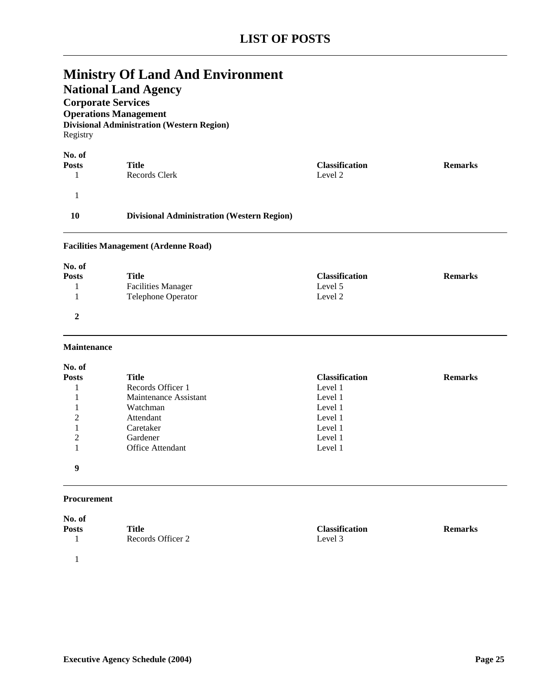## **National Land Agency**

**Corporate Services**

**Operations Management Divisional Administration (Western Region)** Registry

| No. of       |                                                   |                       |                |
|--------------|---------------------------------------------------|-----------------------|----------------|
| <b>Posts</b> | Title                                             | <b>Classification</b> | <b>Remarks</b> |
|              | Records Clerk                                     | Level 2               |                |
|              |                                                   |                       |                |
| 10           | <b>Divisional Administration (Western Region)</b> |                       |                |

#### **Facilities Management (Ardenne Road)**

| No. of       |                           |                       |                |
|--------------|---------------------------|-----------------------|----------------|
| <b>Posts</b> | Title                     | <b>Classification</b> | <b>Remarks</b> |
|              | <b>Facilities Manager</b> | Level 5               |                |
|              | <b>Telephone Operator</b> | Level 2               |                |
| ↑            |                           |                       |                |

#### **Maintenance**

| No. of         |                         |                       |                |
|----------------|-------------------------|-----------------------|----------------|
| <b>Posts</b>   | Title                   | <b>Classification</b> | <b>Remarks</b> |
|                | Records Officer 1       | Level 1               |                |
|                | Maintenance Assistant   | Level 1               |                |
|                | Watchman                | Level 1               |                |
| 2              | Attendant               | Level 1               |                |
|                | Caretaker               | Level 1               |                |
| $\overline{2}$ | Gardener                | Level 1               |                |
|                | <b>Office Attendant</b> | Level 1               |                |
| 9              |                         |                       |                |

#### **Procurement**

| No. of       |                   |                       |                |
|--------------|-------------------|-----------------------|----------------|
| <b>Posts</b> | Title             | <b>Classification</b> | <b>Remarks</b> |
|              | Records Officer 2 | Level 3               |                |
|              |                   |                       |                |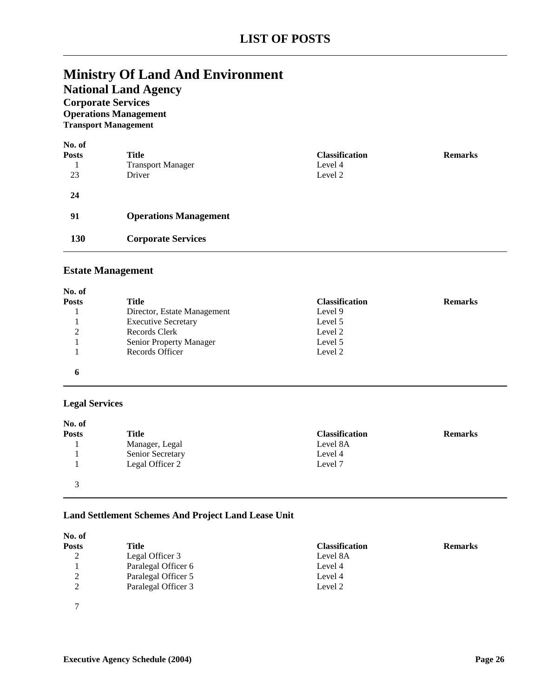**National Land Agency**

### **Corporate Services Operations Management**

**Transport Management**

| No. of       |                              |                       |                |
|--------------|------------------------------|-----------------------|----------------|
| <b>Posts</b> | <b>Title</b>                 | <b>Classification</b> | <b>Remarks</b> |
|              | <b>Transport Manager</b>     | Level 4               |                |
| 23           | Driver                       | Level 2               |                |
| 24           |                              |                       |                |
| 91           | <b>Operations Management</b> |                       |                |
| 130          | <b>Corporate Services</b>    |                       |                |

### **Estate Management**

| No. of       |                                |                       |                |
|--------------|--------------------------------|-----------------------|----------------|
| <b>Posts</b> | Title                          | <b>Classification</b> | <b>Remarks</b> |
|              | Director, Estate Management    | Level 9               |                |
|              | <b>Executive Secretary</b>     | Level 5               |                |
| 2            | Records Clerk                  | Level 2               |                |
|              | <b>Senior Property Manager</b> | Level 5               |                |
|              | Records Officer                | Level 2               |                |
| 6            |                                |                       |                |

### **Legal Services**

| No. of       |                  |                       |                |
|--------------|------------------|-----------------------|----------------|
| <b>Posts</b> | Title            | <b>Classification</b> | <b>Remarks</b> |
|              | Manager, Legal   | Level 8A              |                |
|              | Senior Secretary | Level 4               |                |
|              | Legal Officer 2  | Level 7               |                |
| $\mathbf{z}$ |                  |                       |                |

#### **Land Settlement Schemes And Project Land Lease Unit**

| No. of        |                     |                       |                |
|---------------|---------------------|-----------------------|----------------|
| Posts         | Title               | <b>Classification</b> | <b>Remarks</b> |
| 2             | Legal Officer 3     | Level 8A              |                |
|               | Paralegal Officer 6 | Level 4               |                |
| $\gamma$<br>∠ | Paralegal Officer 5 | Level 4               |                |
| ↑             | Paralegal Officer 3 | Level 2               |                |
| $\mathcal{L}$ |                     |                       |                |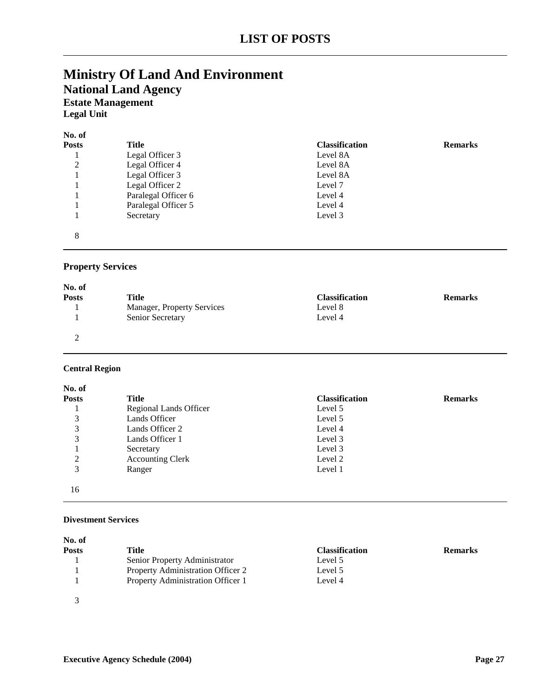## **Ministry Of Land And Environment National Land Agency Estate Management Legal Unit**

| No. of       |                     |                       |                |
|--------------|---------------------|-----------------------|----------------|
| <b>Posts</b> | Title               | <b>Classification</b> | <b>Remarks</b> |
|              | Legal Officer 3     | Level 8A              |                |
| 2            | Legal Officer 4     | Level 8A              |                |
|              | Legal Officer 3     | Level 8A              |                |
|              | Legal Officer 2     | Level 7               |                |
|              | Paralegal Officer 6 | Level 4               |                |
|              | Paralegal Officer 5 | Level 4               |                |
|              | Secretary           | Level 3               |                |
| 8            |                     |                       |                |

### **Property Services**

| No. of       |                                   |                       |                |
|--------------|-----------------------------------|-----------------------|----------------|
| <b>Posts</b> | Title                             | <b>Classification</b> | <b>Remarks</b> |
|              | <b>Manager, Property Services</b> | Level 8               |                |
|              | Senior Secretary                  | Level 4               |                |
|              |                                   |                       |                |

#### **Central Region**

| No. of       |                         |                       |                |
|--------------|-------------------------|-----------------------|----------------|
| <b>Posts</b> | <b>Title</b>            | <b>Classification</b> | <b>Remarks</b> |
|              | Regional Lands Officer  | Level 5               |                |
| 3            | Lands Officer           | Level 5               |                |
| 3            | Lands Officer 2         | Level 4               |                |
| 3            | Lands Officer 1         | Level 3               |                |
|              | Secretary               | Level 3               |                |
| 2            | <b>Accounting Clerk</b> | Level 2               |                |
| 3            | Ranger                  | Level 1               |                |
| 16           |                         |                       |                |

#### **Divestment Services**

| No. of<br><b>Posts</b> | Title                             | <b>Classification</b> | <b>Remarks</b> |
|------------------------|-----------------------------------|-----------------------|----------------|
|                        | Senior Property Administrator     | Level 5               |                |
|                        | Property Administration Officer 2 | Level 5               |                |
|                        | Property Administration Officer 1 | Level 4               |                |
|                        |                                   |                       |                |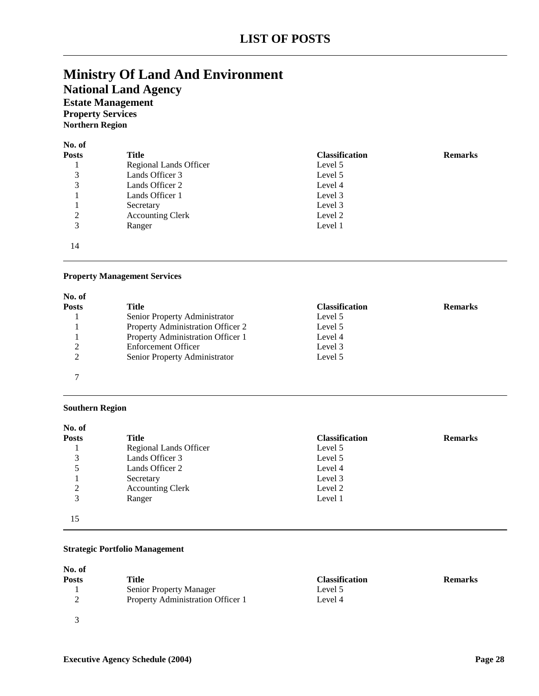**National Land Agency**

### **Estate Management Property Services**

**Northern Region**

| No. of       |                         |                       |                |
|--------------|-------------------------|-----------------------|----------------|
| <b>Posts</b> | <b>Title</b>            | <b>Classification</b> | <b>Remarks</b> |
|              | Regional Lands Officer  | Level 5               |                |
| 3            | Lands Officer 3         | Level 5               |                |
| 3            | Lands Officer 2         | Level 4               |                |
|              | Lands Officer 1         | Level 3               |                |
|              | Secretary               | Level 3               |                |
| 2            | <b>Accounting Clerk</b> | Level 2               |                |
| 3            | Ranger                  | Level 1               |                |
| 14           |                         |                       |                |

#### **Property Management Services**

| <b>Posts</b> | Title                             | <b>Classification</b> | <b>Remarks</b> |
|--------------|-----------------------------------|-----------------------|----------------|
|              | Senior Property Administrator     | Level 5               |                |
|              | Property Administration Officer 2 | Level 5               |                |
|              | Property Administration Officer 1 | Level 4               |                |
| 2            | <b>Enforcement Officer</b>        | Level 3               |                |
| 2            | Senior Property Administrator     | Level 5               |                |
|              |                                   |                       |                |
| ⇁            |                                   |                       |                |

#### **Southern Region**

| No. of       |                         |                       |                |
|--------------|-------------------------|-----------------------|----------------|
| <b>Posts</b> | <b>Title</b>            | <b>Classification</b> | <b>Remarks</b> |
|              | Regional Lands Officer  | Level 5               |                |
| 3            | Lands Officer 3         | Level 5               |                |
| 5            | Lands Officer 2         | Level 4               |                |
|              | Secretary               | Level 3               |                |
| 2            | <b>Accounting Clerk</b> | Level 2               |                |
| 3            | Ranger                  | Level 1               |                |
| 15           |                         |                       |                |

#### **Strategic Portfolio Management**

| No. of       |                                   |                       |                |
|--------------|-----------------------------------|-----------------------|----------------|
| <b>Posts</b> | Title                             | <b>Classification</b> | <b>Remarks</b> |
|              | <b>Senior Property Manager</b>    | Level 5               |                |
|              | Property Administration Officer 1 | Level 4               |                |
|              |                                   |                       |                |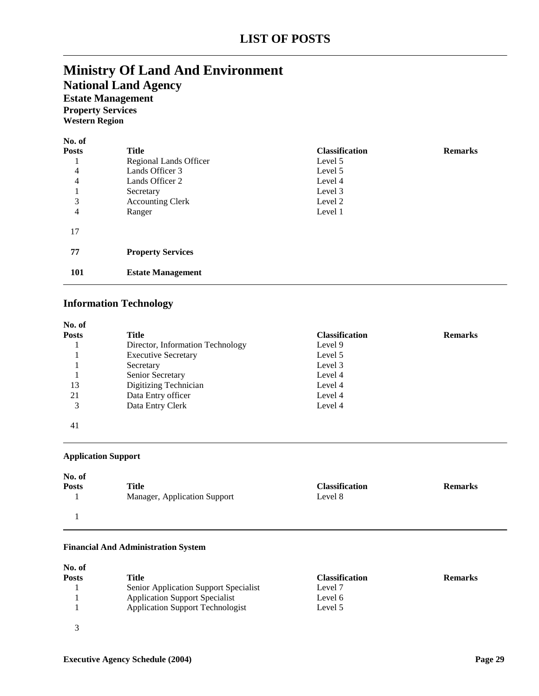## **Ministry Of Land And Environment National Land Agency Estate Management Property Services**

**Western Region**

| No. of       |                          |                       |                |
|--------------|--------------------------|-----------------------|----------------|
| <b>Posts</b> | Title                    | <b>Classification</b> | <b>Remarks</b> |
|              | Regional Lands Officer   | Level 5               |                |
| 4            | Lands Officer 3          | Level 5               |                |
| 4            | Lands Officer 2          | Level 4               |                |
| 1<br>T       | Secretary                | Level 3               |                |
| 3            | <b>Accounting Clerk</b>  | Level 2               |                |
| 4            | Ranger                   | Level 1               |                |
| 17           |                          |                       |                |
| 77           | <b>Property Services</b> |                       |                |
| <b>101</b>   | <b>Estate Management</b> |                       |                |

### **Information Technology**

| No. of       |                                  |                       |                |
|--------------|----------------------------------|-----------------------|----------------|
| <b>Posts</b> | Title                            | <b>Classification</b> | <b>Remarks</b> |
|              | Director, Information Technology | Level 9               |                |
|              | <b>Executive Secretary</b>       | Level 5               |                |
|              | Secretary                        | Level 3               |                |
|              | Senior Secretary                 | Level 4               |                |
| 13           | Digitizing Technician            | Level 4               |                |
| 21           | Data Entry officer               | Level 4               |                |
| 3            | Data Entry Clerk                 | Level 4               |                |
| 41           |                                  |                       |                |

#### **Application Support**

| No. of       | Title                        | <b>Classification</b> | <b>Remarks</b> |
|--------------|------------------------------|-----------------------|----------------|
| <b>Posts</b> | Manager, Application Support | Level 8               |                |
|              |                              |                       |                |

#### **Financial And Administration System**

| No. of       |                                         |                       |                |
|--------------|-----------------------------------------|-----------------------|----------------|
| <b>Posts</b> | Title                                   | <b>Classification</b> | <b>Remarks</b> |
|              | Senior Application Support Specialist   | Level 7               |                |
|              | <b>Application Support Specialist</b>   | Level 6               |                |
|              | <b>Application Support Technologist</b> | Level 5               |                |
|              |                                         |                       |                |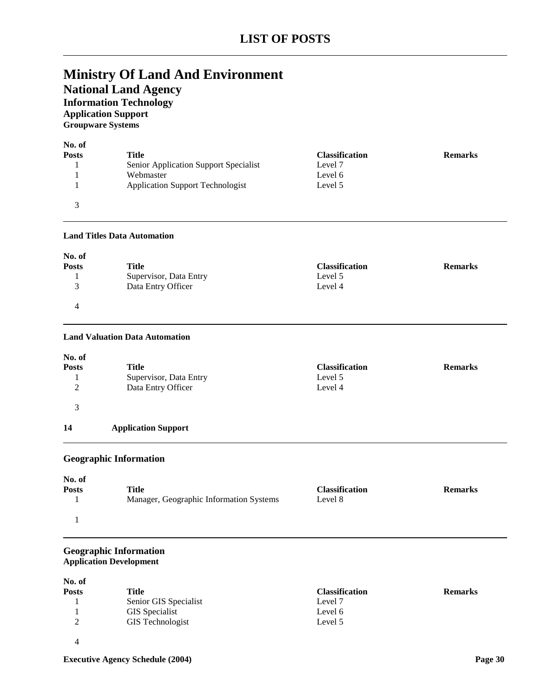## **Ministry Of Land And Environment National Land Agency**

## **Information Technology**

**Application Support Groupware Systems**

| No. of       |                                         |                       |                |
|--------------|-----------------------------------------|-----------------------|----------------|
| <b>Posts</b> | Title                                   | <b>Classification</b> | <b>Remarks</b> |
|              | Senior Application Support Specialist   | Level 7               |                |
|              | Webmaster                               | Level 6               |                |
|              | <b>Application Support Technologist</b> | Level 5               |                |
|              |                                         |                       |                |

#### **Land Titles Data Automation**

| No. of        |                        |                       |                |
|---------------|------------------------|-----------------------|----------------|
| <b>Posts</b>  | Title                  | <b>Classification</b> | <b>Remarks</b> |
|               | Supervisor, Data Entry | Level 5               |                |
| $\mathcal{R}$ | Data Entry Officer     | Level 4               |                |
| 4             |                        |                       |                |

#### **Land Valuation Data Automation**

| No. of<br><b>Posts</b><br>$\overline{2}$ | <b>Title</b><br>Supervisor, Data Entry<br>Data Entry Officer | <b>Classification</b><br>Level 5<br>Level 4 | <b>Remarks</b> |
|------------------------------------------|--------------------------------------------------------------|---------------------------------------------|----------------|
| 3                                        |                                                              |                                             |                |
| 14                                       | <b>Application Support</b>                                   |                                             |                |
|                                          |                                                              |                                             |                |

#### **Geographic Information**

|                                         |         | <b>Remarks</b>        |
|-----------------------------------------|---------|-----------------------|
| Manager, Geographic Information Systems | Level 8 |                       |
|                                         |         |                       |
|                                         | Title   | <b>Classification</b> |

#### **Geographic Information Application Development**

| No. of       |                       |                       |                |
|--------------|-----------------------|-----------------------|----------------|
| <b>Posts</b> | Title                 | <b>Classification</b> | <b>Remarks</b> |
|              | Senior GIS Specialist | Level 7               |                |
|              | <b>GIS</b> Specialist | Level 6               |                |
| ∍<br>∠       | GIS Technologist      | Level 5               |                |
|              |                       |                       |                |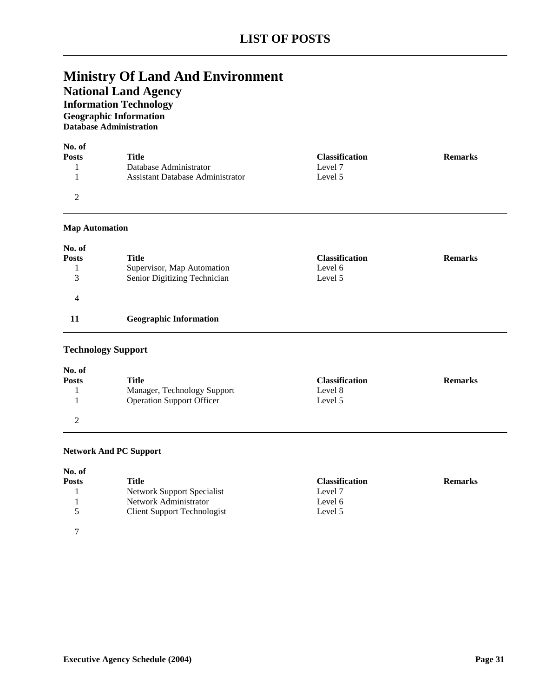## **National Land Agency**

**Information Technology Geographic Information**

**Database Administration**

| No. of<br><b>Posts</b> | Title                                   | <b>Classification</b> | <b>Remarks</b> |
|------------------------|-----------------------------------------|-----------------------|----------------|
|                        | Database Administrator                  | Level 7               |                |
|                        | <b>Assistant Database Administrator</b> | Level 5               |                |
| ∍                      |                                         |                       |                |

#### **Map Automation**

| No. of       |                               |                       |                |
|--------------|-------------------------------|-----------------------|----------------|
| <b>Posts</b> | Title                         | <b>Classification</b> | <b>Remarks</b> |
|              | Supervisor, Map Automation    | Level 6               |                |
| 3            | Senior Digitizing Technician  | Level 5               |                |
| 4            |                               |                       |                |
|              | <b>Geographic Information</b> |                       |                |

### **Technology Support**

| No. of       |                                  |                       |                |
|--------------|----------------------------------|-----------------------|----------------|
| <b>Posts</b> | Title                            | <b>Classification</b> | <b>Remarks</b> |
|              | Manager, Technology Support      | Level 8               |                |
|              | <b>Operation Support Officer</b> | Level 5               |                |
|              |                                  |                       |                |

#### **Network And PC Support**

| No. of       |                                    |                       |                |
|--------------|------------------------------------|-----------------------|----------------|
| <b>Posts</b> | Title                              | <b>Classification</b> | <b>Remarks</b> |
|              | Network Support Specialist         | Level 7               |                |
|              | Network Administrator              | Level 6               |                |
|              | <b>Client Support Technologist</b> | Level 5               |                |
| ⇁            |                                    |                       |                |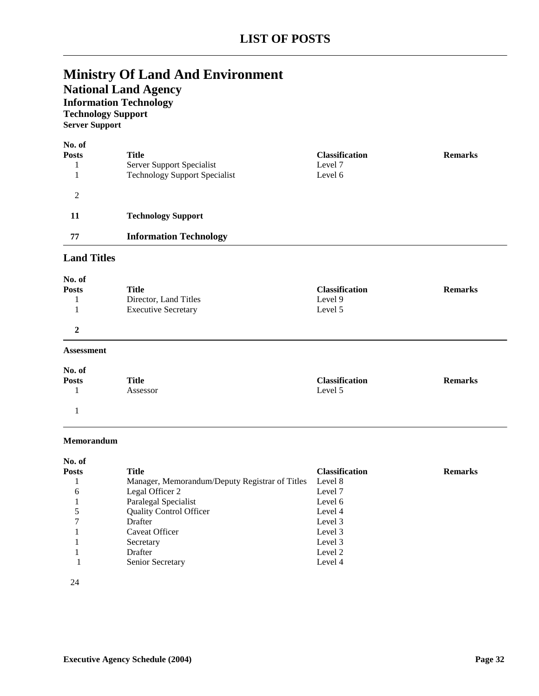## **National Land Agency**

## **Information Technology**

**Technology Support**

**Server Support**

| No. of<br><b>Posts</b> | Title                                | <b>Classification</b> | <b>Remarks</b> |
|------------------------|--------------------------------------|-----------------------|----------------|
|                        | Server Support Specialist            | Level 7               |                |
|                        | <b>Technology Support Specialist</b> | Level 6               |                |
| 2                      |                                      |                       |                |
| 11                     | <b>Technology Support</b>            |                       |                |
| 77                     | <b>Information Technology</b>        |                       |                |

### **Land Titles**

| No. of<br><b>Posts</b> | Title<br>Director, Land Titles<br><b>Executive Secretary</b> | <b>Classification</b><br>Level 9<br>Level 5 | <b>Remarks</b> |
|------------------------|--------------------------------------------------------------|---------------------------------------------|----------------|
| $\mathbf{2}$           |                                                              |                                             |                |
| <b>Assessment</b>      |                                                              |                                             |                |
| No. of                 | ___                                                          |                                             |                |

**Posts Title Classification Remarks** 1 Assessor Level 5 1

#### **Memorandum**

| No. of |                                                |                       |                |
|--------|------------------------------------------------|-----------------------|----------------|
| Posts  | Title                                          | <b>Classification</b> | <b>Remarks</b> |
|        | Manager, Memorandum/Deputy Registrar of Titles | Level 8               |                |
| 6      | Legal Officer 2                                | Level 7               |                |
|        | Paralegal Specialist                           | Level 6               |                |
|        | <b>Quality Control Officer</b>                 | Level 4               |                |
|        | Drafter                                        | Level 3               |                |
|        | Caveat Officer                                 | Level 3               |                |
|        | Secretary                                      | Level 3               |                |
|        | Drafter                                        | Level 2               |                |
|        | Senior Secretary                               | Level 4               |                |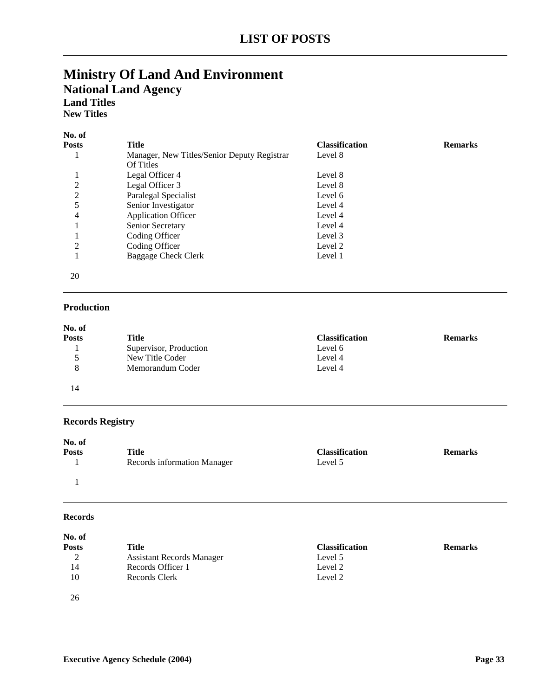### **Ministry Of Land And Environment National Land Agency Land Titles New Titles**

| inew Thile: |
|-------------|
|             |

| No. of         |                                             |                       |                |
|----------------|---------------------------------------------|-----------------------|----------------|
| <b>Posts</b>   | Title                                       | <b>Classification</b> | <b>Remarks</b> |
|                | Manager, New Titles/Senior Deputy Registrar | Level 8               |                |
|                | Of Titles                                   |                       |                |
|                | Legal Officer 4                             | Level 8               |                |
| $\overline{2}$ | Legal Officer 3                             | Level 8               |                |
| $\overline{2}$ | Paralegal Specialist                        | Level 6               |                |
| 5              | Senior Investigator                         | Level 4               |                |
| 4              | <b>Application Officer</b>                  | Level 4               |                |
|                | Senior Secretary                            | Level 4               |                |
|                | Coding Officer                              | Level 3               |                |
| 2              | Coding Officer                              | Level 2               |                |
|                | <b>Baggage Check Clerk</b>                  | Level 1               |                |
|                |                                             |                       |                |
| 20             |                                             |                       |                |

### **Production**

| No. of       |                        |                       |                |
|--------------|------------------------|-----------------------|----------------|
| <b>Posts</b> | Title                  | <b>Classification</b> | <b>Remarks</b> |
|              | Supervisor, Production | Level 6               |                |
|              | New Title Coder        | Level 4               |                |
| 8            | Memorandum Coder       | Level 4               |                |
| 14           |                        |                       |                |

### **Records Registry**

| No. of       |                             |                       |                |
|--------------|-----------------------------|-----------------------|----------------|
| <b>Posts</b> | Title                       | <b>Classification</b> | <b>Remarks</b> |
|              | Records information Manager | Level 5               |                |
|              |                             |                       |                |

#### **Records**

| No. of       |                                  |                       |                |
|--------------|----------------------------------|-----------------------|----------------|
| <b>Posts</b> | Title                            | <b>Classification</b> | <b>Remarks</b> |
| 2            | <b>Assistant Records Manager</b> | Level 5               |                |
| 14           | Records Officer 1                | Level 2               |                |
| 10           | Records Clerk                    | Level 2               |                |
| 26           |                                  |                       |                |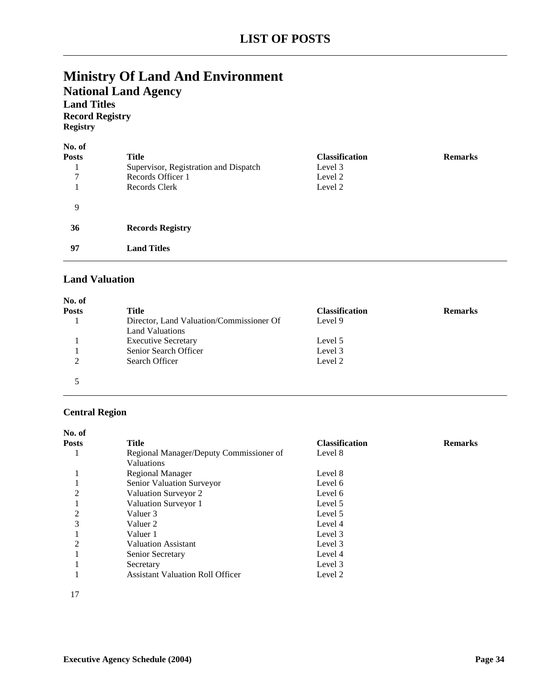# **Ministry Of Land And Environment National Land Agency Land Titles**

**Record Registry Registry**

| No. of<br><b>Posts</b><br>7 | Title<br>Supervisor, Registration and Dispatch<br>Records Officer 1<br>Records Clerk | <b>Classification</b><br>Level 3<br>Level 2<br>Level 2 | <b>Remarks</b> |
|-----------------------------|--------------------------------------------------------------------------------------|--------------------------------------------------------|----------------|
| 9                           |                                                                                      |                                                        |                |
| 36                          | <b>Records Registry</b>                                                              |                                                        |                |
| 97                          | <b>Land Titles</b>                                                                   |                                                        |                |

### **Land Valuation**

| Title                                    | <b>Classification</b> | <b>Remarks</b> |
|------------------------------------------|-----------------------|----------------|
| Director, Land Valuation/Commissioner Of | Level 9               |                |
| <b>Land Valuations</b>                   |                       |                |
| <b>Executive Secretary</b>               | Level 5               |                |
| Senior Search Officer                    | Level 3               |                |
| Search Officer                           | Level 2               |                |
|                                          |                       |                |
|                                          |                       |                |
|                                          |                       |                |

### **Central Region**

| No. of         |                                         |                       |                |
|----------------|-----------------------------------------|-----------------------|----------------|
| <b>Posts</b>   | Title                                   | <b>Classification</b> | <b>Remarks</b> |
|                | Regional Manager/Deputy Commissioner of | Level 8               |                |
|                | <b>Valuations</b>                       |                       |                |
|                | Regional Manager                        | Level 8               |                |
|                | Senior Valuation Surveyor               | Level 6               |                |
| $\overline{2}$ | Valuation Surveyor 2                    | Level 6               |                |
|                | Valuation Surveyor 1                    | Level 5               |                |
| $\overline{c}$ | Valuer 3                                | Level 5               |                |
| 3              | Valuer 2                                | Level 4               |                |
|                | Valuer 1                                | Level 3               |                |
| $\overline{2}$ | <b>Valuation Assistant</b>              | Level 3               |                |
|                | Senior Secretary                        | Level 4               |                |
|                | Secretary                               | Level 3               |                |
|                | <b>Assistant Valuation Roll Officer</b> | Level 2               |                |

17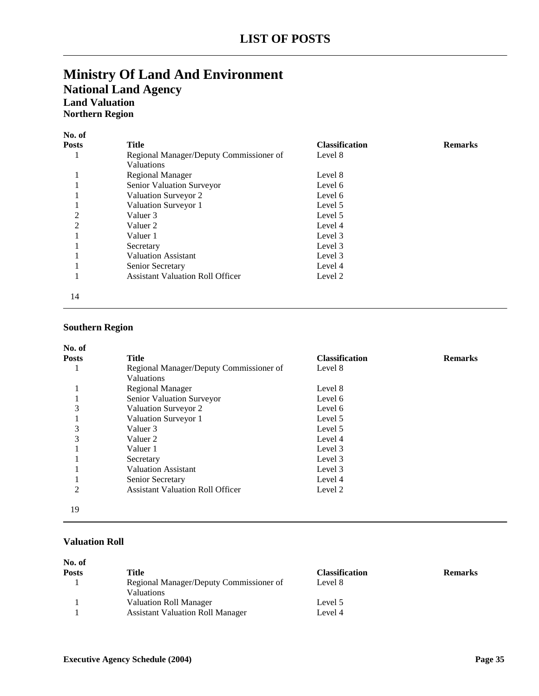# **Ministry Of Land And Environment National Land Agency Land Valuation Northern Region**

| No. of         |                                                              |                       |                |
|----------------|--------------------------------------------------------------|-----------------------|----------------|
| <b>Posts</b>   | <b>Title</b>                                                 | <b>Classification</b> | <b>Remarks</b> |
| л              | Regional Manager/Deputy Commissioner of<br><b>Valuations</b> | Level 8               |                |
|                | <b>Regional Manager</b>                                      | Level 8               |                |
|                | Senior Valuation Surveyor                                    | Level 6               |                |
|                | Valuation Surveyor 2                                         | Level 6               |                |
|                | Valuation Surveyor 1                                         | Level 5               |                |
| $\overline{2}$ | Valuer 3                                                     | Level 5               |                |
| $\overline{c}$ | Valuer 2                                                     | Level 4               |                |
|                | Valuer 1                                                     | Level 3               |                |
|                | Secretary                                                    | Level 3               |                |
|                | <b>Valuation Assistant</b>                                   | Level 3               |                |
|                | Senior Secretary                                             | Level 4               |                |
|                | <b>Assistant Valuation Roll Officer</b>                      | Level 2               |                |
| 14             |                                                              |                       |                |

### **Southern Region**

| No. of         |                                                              |                       |                |
|----------------|--------------------------------------------------------------|-----------------------|----------------|
| <b>Posts</b>   | <b>Title</b>                                                 | <b>Classification</b> | <b>Remarks</b> |
|                | Regional Manager/Deputy Commissioner of<br><b>Valuations</b> | Level 8               |                |
|                | <b>Regional Manager</b>                                      | Level 8               |                |
|                | Senior Valuation Surveyor                                    | Level 6               |                |
| 3              | Valuation Surveyor 2                                         | Level 6               |                |
| ı              | Valuation Surveyor 1                                         | Level 5               |                |
| 3              | Valuer 3                                                     | Level 5               |                |
| 3              | Valuer 2                                                     | Level 4               |                |
|                | Valuer 1                                                     | Level 3               |                |
|                | Secretary                                                    | Level 3               |                |
|                | <b>Valuation Assistant</b>                                   | Level 3               |                |
|                | Senior Secretary                                             | Level 4               |                |
| $\overline{c}$ | <b>Assistant Valuation Roll Officer</b>                      | Level 2               |                |
| 19             |                                                              |                       |                |

### **Valuation Roll**

| No. of       |                                                       |                       |                |
|--------------|-------------------------------------------------------|-----------------------|----------------|
| <b>Posts</b> | Title                                                 | <b>Classification</b> | <b>Remarks</b> |
|              | Regional Manager/Deputy Commissioner of<br>Valuations | Level 8               |                |
|              | <b>Valuation Roll Manager</b>                         | Level 5               |                |
|              | <b>Assistant Valuation Roll Manager</b>               | Level 4               |                |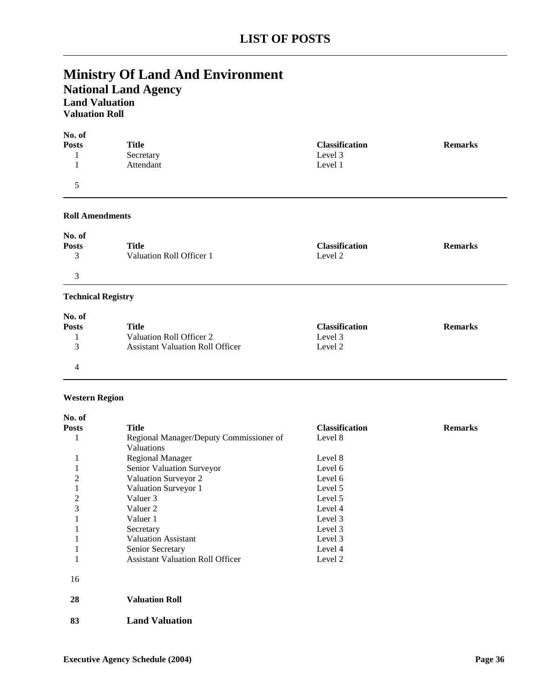# **Ministry Of Land And Environment National Land Agency Land Valuation Valuation Roll**

| <b>Title</b> | <b>Classification</b> | <b>Remarks</b> |
|--------------|-----------------------|----------------|
| Secretary    | Level 3               |                |
| Attendant    | Level 1               |                |
|              |                       |                |

#### **Roll Amendments**

| No. of                       |                                   |                                  |                |
|------------------------------|-----------------------------------|----------------------------------|----------------|
| <b>Posts</b><br>$\mathbf{z}$ | Title<br>Valuation Roll Officer 1 | <b>Classification</b><br>Level 2 | <b>Remarks</b> |
| $\mathbf{c}$                 |                                   |                                  |                |

### **Technical Registry**

| No. of       |                                         |                       |                |
|--------------|-----------------------------------------|-----------------------|----------------|
| <b>Posts</b> | Title                                   | <b>Classification</b> | <b>Remarks</b> |
|              | Valuation Roll Officer 2                | Level 3               |                |
|              | <b>Assistant Valuation Roll Officer</b> | Level 2               |                |
|              |                                         |                       |                |

### **Western Region**

| No. of         |                                         |                       |                |
|----------------|-----------------------------------------|-----------------------|----------------|
| <b>Posts</b>   | <b>Title</b>                            | <b>Classification</b> | <b>Remarks</b> |
| 1              | Regional Manager/Deputy Commissioner of | Level 8               |                |
|                | Valuations                              |                       |                |
| -1             | <b>Regional Manager</b>                 | Level 8               |                |
|                | Senior Valuation Surveyor               | Level 6               |                |
| $\overline{c}$ | Valuation Surveyor 2                    | Level 6               |                |
|                | Valuation Surveyor 1                    | Level 5               |                |
| $\overline{c}$ | Valuer 3                                | Level 5               |                |
| 3              | Valuer 2                                | Level 4               |                |
|                | Valuer 1                                | Level 3               |                |
|                | Secretary                               | Level 3               |                |
|                | <b>Valuation Assistant</b>              | Level 3               |                |
|                | Senior Secretary                        | Level 4               |                |
|                | <b>Assistant Valuation Roll Officer</b> | Level 2               |                |
| 16             |                                         |                       |                |
| 28             | <b>Valuation Roll</b>                   |                       |                |
| 83             | <b>Land Valuation</b>                   |                       |                |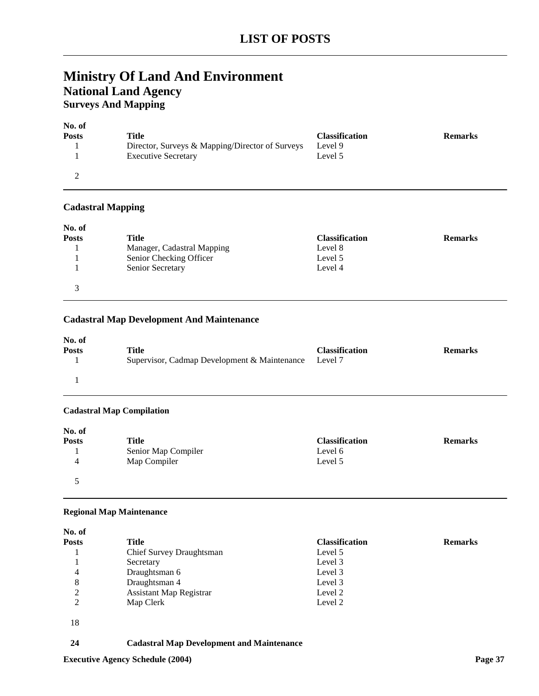# **Ministry Of Land And Environment National Land Agency Surveys And Mapping**

| No. of       |                                                 |                       |                |
|--------------|-------------------------------------------------|-----------------------|----------------|
| <b>Posts</b> | Title                                           | <b>Classification</b> | <b>Remarks</b> |
|              | Director, Surveys & Mapping/Director of Surveys | Level 9               |                |
|              | <b>Executive Secretary</b>                      | Level 5               |                |
|              |                                                 |                       |                |

### **Cadastral Mapping**

| No. of       |                            |                       |                |
|--------------|----------------------------|-----------------------|----------------|
| <b>Posts</b> | Title                      | <b>Classification</b> | <b>Remarks</b> |
|              | Manager, Cadastral Mapping | Level 8               |                |
|              | Senior Checking Officer    | Level 5               |                |
|              | Senior Secretary           | Level 4               |                |
| $\mathbf{R}$ |                            |                       |                |

### **Cadastral Map Development And Maintenance**

| No. of<br><b>Posts</b> | <b>Title</b>                                 | <b>Classification</b> | <b>Remarks</b> |
|------------------------|----------------------------------------------|-----------------------|----------------|
|                        | Supervisor, Cadmap Development & Maintenance | Level 7               |                |
|                        |                                              |                       |                |

### **Cadastral Map Compilation**

| No. of       |                     |                       |                |
|--------------|---------------------|-----------------------|----------------|
| <b>Posts</b> | Title               | <b>Classification</b> | <b>Remarks</b> |
|              | Senior Map Compiler | Level 6               |                |
| 4            | Map Compiler        | Level 5               |                |
|              |                     |                       |                |

#### **Regional Map Maintenance**

| No. of       |                                |                       |                |
|--------------|--------------------------------|-----------------------|----------------|
| <b>Posts</b> | <b>Title</b>                   | <b>Classification</b> | <b>Remarks</b> |
|              | Chief Survey Draughtsman       | Level 5               |                |
|              | Secretary                      | Level 3               |                |
| 4            | Draughtsman 6                  | Level 3               |                |
| 8            | Draughtsman 4                  | Level 3               |                |
| 2            | <b>Assistant Map Registrar</b> | Level 2               |                |
| 2            | Map Clerk                      | Level 2               |                |
| 18           |                                |                       |                |

### **24 Cadastral Map Development and Maintenance**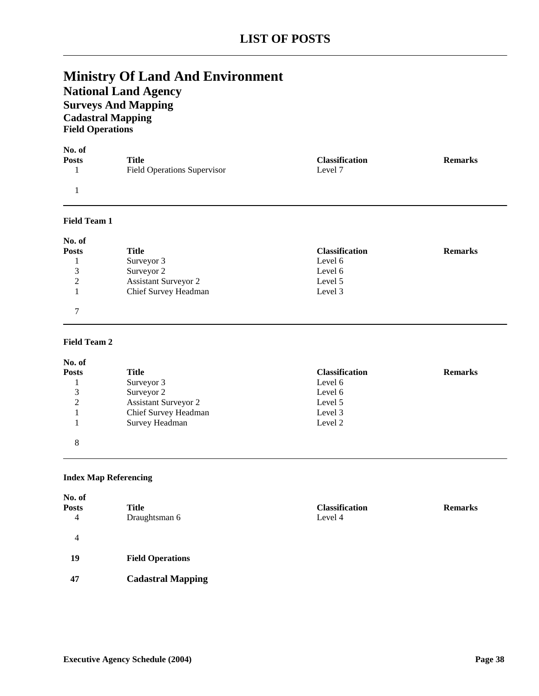# **Ministry Of Land And Environment National Land Agency Surveys And Mapping Cadastral Mapping Field Operations**

| No. of              |                                    |                       |                |
|---------------------|------------------------------------|-----------------------|----------------|
| <b>Posts</b>        | <b>Title</b>                       | <b>Classification</b> | <b>Remarks</b> |
|                     | <b>Field Operations Supervisor</b> | Level 7               |                |
|                     |                                    |                       |                |
| <b>Field Team 1</b> |                                    |                       |                |
| No. of              |                                    |                       |                |
| <b>Posts</b>        | <b>Title</b>                       | <b>Classification</b> | <b>Remarks</b> |
|                     | Surveyor 3                         | Level 6               |                |
| 3                   | Surveyor 2                         | Level 6               |                |
| $\overline{2}$      | <b>Assistant Surveyor 2</b>        | Level 5               |                |
|                     | Chief Survey Headman               | Level 3               |                |
| 7                   |                                    |                       |                |

### **Field Team 2**

| No. of       |                             |                       |                |
|--------------|-----------------------------|-----------------------|----------------|
| <b>Posts</b> | Title                       | <b>Classification</b> | <b>Remarks</b> |
|              | Surveyor 3                  | Level 6               |                |
| 3            | Surveyor 2                  | Level 6               |                |
| 2            | <b>Assistant Surveyor 2</b> | Level 5               |                |
|              | Chief Survey Headman        | Level 3               |                |
|              | Survey Headman              | Level 2               |                |
| 8            |                             |                       |                |

### **Index Map Referencing**

| No. of<br>Posts<br>4 | Title<br>Draughtsman 6   | <b>Classification</b><br>Level 4 | <b>Remarks</b> |
|----------------------|--------------------------|----------------------------------|----------------|
| 4                    |                          |                                  |                |
| 19                   | <b>Field Operations</b>  |                                  |                |
| 47                   | <b>Cadastral Mapping</b> |                                  |                |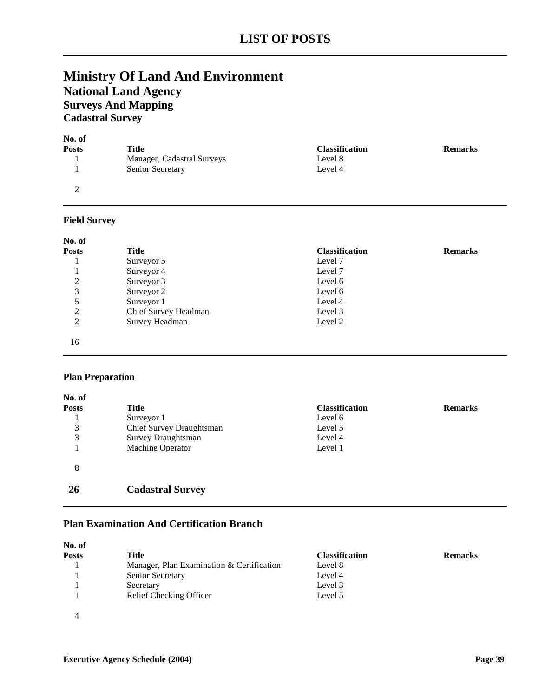# **Ministry Of Land And Environment National Land Agency Surveys And Mapping Cadastral Survey**

| No. of       |                            |                       |                |
|--------------|----------------------------|-----------------------|----------------|
| <b>Posts</b> | Title                      | <b>Classification</b> | <b>Remarks</b> |
|              | Manager, Cadastral Surveys | Level 8               |                |
|              | Senior Secretary           | Level 4               |                |
|              |                            |                       |                |

### **Field Survey**

| No. of         |                      |                       |                |
|----------------|----------------------|-----------------------|----------------|
| <b>Posts</b>   | Title                | <b>Classification</b> | <b>Remarks</b> |
|                | Surveyor 5           | Level 7               |                |
|                | Surveyor 4           | Level 7               |                |
| 2              | Surveyor 3           | Level 6               |                |
| 3              | Surveyor 2           | Level 6               |                |
|                | Surveyor 1           | Level 4               |                |
| 2              | Chief Survey Headman | Level 3               |                |
| $\overline{2}$ | Survey Headman       | Level 2               |                |
| 16             |                      |                       |                |

### **Plan Preparation**

| No. of       |                           |                       |                |
|--------------|---------------------------|-----------------------|----------------|
| <b>Posts</b> | Title                     | <b>Classification</b> | <b>Remarks</b> |
|              | Surveyor 1                | Level 6               |                |
| 3            | Chief Survey Draughtsman  | Level 5               |                |
| 3            | <b>Survey Draughtsman</b> | Level 4               |                |
|              | Machine Operator          | Level 1               |                |
| 8            |                           |                       |                |
| 26           | <b>Cadastral Survey</b>   |                       |                |

## **Plan Examination And Certification Branch**

| No. of |                                           |                       |                |
|--------|-------------------------------------------|-----------------------|----------------|
| Posts  | Title                                     | <b>Classification</b> | <b>Remarks</b> |
|        | Manager, Plan Examination & Certification | Level 8               |                |
|        | Senior Secretary                          | Level 4               |                |
|        | Secretary                                 | Level 3               |                |
|        | Relief Checking Officer                   | Level 5               |                |
|        |                                           |                       |                |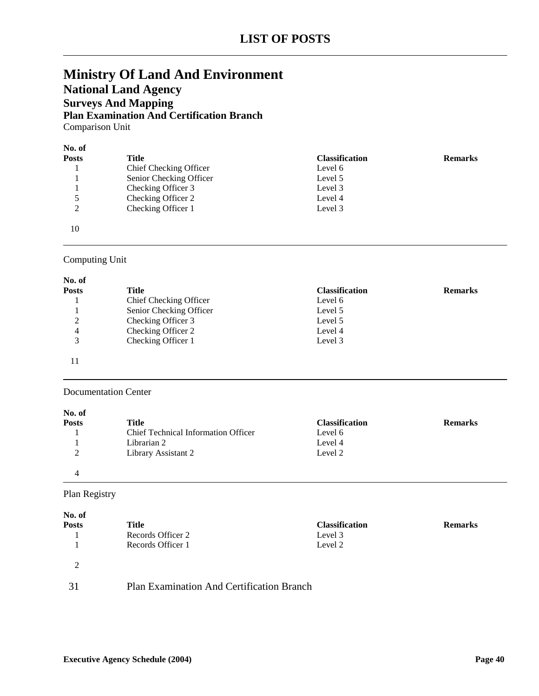# **Ministry Of Land And Environment National Land Agency Surveys And Mapping Plan Examination And Certification Branch** Comparison Unit

| No. of       |                         |                       |                |
|--------------|-------------------------|-----------------------|----------------|
| <b>Posts</b> | <b>Title</b>            | <b>Classification</b> | <b>Remarks</b> |
|              | Chief Checking Officer  | Level 6               |                |
|              | Senior Checking Officer | Level 5               |                |
|              | Checking Officer 3      | Level 3               |                |
| 5            | Checking Officer 2      | Level 4               |                |
| 2            | Checking Officer 1      | Level 3               |                |
| 10           |                         |                       |                |

# Computing Unit

| No. of       |                         |                       |                |
|--------------|-------------------------|-----------------------|----------------|
| <b>Posts</b> | Title                   | <b>Classification</b> | <b>Remarks</b> |
|              | Chief Checking Officer  | Level 6               |                |
|              | Senior Checking Officer | Level 5               |                |
| 2            | Checking Officer 3      | Level 5               |                |
| 4            | Checking Officer 2      | Level 4               |                |
| 3            | Checking Officer 1      | Level 3               |                |
|              |                         |                       |                |

#### Documentation Center

| No. of          |                                            |                       |                |
|-----------------|--------------------------------------------|-----------------------|----------------|
| <b>Posts</b>    | Title                                      | <b>Classification</b> | <b>Remarks</b> |
|                 | <b>Chief Technical Information Officer</b> | Level 6               |                |
|                 | Librarian 2                                | Level 4               |                |
| $\bigcirc$<br>∠ | Library Assistant 2                        | Level 2               |                |
|                 |                                            |                       |                |

# Plan Registry

| No. of        |                                           |                       |                |
|---------------|-------------------------------------------|-----------------------|----------------|
| <b>Posts</b>  | Title                                     | <b>Classification</b> | <b>Remarks</b> |
|               | Records Officer 2                         | Level 3               |                |
|               | Records Officer 1                         | Level 2               |                |
| $\mathcal{D}$ |                                           |                       |                |
| 31            | Plan Examination And Certification Branch |                       |                |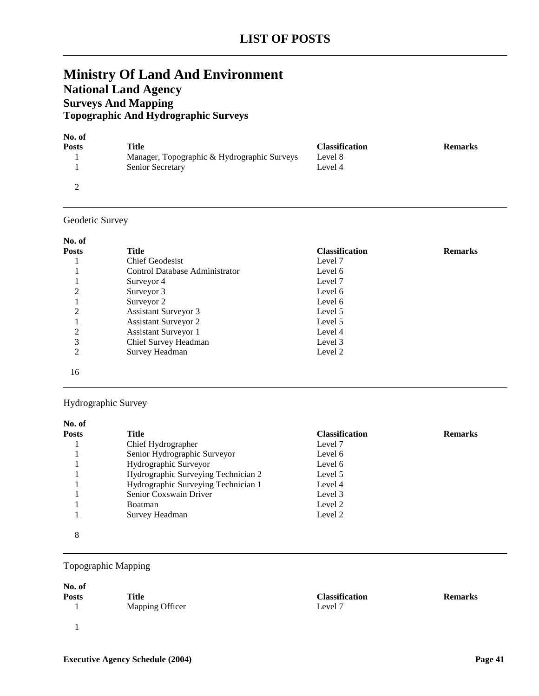# **Ministry Of Land And Environment National Land Agency Surveys And Mapping Topographic And Hydrographic Surveys**

| No. of       |                                             |                       |                |
|--------------|---------------------------------------------|-----------------------|----------------|
| <b>Posts</b> | Title                                       | <b>Classification</b> | <b>Remarks</b> |
|              | Manager, Topographic & Hydrographic Surveys | Level 8               |                |
|              | Senior Secretary                            | Level 4               |                |
|              |                                             |                       |                |

### Geodetic Survey

#### **No. of**

| .     |                                |                       |                |
|-------|--------------------------------|-----------------------|----------------|
| Posts | Title                          | <b>Classification</b> | <b>Remarks</b> |
|       | <b>Chief Geodesist</b>         | Level 7               |                |
|       | Control Database Administrator | Level 6               |                |
|       | Surveyor 4                     | Level 7               |                |
| 2     | Surveyor 3                     | Level 6               |                |
|       | Surveyor 2                     | Level 6               |                |
| 2     | <b>Assistant Surveyor 3</b>    | Level 5               |                |
|       | <b>Assistant Surveyor 2</b>    | Level 5               |                |
| 2     | <b>Assistant Surveyor 1</b>    | Level 4               |                |
| 3     | Chief Survey Headman           | Level 3               |                |
| 2     | Survey Headman                 | Level 2               |                |
| 16    |                                |                       |                |

### Hydrographic Survey

| No. of       |                                     |                       |                |
|--------------|-------------------------------------|-----------------------|----------------|
| <b>Posts</b> | Title                               | <b>Classification</b> | <b>Remarks</b> |
|              | Chief Hydrographer                  | Level 7               |                |
|              | Senior Hydrographic Surveyor        | Level 6               |                |
|              | Hydrographic Surveyor               | Level 6               |                |
|              | Hydrographic Surveying Technician 2 | Level 5               |                |
|              | Hydrographic Surveying Technician 1 | Level 4               |                |
|              | Senior Coxswain Driver              | Level 3               |                |
|              | <b>Boatman</b>                      | Level 2               |                |
|              | Survey Headman                      | Level 2               |                |
| 8            |                                     |                       |                |

### Topographic Mapping

#### **No. of**

| Posts | Title                  | <b>Classification</b> | <b>Remarks</b> |
|-------|------------------------|-----------------------|----------------|
|       | <b>Mapping Officer</b> | Level 7               |                |
|       |                        |                       |                |
|       |                        |                       |                |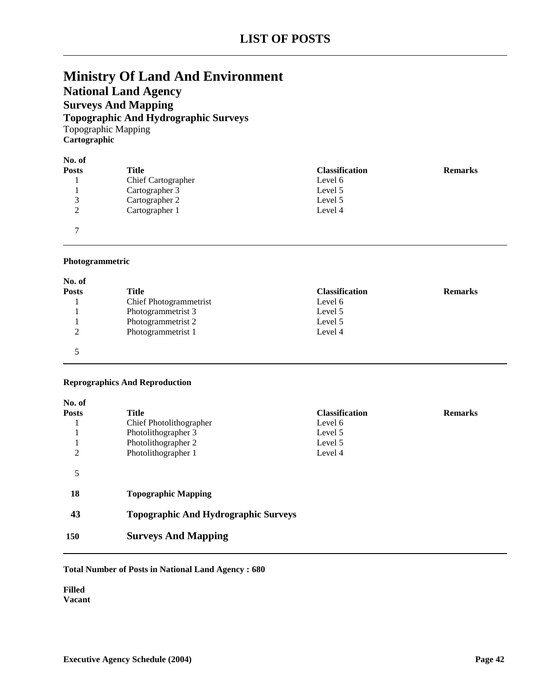# **LIST OF POSTS**

# **Ministry Of Land And Environment National Land Agency Surveys And Mapping Topographic And Hydrographic Surveys** Topographic Mapping **Cartographic**

| No. of                   |  |
|--------------------------|--|
| $\overline{\phantom{a}}$ |  |

| Posts          | Title                     | <b>Classification</b> | <b>Remarks</b> |
|----------------|---------------------------|-----------------------|----------------|
|                | <b>Chief Cartographer</b> | Level 6               |                |
|                | Cartographer 3            | Level 5               |                |
| ⌒              | Cartographer 2            | Level 5               |                |
| ◠              | Cartographer 1            | Level 4               |                |
| $\overline{ }$ |                           |                       |                |

#### **Photogrammetric**

| No. of       |                        |                       |                |
|--------------|------------------------|-----------------------|----------------|
| <b>Posts</b> | Title                  | <b>Classification</b> | <b>Remarks</b> |
|              | Chief Photogrammetrist | Level 6               |                |
|              | Photogrammetrist 3     | Level 5               |                |
|              | Photogrammetrist 2     | Level 5               |                |
| ◠            | Photogrammetrist 1     | Level 4               |                |
|              |                        |                       |                |

### **Reprographics And Reproduction**

| No. of       |                                             |                       |                |
|--------------|---------------------------------------------|-----------------------|----------------|
| <b>Posts</b> | <b>Title</b>                                | <b>Classification</b> | <b>Remarks</b> |
|              | Chief Photolithographer                     | Level 6               |                |
|              | Photolithographer 3                         | Level 5               |                |
|              | Photolithographer 2                         | Level 5               |                |
| 2            | Photolithographer 1                         | Level 4               |                |
| 5            |                                             |                       |                |
| 18           | <b>Topographic Mapping</b>                  |                       |                |
| 43           | <b>Topographic And Hydrographic Surveys</b> |                       |                |
| 150          | <b>Surveys And Mapping</b>                  |                       |                |

#### **Total Number of Posts in National Land Agency : 680**

**Filled Vacant**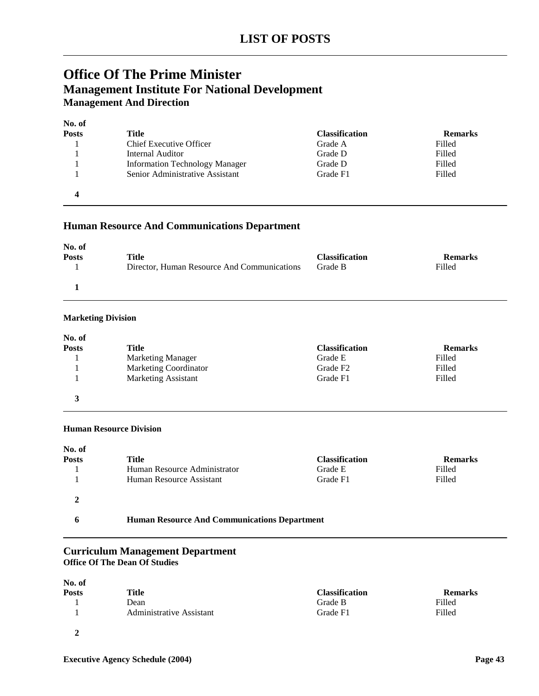# **Office Of The Prime Minister Management Institute For National Development Management And Direction**

| No. of |                                       |                       |                |
|--------|---------------------------------------|-----------------------|----------------|
| Posts  | Title                                 | <b>Classification</b> | <b>Remarks</b> |
|        | Chief Executive Officer               | Grade A               | Filled         |
|        | Internal Auditor                      | Grade D               | Filled         |
|        | <b>Information Technology Manager</b> | Grade D               | Filled         |
|        | Senior Administrative Assistant       | Grade F1              | Filled         |
|        |                                       |                       |                |

### **Human Resource And Communications Department**

| No. of       |                                             |                       |                |
|--------------|---------------------------------------------|-----------------------|----------------|
| <b>Posts</b> | Title                                       | <b>Classification</b> | <b>Remarks</b> |
|              | Director, Human Resource And Communications | Grade B               | Filled         |
|              |                                             |                       |                |

#### **Marketing Division**

| No. of       |                              |                       |                |
|--------------|------------------------------|-----------------------|----------------|
| <b>Posts</b> | Title                        | <b>Classification</b> | <b>Remarks</b> |
|              | <b>Marketing Manager</b>     | Grade E               | Filled         |
|              | <b>Marketing Coordinator</b> | Grade F <sub>2</sub>  | Filled         |
|              | <b>Marketing Assistant</b>   | Grade F1              | Filled         |
| 3            |                              |                       |                |

#### **Human Resource Division**

| No. of       |                                                     |                       |                |
|--------------|-----------------------------------------------------|-----------------------|----------------|
| <b>Posts</b> | Title                                               | <b>Classification</b> | <b>Remarks</b> |
|              | Human Resource Administrator                        | Grade E               | Filled         |
|              | Human Resource Assistant                            | Grade F1              | Filled         |
|              |                                                     |                       |                |
| h            | <b>Human Resource And Communications Department</b> |                       |                |

### **Curriculum Management Department Office Of The Dean Of Studies**

| No. of       |                          |                       |                |
|--------------|--------------------------|-----------------------|----------------|
| <b>Posts</b> | Title                    | <b>Classification</b> | <b>Remarks</b> |
|              | Dean                     | Grade B               | Filled         |
|              | Administrative Assistant | Grade F1              | Filled         |
|              |                          |                       |                |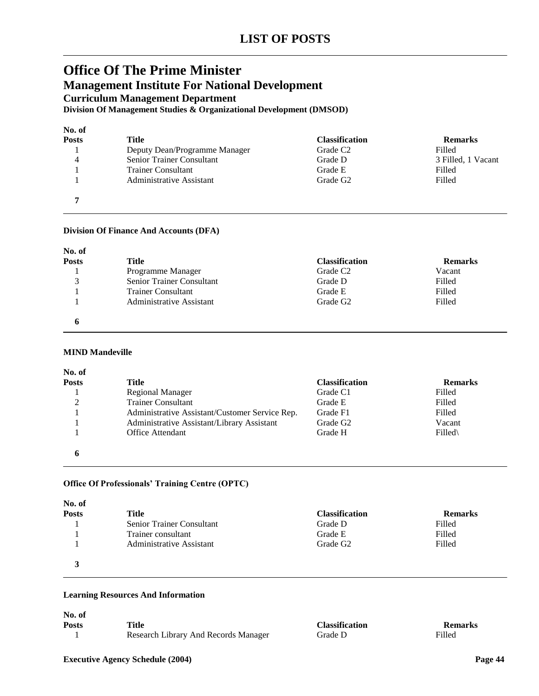# **Office Of The Prime Minister Management Institute For National Development Curriculum Management Department**

**Division Of Management Studies & Organizational Development (DMSOD)**

| No. of       |                               |                       |                    |
|--------------|-------------------------------|-----------------------|--------------------|
| <b>Posts</b> | Title                         | <b>Classification</b> | <b>Remarks</b>     |
|              | Deputy Dean/Programme Manager | Grade C <sub>2</sub>  | Filled             |
| 4            | Senior Trainer Consultant     | Grade D               | 3 Filled, 1 Vacant |
|              | <b>Trainer Consultant</b>     | Grade E               | Filled             |
|              | Administrative Assistant      | Grade G <sub>2</sub>  | Filled             |
|              |                               |                       |                    |

#### **Division Of Finance And Accounts (DFA)**

| No. of<br><b>Posts</b> | Title                     | <b>Classification</b> | <b>Remarks</b> |
|------------------------|---------------------------|-----------------------|----------------|
|                        | Programme Manager         | Grade C <sub>2</sub>  | Vacant         |
| 3                      | Senior Trainer Consultant | Grade D               | Filled         |
|                        | <b>Trainer Consultant</b> | Grade E               | Filled         |
|                        | Administrative Assistant  | Grade G <sub>2</sub>  | Filled         |
|                        |                           |                       |                |

#### **MIND Mandeville**

| No. of         |                                                |                       |                |
|----------------|------------------------------------------------|-----------------------|----------------|
| <b>Posts</b>   | Title                                          | <b>Classification</b> | <b>Remarks</b> |
|                | <b>Regional Manager</b>                        | Grade C1              | Filled         |
| $\overline{2}$ | <b>Trainer Consultant</b>                      | Grade E               | Filled         |
|                | Administrative Assistant/Customer Service Rep. | Grade F1              | Filled         |
|                | Administrative Assistant/Library Assistant     | Grade G <sub>2</sub>  | Vacant         |
|                | Office Attendant                               | Grade H               | Filled\        |
|                |                                                |                       |                |

#### **Office Of Professionals' Training Centre (OPTC)**

| No. of       |                           |                       |                |
|--------------|---------------------------|-----------------------|----------------|
| <b>Posts</b> | Title                     | <b>Classification</b> | <b>Remarks</b> |
|              | Senior Trainer Consultant | Grade D               | Filled         |
|              | Trainer consultant        | Grade E               | Filled         |
|              | Administrative Assistant  | Grade G <sub>2</sub>  | Filled         |
| 3            |                           |                       |                |

#### **Learning Resources And Information**

| No. of |                                      |                       |                |
|--------|--------------------------------------|-----------------------|----------------|
| Posts  | Title                                | <b>Classification</b> | <b>Remarks</b> |
|        | Research Library And Records Manager | Grade D               | Filled         |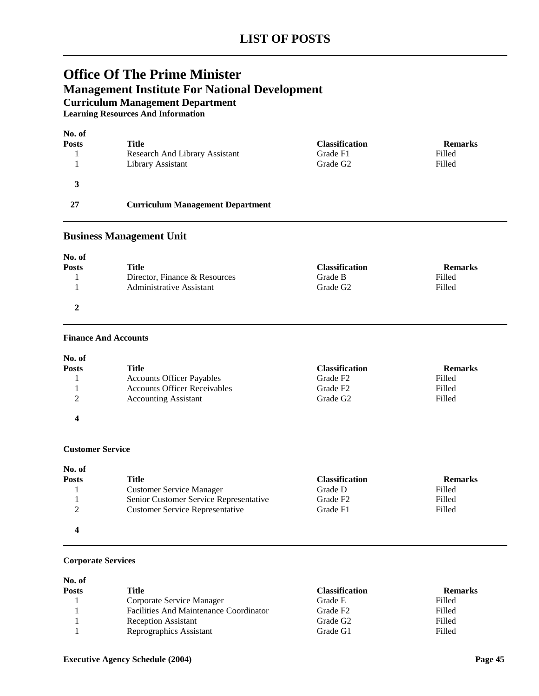# **Office Of The Prime Minister Management Institute For National Development Curriculum Management Department**

**Learning Resources And Information**

| No. of       |                                         |                       |                |
|--------------|-----------------------------------------|-----------------------|----------------|
| <b>Posts</b> | Title                                   | <b>Classification</b> | <b>Remarks</b> |
|              | Research And Library Assistant          | Grade F1              | Filled         |
|              | Library Assistant                       | Grade G <sub>2</sub>  | Filled         |
| 3            |                                         |                       |                |
| 27           | <b>Curriculum Management Department</b> |                       |                |

### **Business Management Unit**

| No. of       |                               |                       |                |
|--------------|-------------------------------|-----------------------|----------------|
| <b>Posts</b> | Title                         | <b>Classification</b> | <b>Remarks</b> |
|              | Director, Finance & Resources | Grade B               | Filled         |
|              | Administrative Assistant      | Grade G <sub>2</sub>  | Filled         |
|              |                               |                       |                |

#### **Finance And Accounts**

| No. of                          |                                     |                       |                |
|---------------------------------|-------------------------------------|-----------------------|----------------|
| <b>Posts</b>                    | Title                               | <b>Classification</b> | <b>Remarks</b> |
|                                 | <b>Accounts Officer Payables</b>    | Grade F <sub>2</sub>  | Filled         |
|                                 | <b>Accounts Officer Receivables</b> | Grade F <sub>2</sub>  | Filled         |
| $\mathcal{D}$<br>$\overline{ }$ | <b>Accounting Assistant</b>         | Grade G <sub>2</sub>  | Filled         |
| 4                               |                                     |                       |                |

### **Customer Service**

| No. of       |                                        |                       |                |
|--------------|----------------------------------------|-----------------------|----------------|
| <b>Posts</b> | Title                                  | <b>Classification</b> | <b>Remarks</b> |
|              | <b>Customer Service Manager</b>        | Grade D               | Filled         |
|              | Senior Customer Service Representative | Grade F <sub>2</sub>  | Filled         |
| ◠            | <b>Customer Service Representative</b> | Grade F1              | Filled         |
| 4            |                                        |                       |                |

### **Corporate Services**

| No. of       |                                        |                       |                |
|--------------|----------------------------------------|-----------------------|----------------|
| <b>Posts</b> | Title                                  | <b>Classification</b> | <b>Remarks</b> |
|              | Corporate Service Manager              | Grade E               | Filled         |
|              | Facilities And Maintenance Coordinator | Grade F <sub>2</sub>  | Filled         |
|              | <b>Reception Assistant</b>             | Grade G <sub>2</sub>  | Filled         |
|              | Reprographics Assistant                | Grade G1              | Filled         |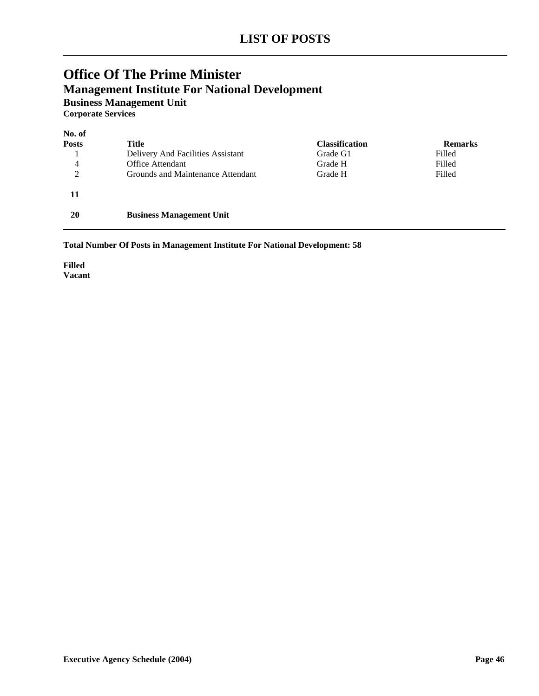# **Office Of The Prime Minister Management Institute For National Development Business Management Unit**

**Corporate Services**

| No. of         |                                   |                       |                |
|----------------|-----------------------------------|-----------------------|----------------|
| <b>Posts</b>   | <b>Title</b>                      | <b>Classification</b> | <b>Remarks</b> |
|                | Delivery And Facilities Assistant | Grade G1              | Filled         |
| 4              | Office Attendant                  | Grade H               | Filled         |
| $\overline{2}$ | Grounds and Maintenance Attendant | Grade H               | Filled         |
| 11             |                                   |                       |                |
| 20             | <b>Business Management Unit</b>   |                       |                |

**Total Number Of Posts in Management Institute For National Development: 58**

**Filled Vacant**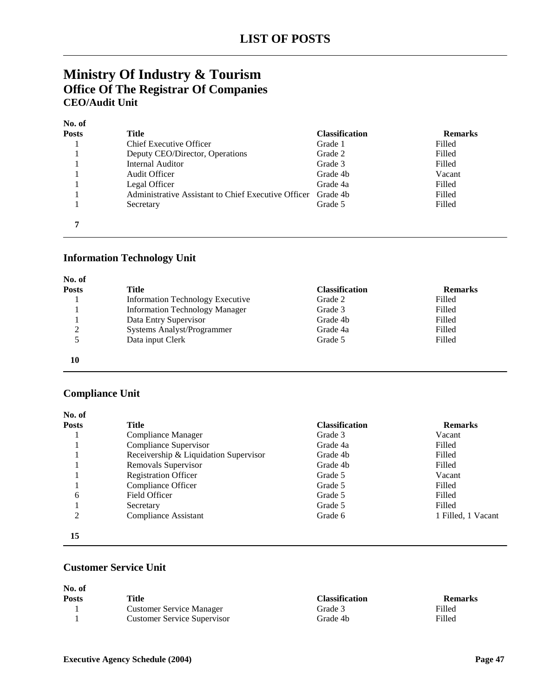# **Ministry Of Industry & Tourism Office Of The Registrar Of Companies CEO/Audit Unit**

#### **No. of**

| Posts | Title                                               | <b>Classification</b> | <b>Remarks</b> |
|-------|-----------------------------------------------------|-----------------------|----------------|
|       | <b>Chief Executive Officer</b>                      | Grade 1               | Filled         |
|       | Deputy CEO/Director, Operations                     | Grade 2               | Filled         |
|       | Internal Auditor                                    | Grade 3               | Filled         |
|       | Audit Officer                                       | Grade 4b              | Vacant         |
|       | Legal Officer                                       | Grade 4a              | Filled         |
|       | Administrative Assistant to Chief Executive Officer | Grade 4b              | Filled         |
|       | Secretary                                           | Grade 5               | Filled         |
|       |                                                     |                       |                |

### **Information Technology Unit**

| No. of       |                                         |                       |                |
|--------------|-----------------------------------------|-----------------------|----------------|
| <b>Posts</b> | Title                                   | <b>Classification</b> | <b>Remarks</b> |
|              | <b>Information Technology Executive</b> | Grade 2               | Filled         |
|              | <b>Information Technology Manager</b>   | Grade 3               | Filled         |
|              | Data Entry Supervisor                   | Grade 4b              | Filled         |
| 2            | Systems Analyst/Programmer              | Grade 4a              | Filled         |
|              | Data input Clerk                        | Grade 5               | Filled         |
| 10           |                                         |                       |                |

# **Compliance Unit**

| No. of       |                                       |                       |                    |
|--------------|---------------------------------------|-----------------------|--------------------|
| <b>Posts</b> | Title                                 | <b>Classification</b> | <b>Remarks</b>     |
|              | Compliance Manager                    | Grade 3               | Vacant             |
|              | Compliance Supervisor                 | Grade 4a              | Filled             |
|              | Receivership & Liquidation Supervisor | Grade 4b              | Filled             |
|              | Removals Supervisor                   | Grade 4b              | Filled             |
|              | <b>Registration Officer</b>           | Grade 5               | Vacant             |
|              | Compliance Officer                    | Grade 5               | Filled             |
| 6            | Field Officer                         | Grade 5               | Filled             |
|              | Secretary                             | Grade 5               | Filled             |
| 2            | Compliance Assistant                  | Grade 6               | 1 Filled, 1 Vacant |
| 15           |                                       |                       |                    |

### **Customer Service Unit**

| No. of       |                                    |                       |                |
|--------------|------------------------------------|-----------------------|----------------|
| <b>Posts</b> | Title                              | <b>Classification</b> | <b>Remarks</b> |
|              | <b>Customer Service Manager</b>    | Grade 3               | Filled         |
|              | <b>Customer Service Supervisor</b> | Grade 4b              | Filled         |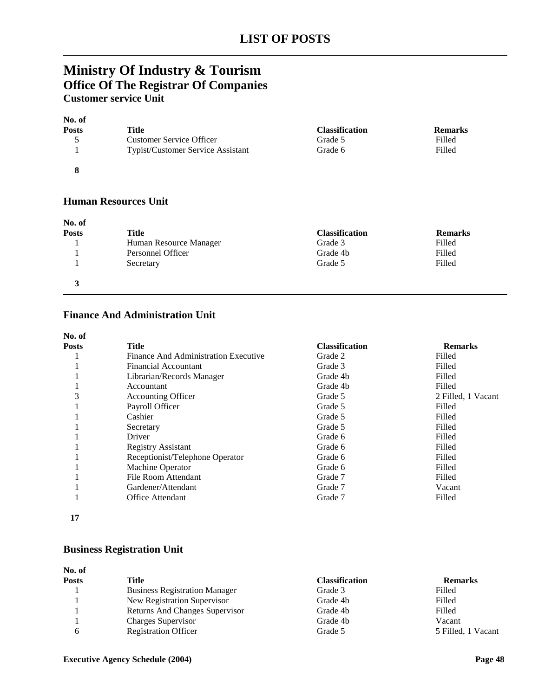# **Ministry Of Industry & Tourism Office Of The Registrar Of Companies Customer service Unit**

| No. of       |                                   |                       |                |
|--------------|-----------------------------------|-----------------------|----------------|
| <b>Posts</b> | Title                             | <b>Classification</b> | <b>Remarks</b> |
|              | <b>Customer Service Officer</b>   | Grade 5               | Filled         |
|              | Typist/Customer Service Assistant | Grade 6               | Filled         |
|              |                                   |                       |                |

### **Human Resources Unit**

| No. of<br><b>Posts</b> | <b>Title</b>           | <b>Classification</b> | <b>Remarks</b> |
|------------------------|------------------------|-----------------------|----------------|
|                        | Human Resource Manager | Grade 3               | Filled         |
|                        | Personnel Officer      | Grade 4b              | Filled         |
|                        | Secretary              | Grade 5               | Filled         |
|                        |                        |                       |                |

### **Finance And Administration Unit**

| No. of       |                                      |                       |                    |
|--------------|--------------------------------------|-----------------------|--------------------|
| <b>Posts</b> | Title                                | <b>Classification</b> | <b>Remarks</b>     |
|              | Finance And Administration Executive | Grade 2               | Filled             |
|              | Financial Accountant                 | Grade 3               | Filled             |
|              | Librarian/Records Manager            | Grade 4b              | Filled             |
|              | Accountant                           | Grade 4b              | Filled             |
| 3            | <b>Accounting Officer</b>            | Grade 5               | 2 Filled, 1 Vacant |
|              | Payroll Officer                      | Grade 5               | Filled             |
|              | Cashier                              | Grade 5               | Filled             |
|              | Secretary                            | Grade 5               | Filled             |
|              | Driver                               | Grade 6               | Filled             |
|              | <b>Registry Assistant</b>            | Grade 6               | Filled             |
|              | Receptionist/Telephone Operator      | Grade 6               | Filled             |
|              | Machine Operator                     | Grade 6               | Filled             |
|              | File Room Attendant                  | Grade 7               | Filled             |
|              | Gardener/Attendant                   | Grade 7               | Vacant             |
|              | Office Attendant                     | Grade 7               | Filled             |
| 17           |                                      |                       |                    |

# **Business Registration Unit**

| No. of       |                                      |                       |                    |
|--------------|--------------------------------------|-----------------------|--------------------|
| <b>Posts</b> | Title                                | <b>Classification</b> | <b>Remarks</b>     |
|              | <b>Business Registration Manager</b> | Grade 3               | Filled             |
|              | New Registration Supervisor          | Grade 4b              | Filled             |
|              | Returns And Changes Supervisor       | Grade 4b              | Filled             |
|              | Charges Supervisor                   | Grade 4b              | Vacant             |
| 6            | <b>Registration Officer</b>          | Grade 5               | 5 Filled, 1 Vacant |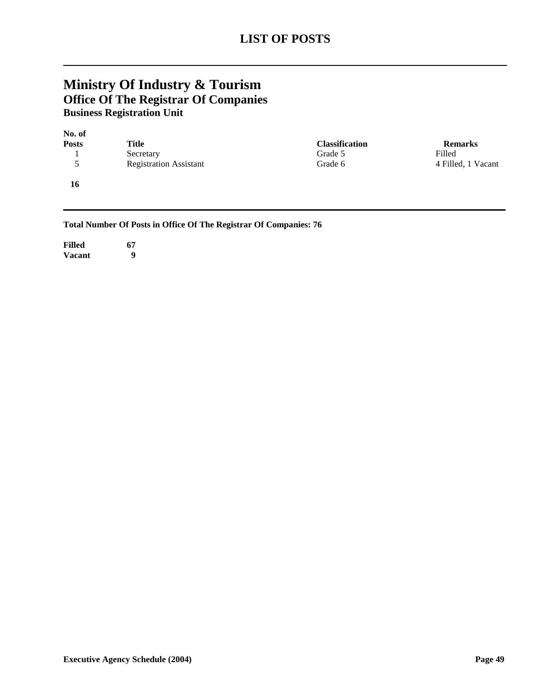# **Ministry Of Industry & Tourism Office Of The Registrar Of Companies Business Registration Unit**

| No. of       |                               |                       |                    |
|--------------|-------------------------------|-----------------------|--------------------|
| <b>Posts</b> | Title                         | <b>Classification</b> | <b>Remarks</b>     |
|              | Secretary                     | Grade 5               | Filled             |
| 5            | <b>Registration Assistant</b> | Grade 6               | 4 Filled, 1 Vacant |
| 16           |                               |                       |                    |

**Total Number Of Posts in Office Of The Registrar Of Companies: 76**

**Filled 67 Vacant 9**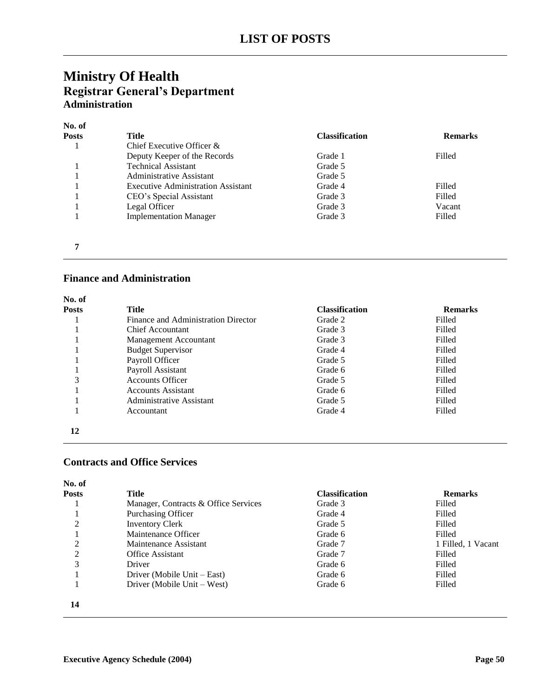# **Ministry Of Health Registrar General's Department Administration**

| No. of       |                                           |                       |                |
|--------------|-------------------------------------------|-----------------------|----------------|
| <b>Posts</b> | Title                                     | <b>Classification</b> | <b>Remarks</b> |
|              | Chief Executive Officer &                 |                       |                |
|              | Deputy Keeper of the Records              | Grade 1               | Filled         |
|              | <b>Technical Assistant</b>                | Grade 5               |                |
|              | Administrative Assistant                  | Grade 5               |                |
|              | <b>Executive Administration Assistant</b> | Grade 4               | Filled         |
|              | CEO's Special Assistant                   | Grade 3               | Filled         |
|              | Legal Officer                             | Grade 3               | Vacant         |
|              | <b>Implementation Manager</b>             | Grade 3               | Filled         |
|              |                                           |                       |                |
|              |                                           |                       |                |
|              |                                           |                       |                |

### **Finance and Administration**

| No. of       |                                     |                       |                |
|--------------|-------------------------------------|-----------------------|----------------|
| <b>Posts</b> | <b>Title</b>                        | <b>Classification</b> | <b>Remarks</b> |
|              | Finance and Administration Director | Grade 2               | Filled         |
|              | Chief Accountant                    | Grade 3               | Filled         |
|              | <b>Management Accountant</b>        | Grade 3               | Filled         |
|              | <b>Budget Supervisor</b>            | Grade 4               | Filled         |
|              | Payroll Officer                     | Grade 5               | Filled         |
|              | Payroll Assistant                   | Grade 6               | Filled         |
| 3            | <b>Accounts Officer</b>             | Grade 5               | Filled         |
|              | <b>Accounts Assistant</b>           | Grade 6               | Filled         |
|              | <b>Administrative Assistant</b>     | Grade 5               | Filled         |
|              | Accountant                          | Grade 4               | Filled         |
| 12           |                                     |                       |                |

### **Contracts and Office Services**

| No. of       |                                      |                       |                    |
|--------------|--------------------------------------|-----------------------|--------------------|
| <b>Posts</b> | Title                                | <b>Classification</b> | <b>Remarks</b>     |
|              | Manager, Contracts & Office Services | Grade 3               | Filled             |
|              | <b>Purchasing Officer</b>            | Grade 4               | Filled             |
| 2            | <b>Inventory Clerk</b>               | Grade 5               | Filled             |
|              | Maintenance Officer                  | Grade 6               | Filled             |
| 2            | Maintenance Assistant                | Grade 7               | 1 Filled, 1 Vacant |
| 2            | <b>Office Assistant</b>              | Grade 7               | Filled             |
| 3            | Driver                               | Grade 6               | Filled             |
|              | Driver (Mobile Unit – East)          | Grade 6               | Filled             |
|              | Driver (Mobile Unit – West)          | Grade 6               | Filled             |
| 14           |                                      |                       |                    |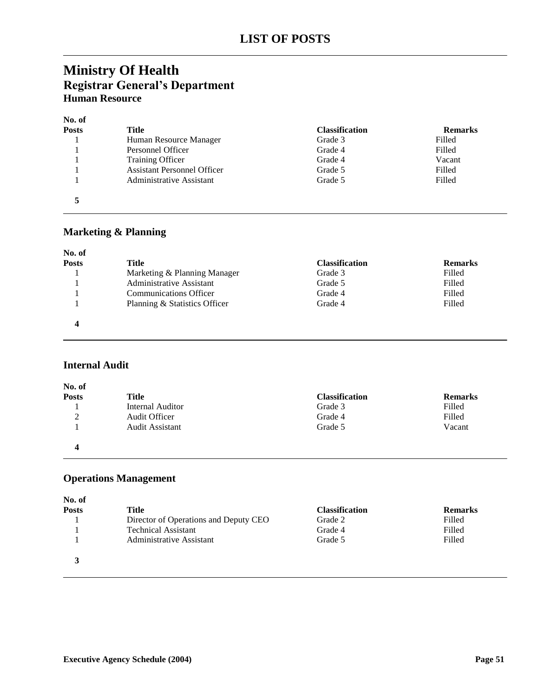# **Ministry Of Health Registrar General's Department Human Resource**

| No. of       |                                    |                       |                |
|--------------|------------------------------------|-----------------------|----------------|
| <b>Posts</b> | Title                              | <b>Classification</b> | <b>Remarks</b> |
|              | Human Resource Manager             | Grade 3               | Filled         |
|              | Personnel Officer                  | Grade 4               | Filled         |
|              | <b>Training Officer</b>            | Grade 4               | Vacant         |
|              | <b>Assistant Personnel Officer</b> | Grade 5               | Filled         |
|              | <b>Administrative Assistant</b>    | Grade 5               | Filled         |
|              |                                    |                       |                |

# **Marketing & Planning**

| No. of       |                               |                       |                |
|--------------|-------------------------------|-----------------------|----------------|
| <b>Posts</b> | Title                         | <b>Classification</b> | <b>Remarks</b> |
|              | Marketing & Planning Manager  | Grade 3               | Filled         |
|              | Administrative Assistant      | Grade 5               | Filled         |
|              | <b>Communications Officer</b> | Grade 4               | Filled         |
|              | Planning & Statistics Officer | Grade 4               | Filled         |
|              |                               |                       |                |

### **Internal Audit**

| No. of       |                  |                       |                |
|--------------|------------------|-----------------------|----------------|
| <b>Posts</b> | <b>Title</b>     | <b>Classification</b> | <b>Remarks</b> |
|              | Internal Auditor | Grade 3               | Filled         |
| ∍<br>∠       | Audit Officer    | Grade 4               | Filled         |
|              | Audit Assistant  | Grade 5               | Vacant         |
| 4            |                  |                       |                |

# **Operations Management**

| No. of       |                                       |                       |                |
|--------------|---------------------------------------|-----------------------|----------------|
| <b>Posts</b> | Title                                 | <b>Classification</b> | <b>Remarks</b> |
|              | Director of Operations and Deputy CEO | Grade 2               | Filled         |
|              | <b>Technical Assistant</b>            | Grade 4               | Filled         |
|              | Administrative Assistant              | Grade 5               | Filled         |
| 3            |                                       |                       |                |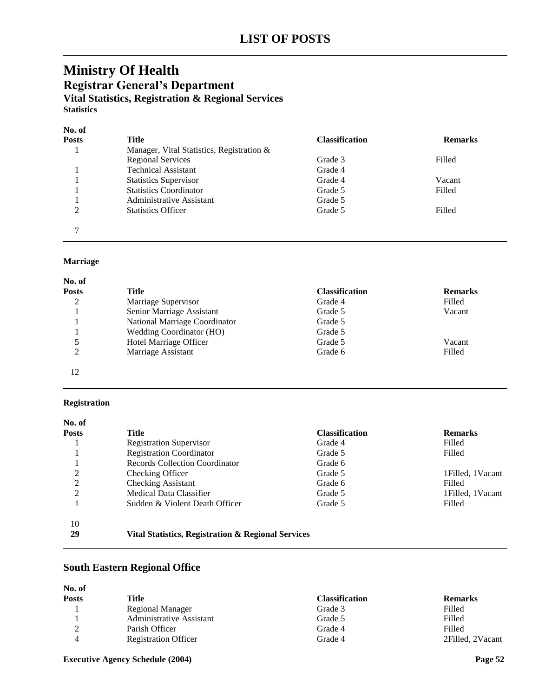# **Ministry Of Health Registrar General's Department Vital Statistics, Registration & Regional Services Statistics**

### **No. of**

| Posts | Title                                     | <b>Classification</b> | <b>Remarks</b> |
|-------|-------------------------------------------|-----------------------|----------------|
|       | Manager, Vital Statistics, Registration & |                       |                |
|       | <b>Regional Services</b>                  | Grade 3               | Filled         |
|       | <b>Technical Assistant</b>                | Grade 4               |                |
|       | <b>Statistics Supervisor</b>              | Grade 4               | Vacant         |
|       | <b>Statistics Coordinator</b>             | Grade 5               | Filled         |
|       | Administrative Assistant                  | Grade 5               |                |
| 2     | <b>Statistics Officer</b>                 | Grade 5               | Filled         |
| ⇁     |                                           |                       |                |

### **Marriage**

| No. of       |                                 |                       |                |
|--------------|---------------------------------|-----------------------|----------------|
| <b>Posts</b> | Title                           | <b>Classification</b> | <b>Remarks</b> |
| 2            | Marriage Supervisor             | Grade 4               | Filled         |
|              | Senior Marriage Assistant       | Grade 5               | Vacant         |
|              | National Marriage Coordinator   | Grade 5               |                |
|              | <b>Wedding Coordinator (HO)</b> | Grade 5               |                |
| 5            | Hotel Marriage Officer          | Grade 5               | Vacant         |
| 2            | Marriage Assistant              | Grade 6               | Filled         |

# 12

### **Registration**

| No. of       |                                                    |                       |                    |
|--------------|----------------------------------------------------|-----------------------|--------------------|
| <b>Posts</b> | <b>Title</b>                                       | <b>Classification</b> | <b>Remarks</b>     |
|              | <b>Registration Supervisor</b>                     | Grade 4               | Filled             |
|              | <b>Registration Coordinator</b>                    | Grade 5               | Filled             |
|              | Records Collection Coordinator                     | Grade 6               |                    |
| 2            | Checking Officer                                   | Grade 5               | 1 Filled, 1 Vacant |
| 2            | <b>Checking Assistant</b>                          | Grade 6               | Filled             |
| 2            | Medical Data Classifier                            | Grade 5               | 1 Filled, 1 Vacant |
|              | Sudden & Violent Death Officer                     | Grade 5               | Filled             |
| 10           |                                                    |                       |                    |
| 29           | Vital Statistics, Registration & Regional Services |                       |                    |

# **South Eastern Regional Office**

| No. of       |                             |                       |                  |
|--------------|-----------------------------|-----------------------|------------------|
| <b>Posts</b> | Title                       | <b>Classification</b> | <b>Remarks</b>   |
|              | Regional Manager            | Grade 3               | Filled           |
|              | Administrative Assistant    | Grade 5               | Filled           |
| ⌒            | Parish Officer              | Grade 4               | Filled           |
|              | <b>Registration Officer</b> | Grade 4               | 2Filled, 2Vacant |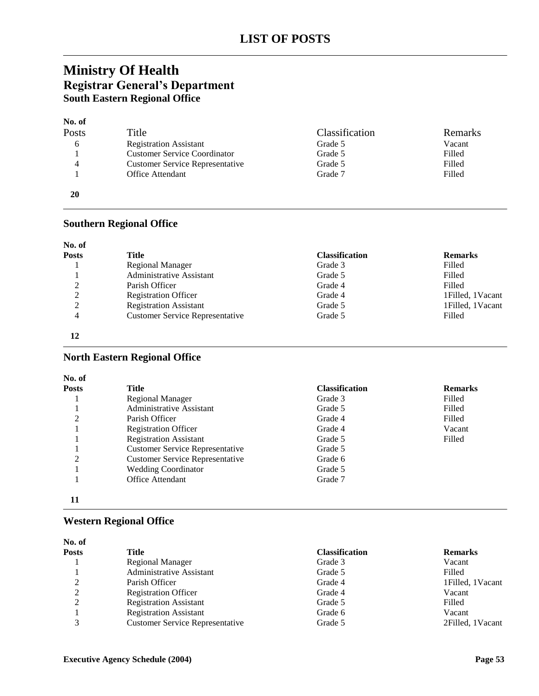# **Ministry Of Health Registrar General's Department South Eastern Regional Office**

### **No. of**

| Posts | Title                                  | Classification | Remarks |
|-------|----------------------------------------|----------------|---------|
| 6     | <b>Registration Assistant</b>          | Grade 5        | Vacant  |
|       | <b>Customer Service Coordinator</b>    | Grade 5        | Filled  |
| 4     | <b>Customer Service Representative</b> | Grade 5        | Filled  |
|       | <b>Office Attendant</b>                | Grade 7        | Filled  |
| 20    |                                        |                |         |

### **Southern Regional Office**

| <b>Posts</b> | Title                                  | <b>Classification</b> | <b>Remarks</b>     |
|--------------|----------------------------------------|-----------------------|--------------------|
|              | Regional Manager                       | Grade 3               | Filled             |
|              | <b>Administrative Assistant</b>        | Grade 5               | Filled             |
| ↑            | Parish Officer                         | Grade 4               | Filled             |
| 2            | <b>Registration Officer</b>            | Grade 4               | 1 Filled, 1 Vacant |
| ∍            | <b>Registration Assistant</b>          | Grade 5               | 1Filled, 1Vacant   |
| 4            | <b>Customer Service Representative</b> | Grade 5               | Filled             |

#### 

### **North Eastern Regional Office**

| <b>Posts</b> | Title                                  | <b>Classification</b> | <b>Remarks</b> |
|--------------|----------------------------------------|-----------------------|----------------|
|              | <b>Regional Manager</b>                | Grade 3               | Filled         |
|              | <b>Administrative Assistant</b>        | Grade 5               | Filled         |
| ∍            | Parish Officer                         | Grade 4               | Filled         |
|              | <b>Registration Officer</b>            | Grade 4               | Vacant         |
|              | <b>Registration Assistant</b>          | Grade 5               | Filled         |
|              | <b>Customer Service Representative</b> | Grade 5               |                |
|              | <b>Customer Service Representative</b> | Grade 6               |                |
|              | <b>Wedding Coordinator</b>             | Grade 5               |                |
|              | <b>Office Attendant</b>                | Grade 7               |                |

### 

### **Western Regional Office**

| No. of |                                        |                       |                    |
|--------|----------------------------------------|-----------------------|--------------------|
| Posts  | Title                                  | <b>Classification</b> | <b>Remarks</b>     |
|        | Regional Manager                       | Grade 3               | Vacant             |
|        | Administrative Assistant               | Grade 5               | Filled             |
| ◠      | Parish Officer                         | Grade 4               | 1 Filled, 1 Vacant |
| ◠      | <b>Registration Officer</b>            | Grade 4               | Vacant             |
|        | <b>Registration Assistant</b>          | Grade 5               | Filled             |
|        | <b>Registration Assistant</b>          | Grade 6               | Vacant             |
|        | <b>Customer Service Representative</b> | Grade 5               | 2Filled, 1Vacant   |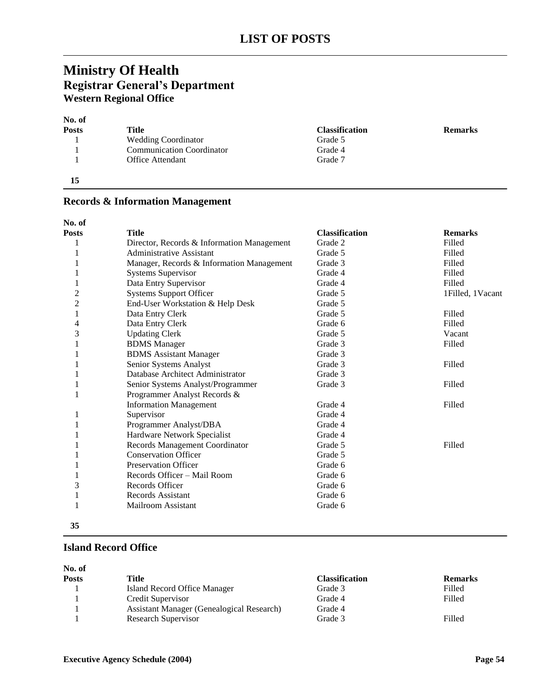# **Ministry Of Health Registrar General's Department Western Regional Office**

# **No. of**

| Posts | Title                            | <b>Classification</b> | <b>Remarks</b> |
|-------|----------------------------------|-----------------------|----------------|
|       | <b>Wedding Coordinator</b>       | Grade 5               |                |
|       | <b>Communication Coordinator</b> | Grade 4               |                |
|       | <b>Office Attendant</b>          | Grade 7               |                |
| 15    |                                  |                       |                |

**No. of Posts Title Classification Remarks** 1 Director, Records & Information Management Grade 2 Filled 1 Administrative Assistant Grade 5 Filled 1 Manager, Records & Information Management Grade 3 Filled 1 Systems Supervisor Grade 4 Filled 1 Data Entry Supervisor Grade 4 Filled 2 Systems Support Officer Grade 5 Grade 5 1Filled, 1Vacant 2 End-User Workstation & Help Desk Grade 5 1 Data Entry Clerk Grade 5 Grade 5 Filled 4 Data Entry Clerk Grade 6 Filled<br>3 Updating Clerk Grade 5 Vacan 3 Updating Clerk Grade 5 Vacant 1 BDMS Manager Grade 3 Filled 1 BDMS Assistant Manager Grade 3 1 Senior Systems Analyst Grade 3 Filled 1 Database Architect Administrator Grade 3 1 Senior Systems Analyst/Programmer Grade 3 Filled 1 Programmer Analyst Records & Information Management Grade 4 Filled 1 Supervisor Grade 4 1 Programmer Analyst/DBA Grade 4 1 Hardware Network Specialist Grade 4 1 Records Management Coordinator Grade 5 Filled 1 Conservation Officer Grade 5 1 Preservation Officer Grade 6 1 Records Officer – Mail Room Grade 6 3 Records Officer Grade 6 1 Records Assistant Grade 6 1 Mailroom Assistant Grade 6

### **Records & Information Management**

**35**

### **Island Record Office**

| No. of       |                                                  |                       |                |
|--------------|--------------------------------------------------|-----------------------|----------------|
| <b>Posts</b> | Title                                            | <b>Classification</b> | <b>Remarks</b> |
|              | Island Record Office Manager                     | Grade 3               | Filled         |
|              | Credit Supervisor                                | Grade 4               | Filled         |
|              | <b>Assistant Manager (Genealogical Research)</b> | Grade 4               |                |
|              | <b>Research Supervisor</b>                       | Grade 3               | Filled         |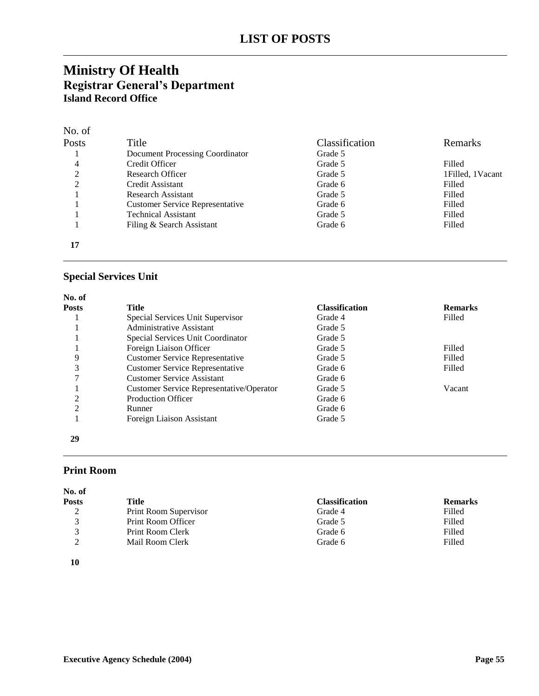# **Ministry Of Health Registrar General's Department Island Record Office**

| No. of         |                                        |                |                  |
|----------------|----------------------------------------|----------------|------------------|
| Posts          | Title                                  | Classification | Remarks          |
|                | Document Processing Coordinator        | Grade 5        |                  |
| 4              | Credit Officer                         | Grade 5        | Filled           |
| 2              | Research Officer                       | Grade 5        | 1Filled, 1Vacant |
| $\mathfrak{D}$ | Credit Assistant                       | Grade 6        | Filled           |
|                | <b>Research Assistant</b>              | Grade 5        | Filled           |
|                | <b>Customer Service Representative</b> | Grade 6        | Filled           |
|                | <b>Technical Assistant</b>             | Grade 5        | Filled           |
|                | Filing & Search Assistant              | Grade 6        | Filled           |
|                |                                        |                |                  |

# **Special Services Unit**

| No. of         |                                          |                       |                |
|----------------|------------------------------------------|-----------------------|----------------|
| <b>Posts</b>   | Title                                    | <b>Classification</b> | <b>Remarks</b> |
|                | Special Services Unit Supervisor         | Grade 4               | Filled         |
|                | Administrative Assistant                 | Grade 5               |                |
|                | Special Services Unit Coordinator        | Grade 5               |                |
|                | Foreign Liaison Officer                  | Grade 5               | Filled         |
| 9              | <b>Customer Service Representative</b>   | Grade 5               | Filled         |
| 3              | <b>Customer Service Representative</b>   | Grade 6               | Filled         |
|                | <b>Customer Service Assistant</b>        | Grade 6               |                |
|                | Customer Service Representative/Operator | Grade 5               | Vacant         |
| $\mathfrak{D}$ | <b>Production Officer</b>                | Grade 6               |                |
| ↑              | Runner                                   | Grade 6               |                |
|                | Foreign Liaison Assistant                | Grade 5               |                |
| 29             |                                          |                       |                |

### **Print Room**

| Posts        | Title                   | <b>Classification</b> | <b>Remarks</b> |
|--------------|-------------------------|-----------------------|----------------|
| ↑<br>∼       | Print Room Supervisor   | Grade 4               | Filled         |
| $\mathbf{z}$ | Print Room Officer      | Grade 5               | Filled         |
| $\mathbf{z}$ | <b>Print Room Clerk</b> | Grade 6               | Filled         |
| ◠            | Mail Room Clerk         | Grade 6               | Filled         |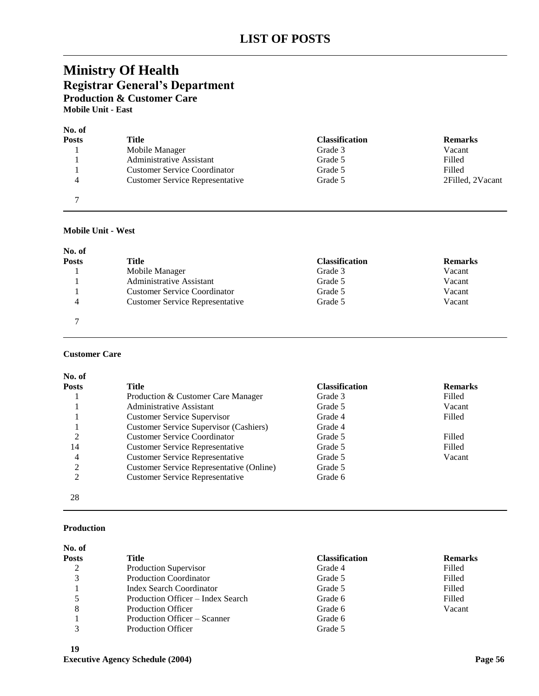# **Ministry Of Health Registrar General's Department Production & Customer Care Mobile Unit - East**

# **No. of**

| Posts | Title                                  | <b>Classification</b> | <b>Remarks</b>   |
|-------|----------------------------------------|-----------------------|------------------|
|       | Mobile Manager                         | Grade 3               | Vacant           |
|       | Administrative Assistant               | Grade 5               | Filled           |
|       | <b>Customer Service Coordinator</b>    | Grade 5               | Filled           |
|       | <b>Customer Service Representative</b> | Grade 5               | 2Filled, 2Vacant |
|       |                                        |                       |                  |

#### **Mobile Unit - West**

| No. of       |                                        |                       |                |
|--------------|----------------------------------------|-----------------------|----------------|
| <b>Posts</b> | Title                                  | <b>Classification</b> | <b>Remarks</b> |
|              | Mobile Manager                         | Grade 3               | Vacant         |
|              | Administrative Assistant               | Grade 5               | Vacant         |
|              | Customer Service Coordinator           | Grade 5               | Vacant         |
| 4            | <b>Customer Service Representative</b> | Grade 5               | Vacant         |
|              |                                        |                       |                |

### **Customer Care**

| No. of         |                                               |                       |                |
|----------------|-----------------------------------------------|-----------------------|----------------|
| <b>Posts</b>   | Title                                         | <b>Classification</b> | <b>Remarks</b> |
|                | Production & Customer Care Manager            | Grade 3               | Filled         |
|                | Administrative Assistant                      | Grade 5               | Vacant         |
|                | <b>Customer Service Supervisor</b>            | Grade 4               | Filled         |
|                | <b>Customer Service Supervisor (Cashiers)</b> | Grade 4               |                |
| 2              | <b>Customer Service Coordinator</b>           | Grade 5               | Filled         |
| 14             | <b>Customer Service Representative</b>        | Grade 5               | Filled         |
| 4              | <b>Customer Service Representative</b>        | Grade 5               | Vacant         |
| 2              | Customer Service Representative (Online)      | Grade 5               |                |
| $\overline{2}$ | <b>Customer Service Representative</b>        | Grade 6               |                |
| 28             |                                               |                       |                |

#### **Production**

| No. of<br>Posts | Title                             | <b>Classification</b> | <b>Remarks</b> |
|-----------------|-----------------------------------|-----------------------|----------------|
|                 | Production Supervisor             | Grade 4               | Filled         |
| 3               | <b>Production Coordinator</b>     | Grade 5               | Filled         |
|                 | <b>Index Search Coordinator</b>   | Grade 5               | Filled         |
|                 | Production Officer – Index Search | Grade 6               | Filled         |
| 8               | <b>Production Officer</b>         | Grade 6               | Vacant         |
|                 | Production Officer – Scanner      | Grade 6               |                |
|                 | <b>Production Officer</b>         | Grade 5               |                |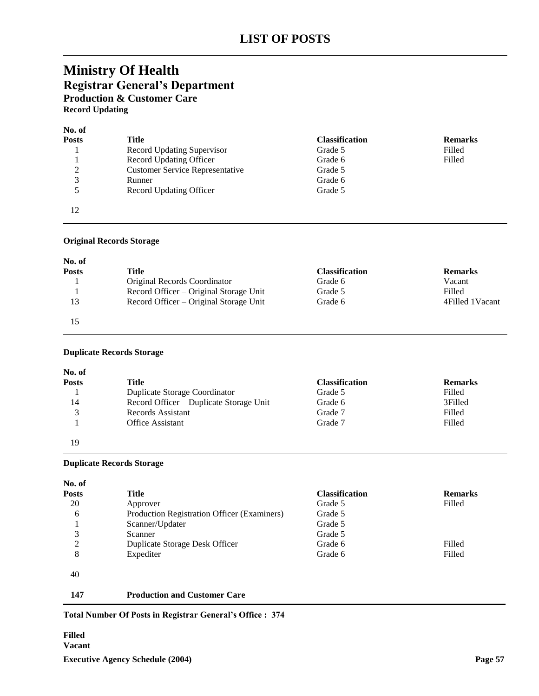# **Ministry Of Health Registrar General's Department Production & Customer Care Record Updating**

| No. of       |                                        |                       |                |
|--------------|----------------------------------------|-----------------------|----------------|
| <b>Posts</b> | Title                                  | <b>Classification</b> | <b>Remarks</b> |
|              | Record Updating Supervisor             | Grade 5               | Filled         |
|              | Record Updating Officer                | Grade 6               | Filled         |
| 2            | <b>Customer Service Representative</b> | Grade 5               |                |
| 3            | Runner                                 | Grade 6               |                |
| 5            | Record Updating Officer                | Grade 5               |                |
| 12           |                                        |                       |                |

#### **Original Records Storage**

| No. of       |                                        |                       |                   |
|--------------|----------------------------------------|-----------------------|-------------------|
| <b>Posts</b> | Title                                  | <b>Classification</b> | <b>Remarks</b>    |
|              | Original Records Coordinator           | Grade 6               | Vacant            |
|              | Record Officer – Original Storage Unit | Grade 5               | Filled            |
| 13           | Record Officer – Original Storage Unit | Grade 6               | 4 Filled 1 Vacant |
|              |                                        |                       |                   |

#### **Duplicate Records Storage**

| No. of       |                                         |                       |                |
|--------------|-----------------------------------------|-----------------------|----------------|
| <b>Posts</b> | Title                                   | <b>Classification</b> | <b>Remarks</b> |
|              | Duplicate Storage Coordinator           | Grade 5               | Filled         |
| 14           | Record Officer – Duplicate Storage Unit | Grade 6               | 3Filled        |
| 3            | Records Assistant                       | Grade 7               | Filled         |
|              | <b>Office Assistant</b>                 | Grade 7               | Filled         |
| 19           |                                         |                       |                |

#### **Duplicate Records Storage**

| No. of |                                             |                       |                |
|--------|---------------------------------------------|-----------------------|----------------|
| Posts  | Title                                       | <b>Classification</b> | <b>Remarks</b> |
| 20     | Approver                                    | Grade 5               | Filled         |
| 6      | Production Registration Officer (Examiners) | Grade 5               |                |
|        | Scanner/Updater                             | Grade 5               |                |
| 3      | Scanner                                     | Grade 5               |                |
| 2      | Duplicate Storage Desk Officer              | Grade 6               | Filled         |
| 8      | Expediter                                   | Grade 6               | Filled         |
| 40     |                                             |                       |                |
| 147    | <b>Production and Customer Care</b>         |                       |                |

### **Total Number Of Posts in Registrar General's Office : 374**

### **Executive Agency Schedule (2004) Page 57 Filled Vacant**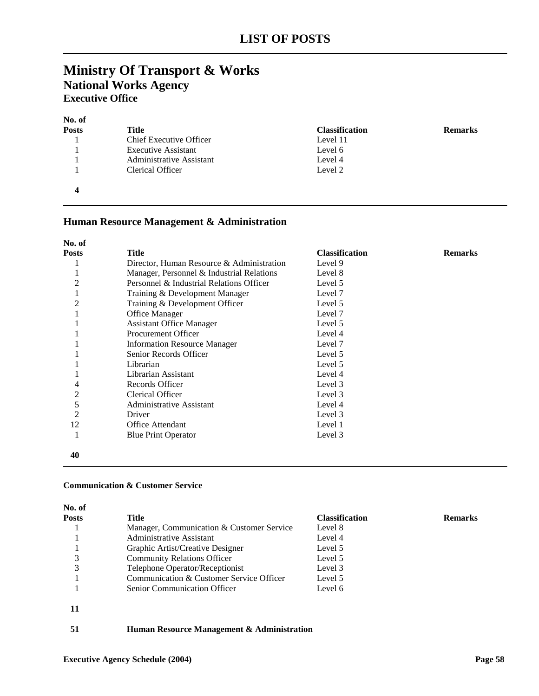# **Ministry Of Transport & Works National Works Agency Executive Office**

| No. of<br><b>Posts</b> | Title                          | <b>Classification</b> | <b>Remarks</b> |
|------------------------|--------------------------------|-----------------------|----------------|
|                        | <b>Chief Executive Officer</b> | Level 11              |                |
|                        | <b>Executive Assistant</b>     | Level 6               |                |
|                        | Administrative Assistant       | Level 4               |                |
|                        | Clerical Officer               | Level 2               |                |
|                        |                                |                       |                |

### **Human Resource Management & Administration**

| No. of       |                                           |                       |                |
|--------------|-------------------------------------------|-----------------------|----------------|
| <b>Posts</b> | <b>Title</b>                              | <b>Classification</b> | <b>Remarks</b> |
|              | Director, Human Resource & Administration | Level 9               |                |
|              | Manager, Personnel & Industrial Relations | Level 8               |                |
| 2            | Personnel & Industrial Relations Officer  | Level 5               |                |
|              | Training & Development Manager            | Level 7               |                |
| 2            | Training & Development Officer            | Level 5               |                |
|              | Office Manager                            | Level 7               |                |
|              | <b>Assistant Office Manager</b>           | Level 5               |                |
|              | <b>Procurement Officer</b>                | Level 4               |                |
|              | <b>Information Resource Manager</b>       | Level 7               |                |
|              | Senior Records Officer                    | Level 5               |                |
|              | Librarian                                 | Level 5               |                |
|              | Librarian Assistant                       | Level 4               |                |
| 4            | Records Officer                           | Level 3               |                |
| 2            | Clerical Officer                          | Level 3               |                |
| 5            | <b>Administrative Assistant</b>           | Level 4               |                |
| 2            | Driver                                    | Level 3               |                |
| 12           | Office Attendant                          | Level 1               |                |
|              | <b>Blue Print Operator</b>                | Level 3               |                |
| 40           |                                           |                       |                |

### **Communication & Customer Service**

| No. of       |                                            |                       |                |
|--------------|--------------------------------------------|-----------------------|----------------|
| <b>Posts</b> | Title                                      | <b>Classification</b> | <b>Remarks</b> |
|              | Manager, Communication & Customer Service  | Level 8               |                |
|              | Administrative Assistant                   | Level 4               |                |
|              | Graphic Artist/Creative Designer           | Level 5               |                |
| 3            | <b>Community Relations Officer</b>         | Level 5               |                |
|              | Telephone Operator/Receptionist            | Level 3               |                |
|              | Communication & Customer Service Officer   | Level 5               |                |
|              | <b>Senior Communication Officer</b>        | Level 6               |                |
| 11           |                                            |                       |                |
| 51           | Human Resource Management & Administration |                       |                |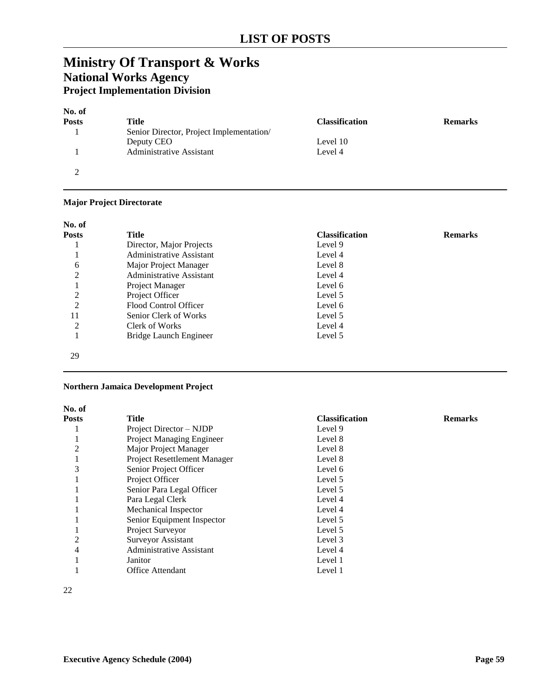# **Ministry Of Transport & Works National Works Agency Project Implementation Division**

| No. of       |                                          |                       |                |
|--------------|------------------------------------------|-----------------------|----------------|
| <b>Posts</b> | Title                                    | <b>Classification</b> | <b>Remarks</b> |
|              | Senior Director, Project Implementation/ |                       |                |
|              | Deputy CEO                               | Level 10              |                |
|              | Administrative Assistant                 | Level 4               |                |
| ◠            |                                          |                       |                |

### **Major Project Directorate**

| No. of         |                          |                       |                |
|----------------|--------------------------|-----------------------|----------------|
| <b>Posts</b>   | Title                    | <b>Classification</b> | <b>Remarks</b> |
|                | Director, Major Projects | Level 9               |                |
|                | Administrative Assistant | Level 4               |                |
| 6              | Major Project Manager    | Level 8               |                |
| $\overline{c}$ | Administrative Assistant | Level 4               |                |
|                | Project Manager          | Level 6               |                |
| $\overline{2}$ | Project Officer          | Level 5               |                |
| $\overline{2}$ | Flood Control Officer    | Level 6               |                |
| 11             | Senior Clerk of Works    | Level 5               |                |
| 2              | Clerk of Works           | Level 4               |                |
|                | Bridge Launch Engineer   | Level 5               |                |
| 29             |                          |                       |                |

### **Northern Jamaica Development Project**

| No. of         |                                  |                       |                |
|----------------|----------------------------------|-----------------------|----------------|
| <b>Posts</b>   | <b>Title</b>                     | <b>Classification</b> | <b>Remarks</b> |
|                | Project Director – NJDP          | Level 9               |                |
|                | <b>Project Managing Engineer</b> | Level 8               |                |
| $\mathfrak{D}$ | Major Project Manager            | Level 8               |                |
|                | Project Resettlement Manager     | Level 8               |                |
| 3              | Senior Project Officer           | Level 6               |                |
|                | Project Officer                  | Level 5               |                |
|                | Senior Para Legal Officer        | Level 5               |                |
|                | Para Legal Clerk                 | Level 4               |                |
|                | Mechanical Inspector             | Level 4               |                |
|                | Senior Equipment Inspector       | Level 5               |                |
|                | Project Surveyor                 | Level 5               |                |
| 2              | Surveyor Assistant               | Level 3               |                |
| 4              | <b>Administrative Assistant</b>  | Level 4               |                |
|                | Janitor                          | Level 1               |                |
|                | <b>Office Attendant</b>          | Level 1               |                |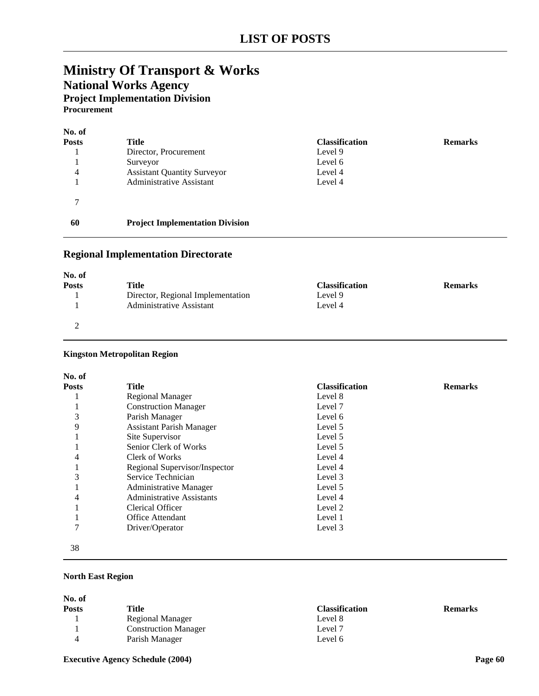# **Ministry Of Transport & Works National Works Agency Project Implementation Division Procurement**

| No. of<br><b>Posts</b> | <b>Title</b>                           | <b>Classification</b> | <b>Remarks</b> |
|------------------------|----------------------------------------|-----------------------|----------------|
|                        | Director, Procurement                  | Level 9               |                |
|                        | Surveyor                               | Level 6               |                |
| 4                      | <b>Assistant Quantity Surveyor</b>     | Level 4               |                |
|                        | Administrative Assistant               | Level 4               |                |
| ⇁                      |                                        |                       |                |
| 60                     | <b>Project Implementation Division</b> |                       |                |

# **Regional Implementation Directorate**

| No. of       |                                   |                       |                |
|--------------|-----------------------------------|-----------------------|----------------|
| <b>Posts</b> | Title                             | <b>Classification</b> | <b>Remarks</b> |
|              | Director, Regional Implementation | Level 9               |                |
|              | <b>Administrative Assistant</b>   | Level 4               |                |
|              |                                   |                       |                |

#### **Kingston Metropolitan Region**

| No. of       |                                  |                       |                |
|--------------|----------------------------------|-----------------------|----------------|
| <b>Posts</b> | Title                            | <b>Classification</b> | <b>Remarks</b> |
|              | Regional Manager                 | Level 8               |                |
|              | <b>Construction Manager</b>      | Level 7               |                |
| 3            | Parish Manager                   | Level 6               |                |
| 9            | <b>Assistant Parish Manager</b>  | Level 5               |                |
|              | Site Supervisor                  | Level 5               |                |
|              | Senior Clerk of Works            | Level 5               |                |
| 4            | Clerk of Works                   | Level 4               |                |
|              | Regional Supervisor/Inspector    | Level 4               |                |
| 3            | Service Technician               | Level 3               |                |
|              | <b>Administrative Manager</b>    | Level 5               |                |
| 4            | <b>Administrative Assistants</b> | Level 4               |                |
|              | Clerical Officer                 | Level 2               |                |
|              | Office Attendant                 | Level 1               |                |
| 7            | Driver/Operator                  | Level 3               |                |
| 38           |                                  |                       |                |

### **North East Region**

| No. of       |                             |                       |                |
|--------------|-----------------------------|-----------------------|----------------|
| <b>Posts</b> | Title                       | <b>Classification</b> | <b>Remarks</b> |
|              | Regional Manager            | Level 8               |                |
|              | <b>Construction Manager</b> | Level 7               |                |
|              | Parish Manager              | Level 6               |                |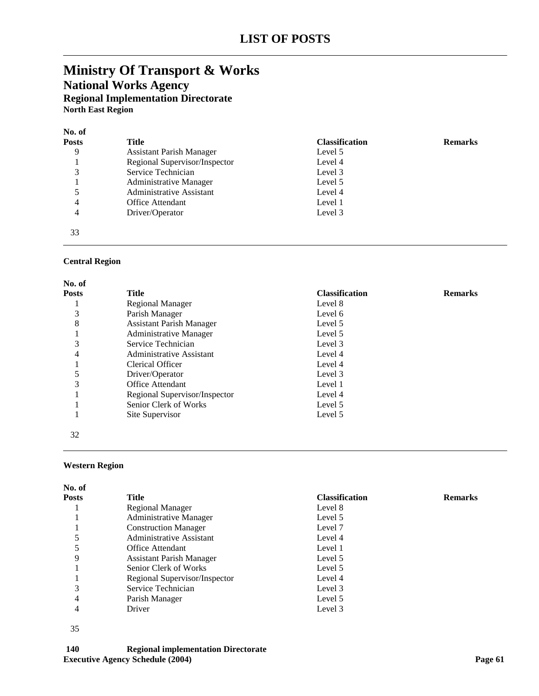# **Ministry Of Transport & Works National Works Agency Regional Implementation Directorate North East Region**

| No. of       |                                 |                       |                |
|--------------|---------------------------------|-----------------------|----------------|
| <b>Posts</b> | Title                           | <b>Classification</b> | <b>Remarks</b> |
| 9            | <b>Assistant Parish Manager</b> | Level 5               |                |
|              | Regional Supervisor/Inspector   | Level 4               |                |
| 3            | Service Technician              | Level 3               |                |
|              | <b>Administrative Manager</b>   | Level 5               |                |
| 5            | Administrative Assistant        | Level 4               |                |
| 4            | <b>Office Attendant</b>         | Level 1               |                |
| 4            | Driver/Operator                 | Level 3               |                |
| 33           |                                 |                       |                |

#### **Central Region**

| No. of       |                                 |                       |                |
|--------------|---------------------------------|-----------------------|----------------|
| <b>Posts</b> | Title                           | <b>Classification</b> | <b>Remarks</b> |
|              | Regional Manager                | Level 8               |                |
| 3            | Parish Manager                  | Level 6               |                |
| 8            | <b>Assistant Parish Manager</b> | Level 5               |                |
|              | <b>Administrative Manager</b>   | Level 5               |                |
| 3            | Service Technician              | Level 3               |                |
| 4            | Administrative Assistant        | Level 4               |                |
|              | Clerical Officer                | Level 4               |                |
| 5            | Driver/Operator                 | Level 3               |                |
| 3            | <b>Office Attendant</b>         | Level 1               |                |
|              | Regional Supervisor/Inspector   | Level 4               |                |
|              | Senior Clerk of Works           | Level 5               |                |
|              | Site Supervisor                 | Level 5               |                |
|              |                                 |                       |                |
| 32           |                                 |                       |                |

#### **Western Region**

| No. of       |                                 |                       |                |
|--------------|---------------------------------|-----------------------|----------------|
| <b>Posts</b> | Title                           | <b>Classification</b> | <b>Remarks</b> |
|              | Regional Manager                | Level 8               |                |
|              | <b>Administrative Manager</b>   | Level 5               |                |
|              | <b>Construction Manager</b>     | Level 7               |                |
|              | Administrative Assistant        | Level 4               |                |
|              | <b>Office Attendant</b>         | Level 1               |                |
| 9            | <b>Assistant Parish Manager</b> | Level 5               |                |
|              | Senior Clerk of Works           | Level 5               |                |
|              | Regional Supervisor/Inspector   | Level 4               |                |
| 3            | Service Technician              | Level 3               |                |
| 4            | Parish Manager                  | Level 5               |                |
| 4            | Driver                          | Level 3               |                |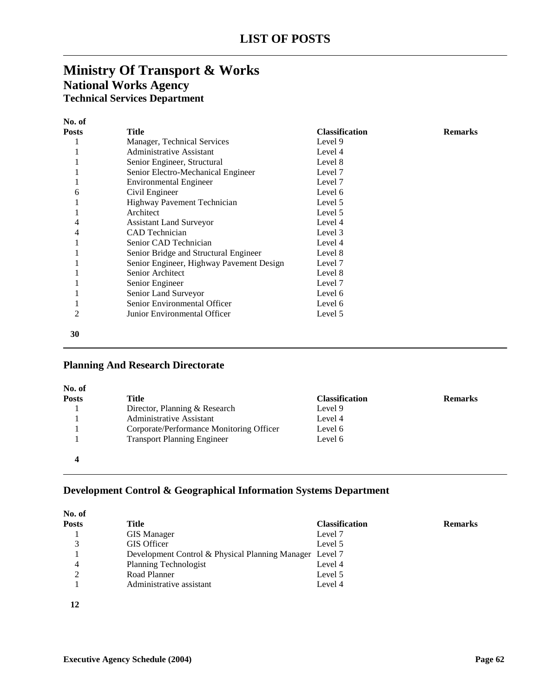# **Ministry Of Transport & Works National Works Agency Technical Services Department**

| No. of         |                                          |                       |                |
|----------------|------------------------------------------|-----------------------|----------------|
| <b>Posts</b>   | Title                                    | <b>Classification</b> | <b>Remarks</b> |
|                | Manager, Technical Services              | Level 9               |                |
|                | Administrative Assistant                 | Level 4               |                |
|                | Senior Engineer, Structural              | Level 8               |                |
|                | Senior Electro-Mechanical Engineer       | Level 7               |                |
|                | <b>Environmental Engineer</b>            | Level 7               |                |
| 6              | Civil Engineer                           | Level 6               |                |
|                | Highway Pavement Technician              | Level 5               |                |
|                | Architect                                | Level 5               |                |
| 4              | <b>Assistant Land Surveyor</b>           | Level 4               |                |
| 4              | <b>CAD</b> Technician                    | Level 3               |                |
|                | Senior CAD Technician                    | Level 4               |                |
|                | Senior Bridge and Structural Engineer    | Level 8               |                |
|                | Senior Engineer, Highway Pavement Design | Level 7               |                |
|                | Senior Architect                         | Level 8               |                |
|                | Senior Engineer                          | Level 7               |                |
|                | Senior Land Surveyor                     | Level 6               |                |
|                | Senior Environmental Officer             | Level 6               |                |
| $\overline{c}$ | Junior Environmental Officer             | Level 5               |                |
| 30             |                                          |                       |                |

### **Planning And Research Directorate**

| No. of       |                                          |                       |                |
|--------------|------------------------------------------|-----------------------|----------------|
| <b>Posts</b> | Title                                    | <b>Classification</b> | <b>Remarks</b> |
|              | Director, Planning & Research            | Level 9               |                |
|              | Administrative Assistant                 | Level 4               |                |
|              | Corporate/Performance Monitoring Officer | Level 6               |                |
|              | <b>Transport Planning Engineer</b>       | Level 6               |                |
| 4            |                                          |                       |                |

# **Development Control & Geographical Information Systems Department**

| No. of |                                                         |                       |                |
|--------|---------------------------------------------------------|-----------------------|----------------|
| Posts  | Title                                                   | <b>Classification</b> | <b>Remarks</b> |
|        | <b>GIS Manager</b>                                      | Level 7               |                |
| 3      | <b>GIS</b> Officer                                      | Level 5               |                |
|        | Development Control & Physical Planning Manager Level 7 |                       |                |
| 4      | Planning Technologist                                   | Level 4               |                |
| 2      | Road Planner                                            | Level 5               |                |
|        | Administrative assistant                                | Level 4               |                |
| 12     |                                                         |                       |                |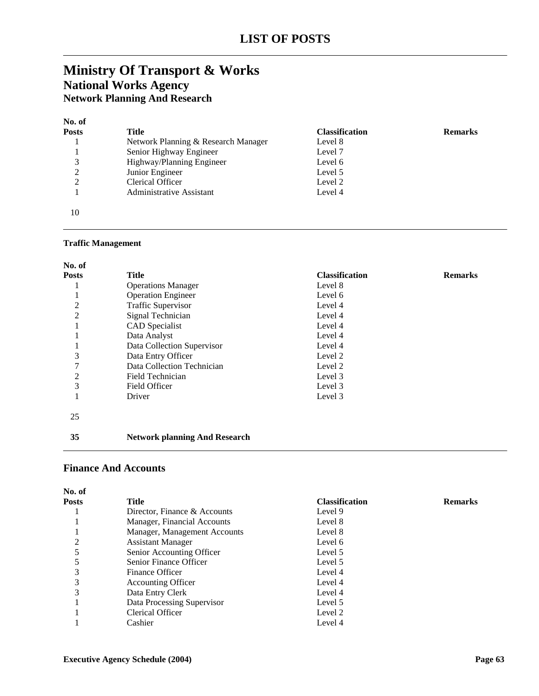# **Ministry Of Transport & Works National Works Agency Network Planning And Research**

### **No. of**

| <b>Posts</b>  | Title                               | <b>Classification</b> | <b>Remarks</b> |
|---------------|-------------------------------------|-----------------------|----------------|
|               | Network Planning & Research Manager | Level 8               |                |
|               | Senior Highway Engineer             | Level 7               |                |
|               | Highway/Planning Engineer           | Level 6               |                |
| 2             | Junior Engineer                     | Level 5               |                |
| $\mathcal{L}$ | Clerical Officer                    | Level 2               |                |
|               | Administrative Assistant            | Level 4               |                |
| 10            |                                     |                       |                |

### **Traffic Management**

| No. of         |                                      |                       |                |
|----------------|--------------------------------------|-----------------------|----------------|
| Posts          | <b>Title</b>                         | <b>Classification</b> | <b>Remarks</b> |
|                | <b>Operations Manager</b>            | Level 8               |                |
|                | <b>Operation Engineer</b>            | Level 6               |                |
| 2              | <b>Traffic Supervisor</b>            | Level 4               |                |
| $\overline{2}$ | Signal Technician                    | Level 4               |                |
|                | <b>CAD</b> Specialist                | Level 4               |                |
|                | Data Analyst                         | Level 4               |                |
|                | Data Collection Supervisor           | Level 4               |                |
| 3              | Data Entry Officer                   | Level 2               |                |
|                | Data Collection Technician           | Level 2               |                |
| 2              | Field Technician                     | Level 3               |                |
| 3              | Field Officer                        | Level 3               |                |
|                | Driver                               | Level 3               |                |
| 25             |                                      |                       |                |
| 35             | <b>Network planning And Research</b> |                       |                |

### **Finance And Accounts**

| No. of       |                              |                       |                |
|--------------|------------------------------|-----------------------|----------------|
| <b>Posts</b> | Title                        | <b>Classification</b> | <b>Remarks</b> |
|              | Director, Finance & Accounts | Level 9               |                |
|              | Manager, Financial Accounts  | Level 8               |                |
|              | Manager, Management Accounts | Level 8               |                |
|              | <b>Assistant Manager</b>     | Level 6               |                |
|              | Senior Accounting Officer    | Level 5               |                |
|              | Senior Finance Officer       | Level 5               |                |
| 3            | Finance Officer              | Level 4               |                |
| 3            | <b>Accounting Officer</b>    | Level 4               |                |
| 3            | Data Entry Clerk             | Level 4               |                |
|              | Data Processing Supervisor   | Level 5               |                |
|              | <b>Clerical Officer</b>      | Level 2               |                |
|              | Cashier                      | Level 4               |                |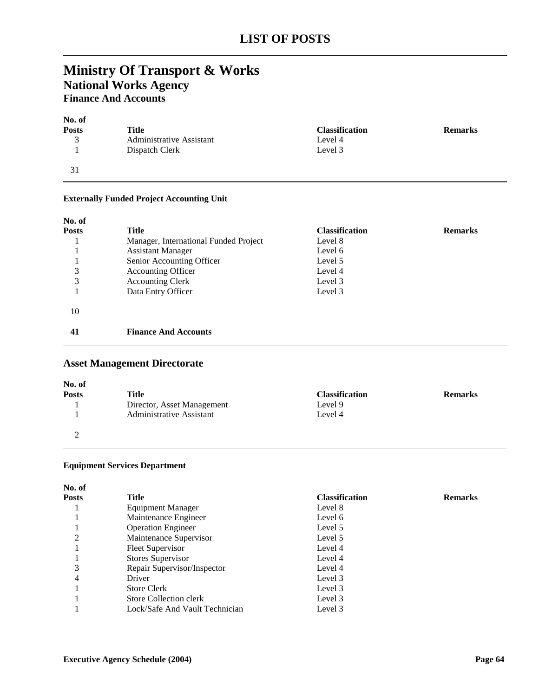# **Ministry Of Transport & Works National Works Agency Finance And Accounts**

| No. of       |                          |                       |                |
|--------------|--------------------------|-----------------------|----------------|
| <b>Posts</b> | Title                    | <b>Classification</b> | <b>Remarks</b> |
| 3            | Administrative Assistant | Level 4               |                |
|              | Dispatch Clerk           | Level 3               |                |
| 31           |                          |                       |                |

### **Externally Funded Project Accounting Unit**

| No. of<br><b>Posts</b><br>3<br>3 | <b>Title</b><br>Manager, International Funded Project<br><b>Assistant Manager</b><br>Senior Accounting Officer<br><b>Accounting Officer</b><br><b>Accounting Clerk</b> | <b>Classification</b><br>Level 8<br>Level 6<br>Level 5<br>Level 4<br>Level 3 | <b>Remarks</b> |
|----------------------------------|------------------------------------------------------------------------------------------------------------------------------------------------------------------------|------------------------------------------------------------------------------|----------------|
| 10                               | Data Entry Officer                                                                                                                                                     | Level 3                                                                      |                |
| 41                               | <b>Finance And Accounts</b>                                                                                                                                            |                                                                              |                |

# **Asset Management Directorate**

| No. of       |                            |                       |                |
|--------------|----------------------------|-----------------------|----------------|
| <b>Posts</b> | Title                      | <b>Classification</b> | <b>Remarks</b> |
|              | Director, Asset Management | Level 9               |                |
|              | Administrative Assistant   | Level 4               |                |
|              |                            |                       |                |

### **Equipment Services Department**

| ۰.<br>I<br>٠ | ۰, |
|--------------|----|
|              |    |

| Posts | <b>Title</b>                   | <b>Classification</b> | <b>Remarks</b> |
|-------|--------------------------------|-----------------------|----------------|
|       | <b>Equipment Manager</b>       | Level 8               |                |
|       | Maintenance Engineer           | Level 6               |                |
|       | <b>Operation Engineer</b>      | Level 5               |                |
| 2     | Maintenance Supervisor         | Level 5               |                |
|       | <b>Fleet Supervisor</b>        | Level 4               |                |
|       | Stores Supervisor              | Level 4               |                |
| 3     | Repair Supervisor/Inspector    | Level 4               |                |
| 4     | Driver                         | Level 3               |                |
|       | <b>Store Clerk</b>             | Level 3               |                |
|       | Store Collection clerk         | Level 3               |                |
|       | Lock/Safe And Vault Technician | Level 3               |                |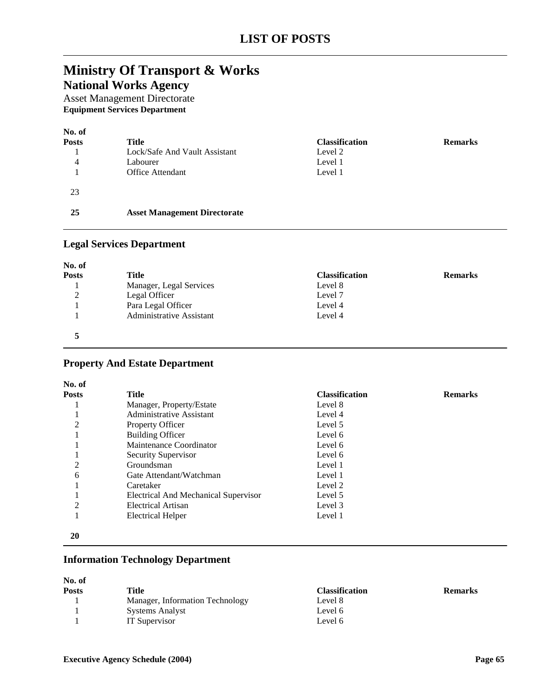# **Ministry Of Transport & Works**

**National Works Agency**

Asset Management Directorate **Equipment Services Department**

| No. of<br><b>Posts</b><br>4 | Title<br>Lock/Safe And Vault Assistant<br>Labourer<br><b>Office Attendant</b> | <b>Classification</b><br>Level 2<br>Level 1<br>Level 1 | <b>Remarks</b> |
|-----------------------------|-------------------------------------------------------------------------------|--------------------------------------------------------|----------------|
| 23                          |                                                                               |                                                        |                |
| 25                          | <b>Asset Management Directorate</b>                                           |                                                        |                |

### **Legal Services Department**

| No. of             |                          |                       |                |
|--------------------|--------------------------|-----------------------|----------------|
| <b>Posts</b>       | Title                    | <b>Classification</b> | <b>Remarks</b> |
|                    | Manager, Legal Services  | Level 8               |                |
| $\mathcal{D}$<br>∠ | Legal Officer            | Level 7               |                |
|                    | Para Legal Officer       | Level 4               |                |
|                    | Administrative Assistant | Level 4               |                |
|                    |                          |                       |                |

# **Property And Estate Department**

| <b>Posts</b>   | <b>Title</b>                         | <b>Classification</b> | <b>Remarks</b> |
|----------------|--------------------------------------|-----------------------|----------------|
|                | Manager, Property/Estate             | Level 8               |                |
|                | Administrative Assistant             | Level 4               |                |
| 2              | <b>Property Officer</b>              | Level 5               |                |
|                | <b>Building Officer</b>              | Level 6               |                |
|                | Maintenance Coordinator              | Level 6               |                |
|                | Security Supervisor                  | Level 6               |                |
| $\overline{2}$ | Groundsman                           | Level 1               |                |
| 6              | Gate Attendant/Watchman              | Level 1               |                |
|                | Caretaker                            | Level 2               |                |
|                | Electrical And Mechanical Supervisor | Level 5               |                |
| 2              | Electrical Artisan                   | Level 3               |                |
|                | <b>Electrical Helper</b>             | Level 1               |                |

# **Information Technology Department**

| No. of       |                                 |                       |                |
|--------------|---------------------------------|-----------------------|----------------|
| <b>Posts</b> | Title                           | <b>Classification</b> | <b>Remarks</b> |
|              | Manager, Information Technology | Level 8               |                |
|              | <b>Systems Analyst</b>          | Level 6               |                |
|              | IT Supervisor                   | Level 6               |                |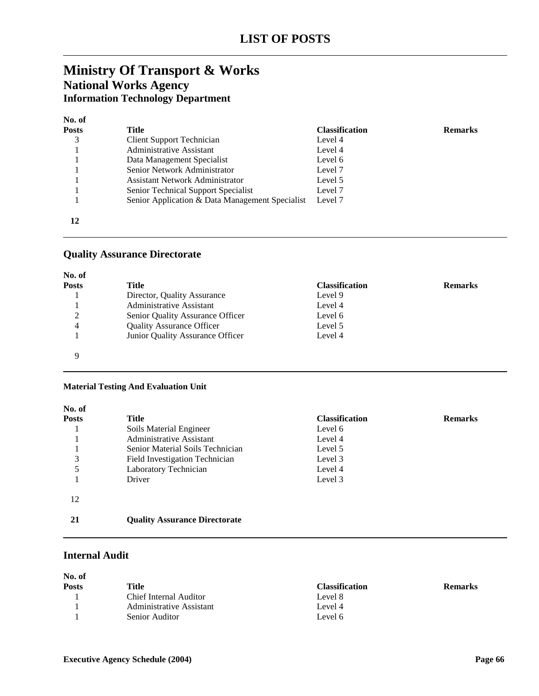# **Ministry Of Transport & Works National Works Agency Information Technology Department**

| чκ. | . |
|-----|---|
|     |   |

| <b>Posts</b> | Title                                           | <b>Classification</b> | <b>Remarks</b> |
|--------------|-------------------------------------------------|-----------------------|----------------|
|              | Client Support Technician                       | Level 4               |                |
|              | Administrative Assistant                        | Level 4               |                |
|              | Data Management Specialist                      | Level 6               |                |
|              | Senior Network Administrator                    | Level 7               |                |
|              | <b>Assistant Network Administrator</b>          | Level 5               |                |
|              | Senior Technical Support Specialist             | Level 7               |                |
|              | Senior Application & Data Management Specialist | Level 7               |                |
| 12           |                                                 |                       |                |

### **Quality Assurance Directorate**

| No. of<br><b>Posts</b> | Title                            | <b>Classification</b> | <b>Remarks</b> |
|------------------------|----------------------------------|-----------------------|----------------|
|                        | Director, Quality Assurance      | Level 9               |                |
|                        | <b>Administrative Assistant</b>  | Level 4               |                |
| 2                      | Senior Quality Assurance Officer | Level 6               |                |
| 4                      | <b>Quality Assurance Officer</b> | Level 5               |                |
|                        | Junior Quality Assurance Officer | Level 4               |                |
| Q                      |                                  |                       |                |

### **Material Testing And Evaluation Unit**

| No. of       |                                      |                       |                |
|--------------|--------------------------------------|-----------------------|----------------|
| <b>Posts</b> | Title                                | <b>Classification</b> | <b>Remarks</b> |
|              | Soils Material Engineer              | Level 6               |                |
|              | Administrative Assistant             | Level 4               |                |
|              | Senior Material Soils Technician     | Level 5               |                |
| 3            | Field Investigation Technician       | Level 3               |                |
|              | Laboratory Technician                | Level 4               |                |
|              | Driver                               | Level 3               |                |
| 12           |                                      |                       |                |
| 21           | <b>Quality Assurance Directorate</b> |                       |                |

### **Internal Audit**

| No. of       |                          |                       |                |
|--------------|--------------------------|-----------------------|----------------|
| <b>Posts</b> | Title                    | <b>Classification</b> | <b>Remarks</b> |
|              | Chief Internal Auditor   | Level 8               |                |
|              | Administrative Assistant | Level 4               |                |
|              | Senior Auditor           | Level 6               |                |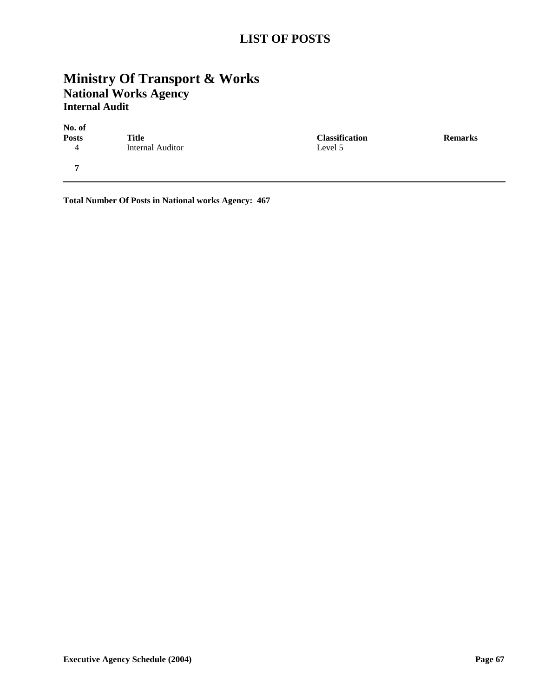# **LIST OF POSTS**

# **Ministry Of Transport & Works National Works Agency Internal Audit**

| No. of |                  |                 |
|--------|------------------|-----------------|
| Posts  | Title            | <b>Classifi</b> |
|        | Internal Auditor | Level 5         |
| 7      |                  |                 |

**Posts Remarks Classification Remarks** 

**Total Number Of Posts in National works Agency: 467**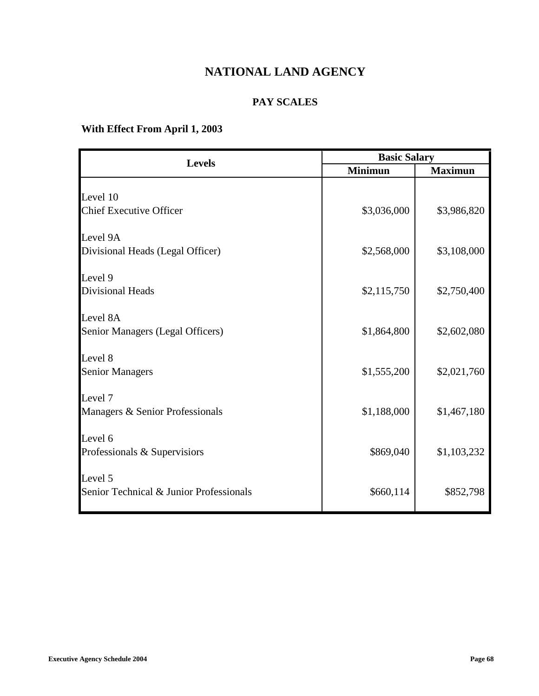# **NATIONAL LAND AGENCY**

# **PAY SCALES**

# **With Effect From April 1, 2003**

|                                         | <b>Basic Salary</b> |                |
|-----------------------------------------|---------------------|----------------|
| <b>Levels</b>                           | <b>Minimun</b>      | <b>Maximun</b> |
|                                         |                     |                |
| Level 10                                |                     |                |
| <b>Chief Executive Officer</b>          | \$3,036,000         | \$3,986,820    |
| Level 9A                                |                     |                |
| Divisional Heads (Legal Officer)        | \$2,568,000         | \$3,108,000    |
| Level 9                                 |                     |                |
| <b>Divisional Heads</b>                 | \$2,115,750         | \$2,750,400    |
| Level 8A                                |                     |                |
| Senior Managers (Legal Officers)        | \$1,864,800         | \$2,602,080    |
| Level 8                                 |                     |                |
| <b>Senior Managers</b>                  | \$1,555,200         | \$2,021,760    |
| Level 7                                 |                     |                |
| Managers & Senior Professionals         | \$1,188,000         | \$1,467,180    |
| Level 6                                 |                     |                |
| Professionals & Supervisiors            | \$869,040           | \$1,103,232    |
| Level 5                                 |                     |                |
| Senior Technical & Junior Professionals | \$660,114           | \$852,798      |
|                                         |                     |                |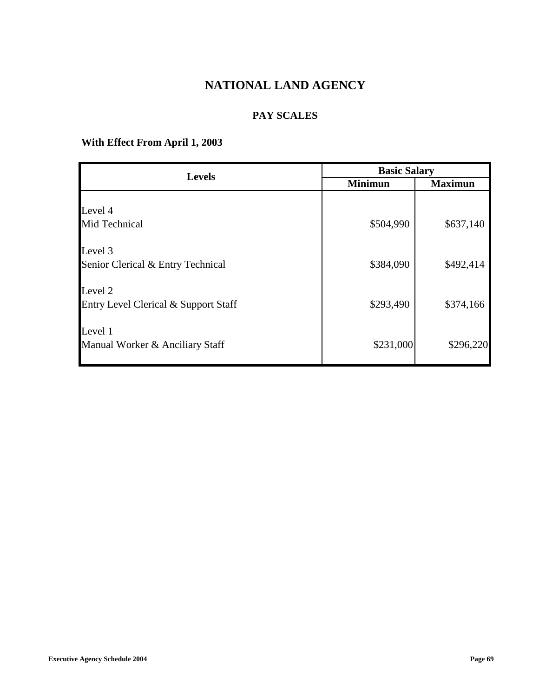# **NATIONAL LAND AGENCY**

# **PAY SCALES**

# **With Effect From April 1, 2003**

| <b>Levels</b>                                              | <b>Basic Salary</b> |                |
|------------------------------------------------------------|---------------------|----------------|
|                                                            | <b>Minimun</b>      | <b>Maximun</b> |
| Level 4<br>Mid Technical                                   | \$504,990           | \$637,140      |
| Level 3<br>Senior Clerical & Entry Technical               | \$384,090           | \$492,414      |
| Level <sub>2</sub><br>Entry Level Clerical & Support Staff | \$293,490           | \$374,166      |
| Level 1<br>Manual Worker & Anciliary Staff                 | \$231,000           | \$296,220      |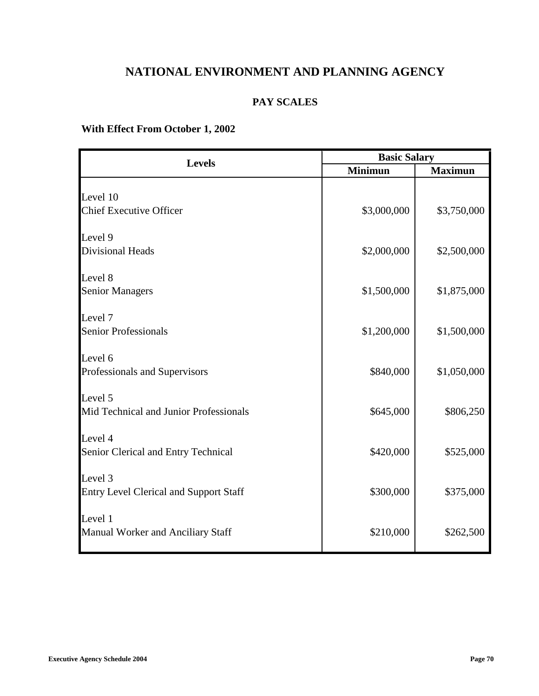# **NATIONAL ENVIRONMENT AND PLANNING AGENCY**

### **PAY SCALES**

## **With Effect From October 1, 2002**

|                | <b>Basic Salary</b> |  |
|----------------|---------------------|--|
| <b>Minimun</b> | <b>Maximun</b>      |  |
|                |                     |  |
|                |                     |  |
|                | \$3,750,000         |  |
|                |                     |  |
| \$2,000,000    | \$2,500,000         |  |
|                |                     |  |
| \$1,500,000    | \$1,875,000         |  |
|                |                     |  |
| \$1,200,000    | \$1,500,000         |  |
|                |                     |  |
| \$840,000      | \$1,050,000         |  |
|                |                     |  |
| \$645,000      | \$806,250           |  |
|                |                     |  |
| \$420,000      | \$525,000           |  |
|                |                     |  |
| \$300,000      | \$375,000           |  |
|                |                     |  |
| \$210,000      | \$262,500           |  |
|                | \$3,000,000         |  |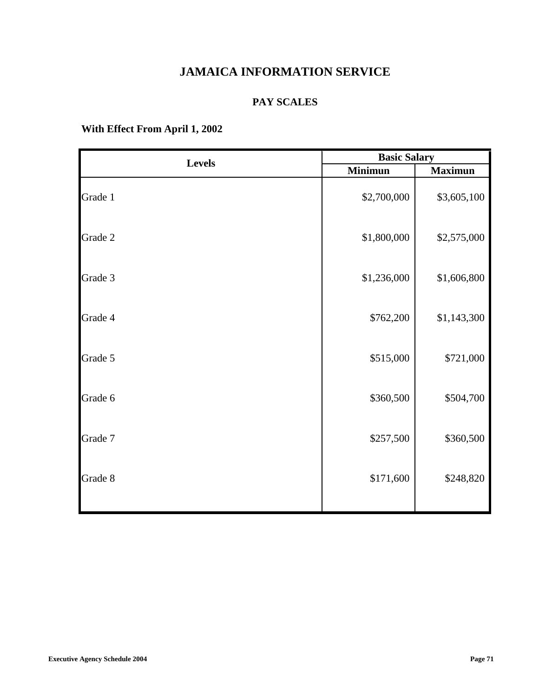# **JAMAICA INFORMATION SERVICE**

### **PAY SCALES**

| <b>Levels</b> | <b>Basic Salary</b> |                |
|---------------|---------------------|----------------|
|               | <b>Minimun</b>      | <b>Maximun</b> |
| Grade 1       | \$2,700,000         | \$3,605,100    |
| Grade 2       | \$1,800,000         | \$2,575,000    |
| Grade 3       | \$1,236,000         | \$1,606,800    |
| Grade 4       | \$762,200           | \$1,143,300    |
| Grade 5       | \$515,000           | \$721,000      |
| Grade 6       | \$360,500           | \$504,700      |
| Grade 7       | \$257,500           | \$360,500      |
| Grade 8       | \$171,600           | \$248,820      |
|               |                     |                |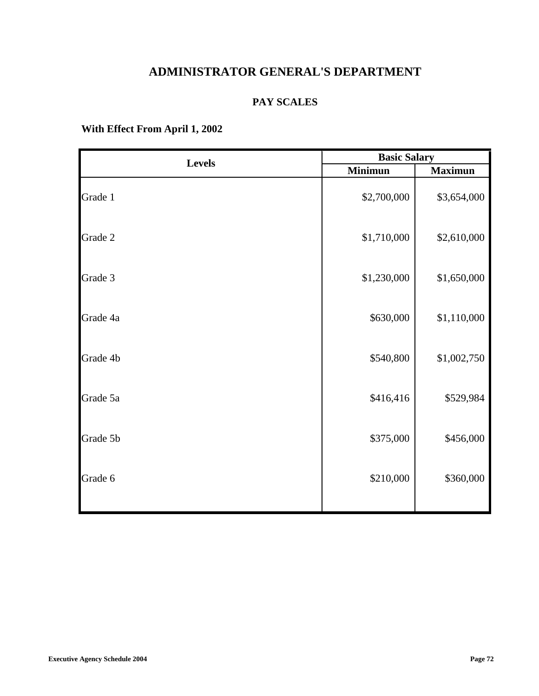# **ADMINISTRATOR GENERAL'S DEPARTMENT**

### **PAY SCALES**

| <b>Levels</b> | <b>Basic Salary</b> |                |
|---------------|---------------------|----------------|
|               | <b>Minimun</b>      | <b>Maximun</b> |
| Grade 1       | \$2,700,000         | \$3,654,000    |
| Grade 2       | \$1,710,000         | \$2,610,000    |
| Grade 3       | \$1,230,000         | \$1,650,000    |
| Grade 4a      | \$630,000           | \$1,110,000    |
| Grade 4b      | \$540,800           | \$1,002,750    |
| Grade 5a      | \$416,416           | \$529,984      |
| Grade 5b      | \$375,000           | \$456,000      |
| Grade 6       | \$210,000           | \$360,000      |
|               |                     |                |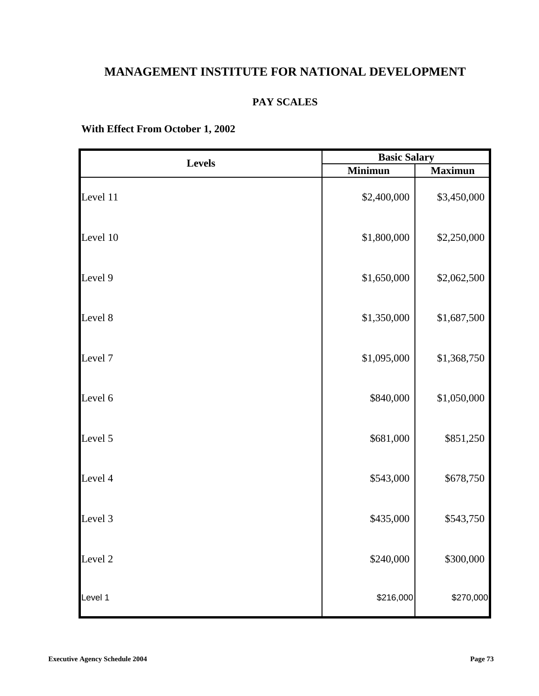# **MANAGEMENT INSTITUTE FOR NATIONAL DEVELOPMENT**

#### **PAY SCALES**

## **With Effect From October 1, 2002**

| <b>Levels</b> | <b>Basic Salary</b> |                |
|---------------|---------------------|----------------|
|               | <b>Minimun</b>      | <b>Maximun</b> |
| Level 11      | \$2,400,000         | \$3,450,000    |
| Level 10      | \$1,800,000         | \$2,250,000    |
| Level 9       | \$1,650,000         | \$2,062,500    |
| Level 8       | \$1,350,000         | \$1,687,500    |
| Level 7       | \$1,095,000         | \$1,368,750    |
| Level 6       | \$840,000           | \$1,050,000    |
| Level 5       | \$681,000           | \$851,250      |
| Level 4       | \$543,000           | \$678,750      |
| Level 3       | \$435,000           | \$543,750      |
| Level 2       | \$240,000           | \$300,000      |
| Level 1       | \$216,000           | \$270,000      |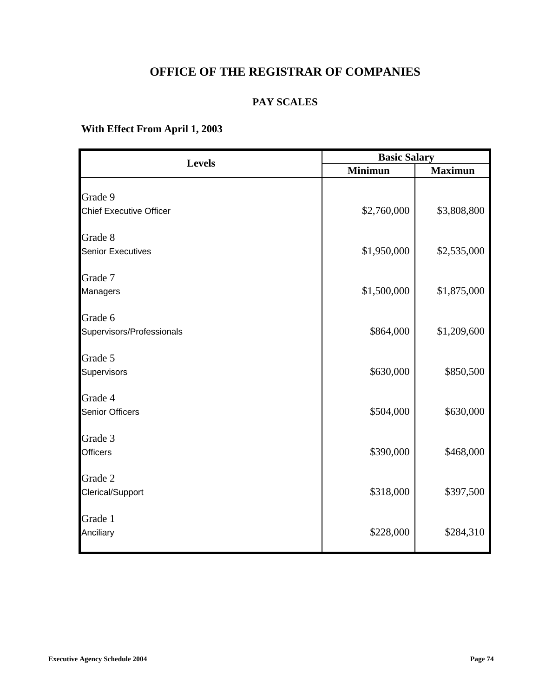# **OFFICE OF THE REGISTRAR OF COMPANIES**

### **PAY SCALES**

| <b>Levels</b>                  | <b>Basic Salary</b> |                |
|--------------------------------|---------------------|----------------|
|                                | <b>Minimun</b>      | <b>Maximun</b> |
|                                |                     |                |
| Grade 9                        |                     |                |
| <b>Chief Executive Officer</b> | \$2,760,000         | \$3,808,800    |
| Grade 8                        |                     |                |
| <b>Senior Executives</b>       | \$1,950,000         | \$2,535,000    |
| Grade 7                        |                     |                |
| Managers                       | \$1,500,000         | \$1,875,000    |
| Grade 6                        |                     |                |
| Supervisors/Professionals      | \$864,000           | \$1,209,600    |
| Grade 5                        |                     |                |
| Supervisors                    | \$630,000           | \$850,500      |
| Grade 4                        |                     |                |
| <b>Senior Officers</b>         | \$504,000           | \$630,000      |
| Grade 3                        |                     |                |
| <b>Officers</b>                | \$390,000           | \$468,000      |
| Grade 2                        |                     |                |
| Clerical/Support               | \$318,000           | \$397,500      |
| Grade 1                        |                     |                |
| Anciliary                      | \$228,000           | \$284,310      |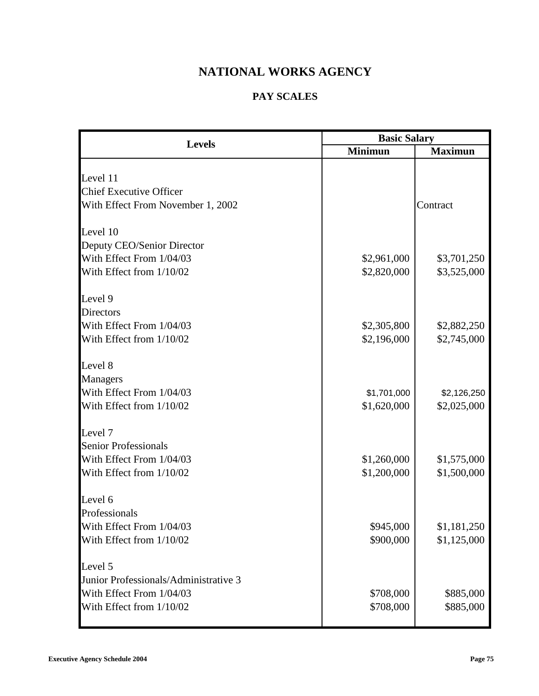# **NATIONAL WORKS AGENCY**

## **PAY SCALES**

| <b>Basic Salary</b><br><b>Levels</b>  |                |                |
|---------------------------------------|----------------|----------------|
|                                       | <b>Minimun</b> | <b>Maximun</b> |
|                                       |                |                |
| Level 11                              |                |                |
| <b>Chief Executive Officer</b>        |                |                |
| With Effect From November 1, 2002     |                | Contract       |
| Level 10                              |                |                |
| Deputy CEO/Senior Director            |                |                |
| With Effect From 1/04/03              | \$2,961,000    | \$3,701,250    |
| With Effect from 1/10/02              | \$2,820,000    | \$3,525,000    |
| Level 9                               |                |                |
| <b>Directors</b>                      |                |                |
| With Effect From 1/04/03              | \$2,305,800    | \$2,882,250    |
| With Effect from 1/10/02              | \$2,196,000    | \$2,745,000    |
| Level 8                               |                |                |
| <b>Managers</b>                       |                |                |
| With Effect From 1/04/03              | \$1,701,000    | \$2,126,250    |
| With Effect from 1/10/02              | \$1,620,000    | \$2,025,000    |
| Level 7                               |                |                |
| <b>Senior Professionals</b>           |                |                |
| With Effect From 1/04/03              | \$1,260,000    | \$1,575,000    |
| With Effect from 1/10/02              | \$1,200,000    | \$1,500,000    |
| Level 6                               |                |                |
| Professionals                         |                |                |
| With Effect From 1/04/03              | \$945,000      | \$1,181,250    |
| With Effect from 1/10/02              | \$900,000      | \$1,125,000    |
| Level 5                               |                |                |
| Junior Professionals/Administrative 3 |                |                |
| With Effect From 1/04/03              | \$708,000      | \$885,000      |
| With Effect from 1/10/02              | \$708,000      | \$885,000      |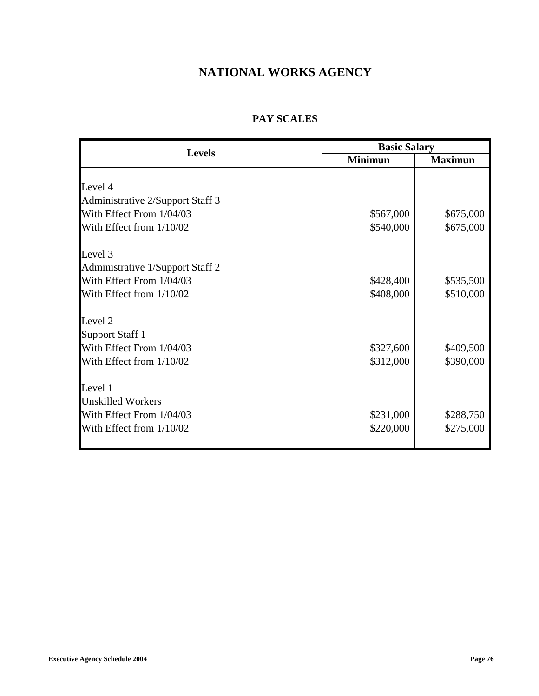## **NATIONAL WORKS AGENCY**

### **PAY SCALES**

| <b>Levels</b>                    | <b>Basic Salary</b> |                |
|----------------------------------|---------------------|----------------|
|                                  | <b>Minimun</b>      | <b>Maximun</b> |
|                                  |                     |                |
| Level 4                          |                     |                |
| Administrative 2/Support Staff 3 |                     |                |
| With Effect From 1/04/03         | \$567,000           | \$675,000      |
| With Effect from 1/10/02         | \$540,000           | \$675,000      |
| Level 3                          |                     |                |
| Administrative 1/Support Staff 2 |                     |                |
| With Effect From 1/04/03         | \$428,400           | \$535,500      |
| With Effect from 1/10/02         | \$408,000           | \$510,000      |
| Level <sub>2</sub>               |                     |                |
| <b>Support Staff 1</b>           |                     |                |
| With Effect From 1/04/03         | \$327,600           | \$409,500      |
| With Effect from 1/10/02         | \$312,000           | \$390,000      |
| Level 1                          |                     |                |
| <b>Unskilled Workers</b>         |                     |                |
| With Effect From 1/04/03         | \$231,000           | \$288,750      |
| With Effect from 1/10/02         | \$220,000           | \$275,000      |